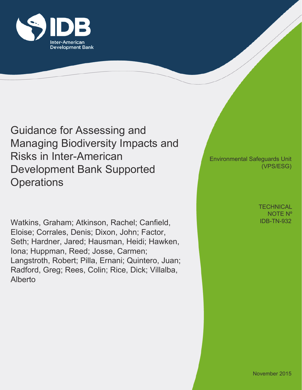

Guidance for Assessing and Managing Biodiversity Impacts and Risks in Inter-American Development Bank Supported **Operations** 

Watkins, Graham; Atkinson, Rachel; Canfield, Eloise; Corrales, Denis; Dixon, John; Factor, Seth; Hardner, Jared; Hausman, Heidi; Hawken, Iona; Huppman, Reed; Josse, Carmen; Langstroth, Robert; Pilla, Ernani; Quintero, Juan; Radford, Greg; Rees, Colin; Rice, Dick; Villalba, Alberto

Environmental Safeguards Unit (VPS/ESG)

> IDB-TN-932 **TECHNICAL** NOTE Nº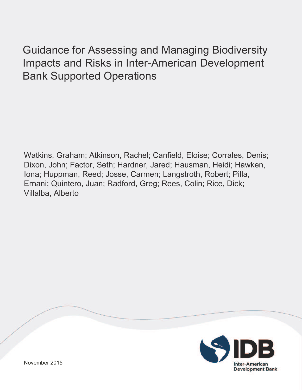# Guidance for Assessing and Managing Biodiversity Impacts and Risks in Inter-American Development Bank Supported Operations

Watkins, Graham; Atkinson, Rachel; Canfield, Eloise; Corrales, Denis; Dixon, John; Factor, Seth; Hardner, Jared; Hausman, Heidi; Hawken, Iona; Huppman, Reed; Josse, Carmen; Langstroth, Robert; Pilla, Ernani; Quintero, Juan; Radford, Greg; Rees, Colin; Rice, Dick; Villalba, Alberto

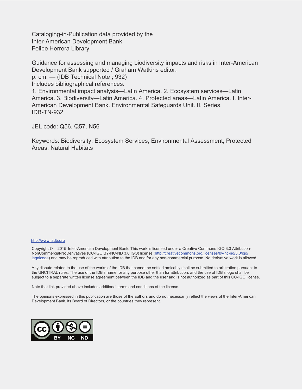Cataloging-in-Publication data provided by the Inter-American Development Bank Felipe Herrera Library

Guidance for assessing and managing biodiversity impacts and risks in Inter-American Development Bank supported / Graham Watkins editor.

p. cm. — (IDB Technical Note ; 932)

Includes bibliographical references.

1. Environmental impact analysis—Latin America. 2. Ecosystem services—Latin America. 3. Biodiversity—Latin America. 4. Protected areas—Latin America. I. Inter-American Development Bank. Environmental Safeguards Unit. II. Series. IDB-TN-932

JEL code: Q56, Q57, N56

Keywords: Biodiversity, Ecosystem Services, Environmental Assessment, Protected Areas, Natural Habitats

#### http://www.iadb.org

Copyright © 2015 Inter-American Development Bank. This work is licensed under a Creative Commons IGO 3.0 Attribution-NonCommercial-NoDerivatives (CC-IGO BY-NC-ND 3.0 IGO) license (http://creativecommons.org/licenses/by-nc-nd/3.0/igo/ legalcode) and may be reproduced with attribution to the IDB and for any non-commercial purpose. No derivative work is allowed.

Any dispute related to the use of the works of the IDB that cannot be settled amicably shall be submitted to arbitration pursuant to the UNCITRAL rules. The use of the IDB's name for any purpose other than for attribution, and the use of IDB's logo shall be subject to a separate written license agreement between the IDB and the user and is not authorized as part of this CC-IGO license.

Note that link provided above includes additional terms and conditions of the license.

The opinions expressed in this publication are those of the authors and do not necessarily reflect the views of the Inter-American Development Bank, its Board of Directors, or the countries they represent.

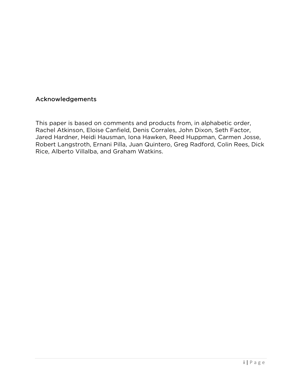#### **Acknowledgements**

This paper is based on comments and products from, in alphabetic order, Rachel Atkinson, Eloise Canfield, Denis Corrales, John Dixon, Seth Factor, Jared Hardner, Heidi Hausman, Iona Hawken, Reed Huppman, Carmen Josse, Robert Langstroth, Ernani Pilla, Juan Quintero, Greg Radford, Colin Rees, Dick Rice, Alberto Villalba, and Graham Watkins.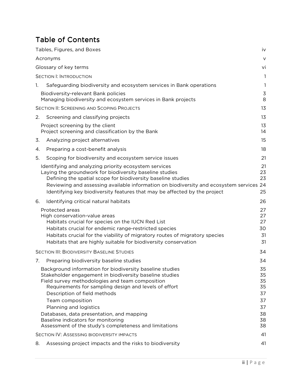# Table of Contents

|                       | Tables, Figures, and Boxes<br>iv                                                                                                                                                                                                                                                                                                                                                                                                                           |                                                          |  |
|-----------------------|------------------------------------------------------------------------------------------------------------------------------------------------------------------------------------------------------------------------------------------------------------------------------------------------------------------------------------------------------------------------------------------------------------------------------------------------------------|----------------------------------------------------------|--|
|                       | Acronyms                                                                                                                                                                                                                                                                                                                                                                                                                                                   | $\vee$                                                   |  |
| Glossary of key terms |                                                                                                                                                                                                                                                                                                                                                                                                                                                            |                                                          |  |
|                       | <b>SECTION I: INTRODUCTION</b>                                                                                                                                                                                                                                                                                                                                                                                                                             | 1                                                        |  |
| 1.                    | Safeguarding biodiversity and ecosystem services in Bank operations                                                                                                                                                                                                                                                                                                                                                                                        | 1                                                        |  |
|                       | Biodiversity-relevant Bank policies<br>Managing biodiversity and ecosystem services in Bank projects                                                                                                                                                                                                                                                                                                                                                       | $\mathsf 3$<br>8                                         |  |
|                       | SECTION II: SCREENING AND SCOPING PROJECTS                                                                                                                                                                                                                                                                                                                                                                                                                 | 13                                                       |  |
| 2.                    | Screening and classifying projects                                                                                                                                                                                                                                                                                                                                                                                                                         | 13                                                       |  |
|                       | Project screening by the client<br>Project screening and classification by the Bank                                                                                                                                                                                                                                                                                                                                                                        | 13<br>14                                                 |  |
| 3.                    | Analyzing project alternatives                                                                                                                                                                                                                                                                                                                                                                                                                             | 15                                                       |  |
| 4.                    | Preparing a cost-benefit analysis                                                                                                                                                                                                                                                                                                                                                                                                                          | 18                                                       |  |
| 5.                    | Scoping for biodiversity and ecosystem service issues                                                                                                                                                                                                                                                                                                                                                                                                      | 21                                                       |  |
|                       | Identifying and analyzing priority ecosystem services<br>Laying the groundwork for biodiversity baseline studies<br>Defining the spatial scope for biodiversity baseline studies<br>Reviewing and assessing available information on biodiversity and ecosystem services 24<br>Identifying key biodiversity features that may be affected by the project                                                                                                   | 21<br>23<br>23<br>25                                     |  |
| 6.                    | Identifying critical natural habitats                                                                                                                                                                                                                                                                                                                                                                                                                      | 26                                                       |  |
|                       | Protected areas<br>High conservation-value areas<br>Habitats crucial for species on the IUCN Red List<br>Habitats crucial for endemic range-restricted species<br>Habitats crucial for the viability of migratory routes of migratory species<br>Habitats that are highly suitable for biodiversity conservation                                                                                                                                           | 27<br>27<br>27<br>30<br>31<br>31                         |  |
|                       | <b>SECTION III: BIODIVERSITY BASELINE STUDIES</b>                                                                                                                                                                                                                                                                                                                                                                                                          | 34                                                       |  |
| 7.                    | Preparing biodiversity baseline studies                                                                                                                                                                                                                                                                                                                                                                                                                    | 34                                                       |  |
|                       | Background information for biodiversity baseline studies<br>Stakeholder engagement in biodiversity baseline studies<br>Field survey methodologies and team composition<br>Requirements for sampling design and levels of effort<br>Description of field methods<br>Team composition<br>Planning and logistics<br>Databases, data presentation, and mapping<br>Baseline indicators for monitoring<br>Assessment of the study's completeness and limitations | 35<br>35<br>35<br>35<br>37<br>37<br>37<br>38<br>38<br>38 |  |
|                       | <b>SECTION IV: ASSESSING BIODIVERSITY IMPACTS</b>                                                                                                                                                                                                                                                                                                                                                                                                          | 41                                                       |  |
| 8.                    | Assessing project impacts and the risks to biodiversity                                                                                                                                                                                                                                                                                                                                                                                                    | 41                                                       |  |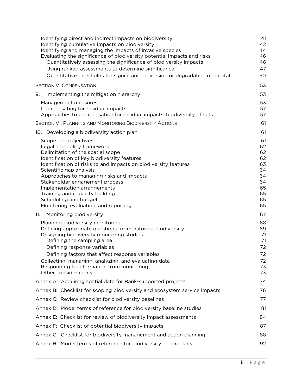| Identifying direct and indirect impacts on biodiversity<br>Identifying cumulative impacts on biodiversity<br>Identifying and managing the impacts of invasive species<br>Evaluating the significance of biodiversity potential impacts and risks<br>Quantitatively assessing the significance of biodiversity impacts<br>Using ranked assessments to determine significance<br>Quantitative thresholds for significant conversion or degradation of habitat | 41<br>42<br>44<br>46<br>46<br>47<br>50                               |
|-------------------------------------------------------------------------------------------------------------------------------------------------------------------------------------------------------------------------------------------------------------------------------------------------------------------------------------------------------------------------------------------------------------------------------------------------------------|----------------------------------------------------------------------|
| <b>SECTION V: COMPENSATION</b>                                                                                                                                                                                                                                                                                                                                                                                                                              | 53                                                                   |
| 9.<br>Implementing the mitigation hierarchy                                                                                                                                                                                                                                                                                                                                                                                                                 | 53                                                                   |
| Management measures<br>Compensating for residual impacts<br>Approaches to compensation for residual impacts: biodiversity offsets                                                                                                                                                                                                                                                                                                                           | 53<br>57<br>57                                                       |
| <b>SECTION VI: PLANNING AND MONITORING BIODIVERSITY ACTIONS</b>                                                                                                                                                                                                                                                                                                                                                                                             | 61                                                                   |
| 10. Developing a biodiversity action plan                                                                                                                                                                                                                                                                                                                                                                                                                   | 61                                                                   |
| Scope and objectives<br>Legal and policy framework<br>Delimitation of the spatial scope<br>Identification of key biodiversity features<br>Identification of risks to and impacts on biodiversity features<br>Scientific gap analysis<br>Approaches to managing risks and impacts<br>Stakeholder engagement process<br>Implementation arrangements<br>Training and capacity building<br>Scheduling and budget<br>Monitoring, evaluation, and reporting       | 61<br>62<br>62<br>62<br>63<br>64<br>64<br>64<br>65<br>65<br>65<br>65 |
| Monitoring biodiversity<br>11.                                                                                                                                                                                                                                                                                                                                                                                                                              | 67                                                                   |
| Planning biodiversity monitoring<br>Defining appropriate questions for monitoring biodiversity<br>Designing biodiversity monitoring studies<br>Defining the sampling area<br>Defining response variables<br>Defining factors that affect response variables<br>Collecting, managing, analyzing, and evaluating data<br>Responding to information from monitoring<br>Other considerations                                                                    | 68<br>69<br>71<br>71<br>72<br>72<br>72<br>73<br>73                   |
| Annex A: Acquiring spatial data for Bank-supported projects                                                                                                                                                                                                                                                                                                                                                                                                 | 74                                                                   |
| Annex B: Checklist for scoping biodiversity and ecosystem service impacts                                                                                                                                                                                                                                                                                                                                                                                   | 76                                                                   |
| Annex C: Review checklist for biodiversity baselines                                                                                                                                                                                                                                                                                                                                                                                                        | 77                                                                   |
| Annex D: Model terms of reference for biodiversity baseline studies                                                                                                                                                                                                                                                                                                                                                                                         | 81                                                                   |
| Annex E: Checklist for review of biodiversity impact assessments                                                                                                                                                                                                                                                                                                                                                                                            | 84                                                                   |
| Annex F: Checklist of potential biodiversity impacts                                                                                                                                                                                                                                                                                                                                                                                                        | 87                                                                   |
| Annex G: Checklist for biodiversity management and action planning                                                                                                                                                                                                                                                                                                                                                                                          | 88                                                                   |
| Annex H: Model terms of reference for biodiversity action plans                                                                                                                                                                                                                                                                                                                                                                                             | 92                                                                   |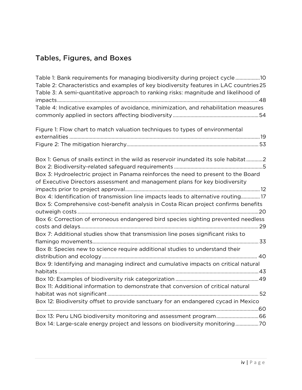# Tables, Figures, and Boxes

| Table 1: Bank requirements for managing biodiversity during project cycle10<br>Table 2: Characteristics and examples of key biodiversity features in LAC countries 25<br>Table 3: A semi-quantitative approach to ranking risks: magnitude and likelihood of |  |  |
|--------------------------------------------------------------------------------------------------------------------------------------------------------------------------------------------------------------------------------------------------------------|--|--|
| Table 4: Indicative examples of avoidance, minimization, and rehabilitation measures                                                                                                                                                                         |  |  |
| Figure 1: Flow chart to match valuation techniques to types of environmental                                                                                                                                                                                 |  |  |
|                                                                                                                                                                                                                                                              |  |  |
| Box 1: Genus of snails extinct in the wild as reservoir inundated its sole habitat2<br>Box 3: Hydroelectric project in Panama reinforces the need to present to the Board<br>of Executive Directors assessment and management plans for key biodiversity     |  |  |
|                                                                                                                                                                                                                                                              |  |  |
| Box 4: Identification of transmission line impacts leads to alternative routing17<br>Box 5: Comprehensive cost-benefit analysis in Costa Rican project confirms benefits                                                                                     |  |  |
| Box 6: Correction of erroneous endangered bird species sighting prevented needless                                                                                                                                                                           |  |  |
| Box 7: Additional studies show that transmission line poses significant risks to                                                                                                                                                                             |  |  |
| Box 8: Species new to science require additional studies to understand their                                                                                                                                                                                 |  |  |
| Box 9: Identifying and managing indirect and cumulative impacts on critical natural                                                                                                                                                                          |  |  |
| Box 11: Additional information to demonstrate that conversion of critical natural                                                                                                                                                                            |  |  |
|                                                                                                                                                                                                                                                              |  |  |
| Box 12: Biodiversity offset to provide sanctuary for an endangered cycad in Mexico                                                                                                                                                                           |  |  |
| Box 13: Peru LNG biodiversity monitoring and assessment program66                                                                                                                                                                                            |  |  |
| Box 14: Large-scale energy project and lessons on biodiversity monitoring70                                                                                                                                                                                  |  |  |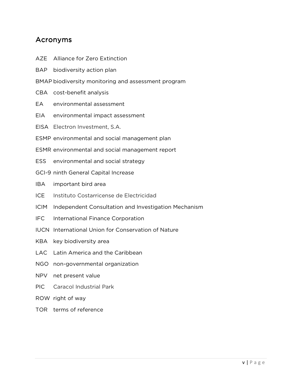### Acronyms

- AZE Alliance for Zero Extinction
- BAP biodiversity action plan
- BMAP biodiversity monitoring and assessment program
- CBA cost-benefit analysis
- EA environmental assessment
- EIA environmental impact assessment
- EISA Electron Investment, S.A.
- ESMP environmental and social management plan
- ESMR environmental and social management report
- ESS environmental and social strategy
- GCI-9 ninth General Capital Increase
- IBA important bird area
- ICE Instituto Costarricense de Electricidad
- ICIM Independent Consultation and Investigation Mechanism
- IFC International Finance Corporation
- IUCN International Union for Conservation of Nature
- KBA key biodiversity area
- LAC Latin America and the Caribbean
- NGO non-governmental organization
- NPV net present value
- PIC Caracol Industrial Park
- ROW right of way
- TOR terms of reference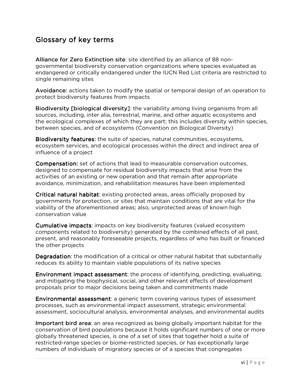## Glossary of key terms

Alliance for Zero Extinction site: site identified by an alliance of 88 nongovernmental biodiversity conservation organizations where species evaluated as endangered or critically endangered under the IUCN Red List criteria are restricted to single remaining sites

Avoidance: actions taken to modify the spatial or temporal design of an operation to protect biodiversity features from impacts

Biodiversity [biological diversity]: the variability among living organisms from all sources, including, inter alia, terrestrial, marine, and other aquatic ecosystems and the ecological complexes of which they are part; this includes diversity within species, between species, and of ecosystems (Convention on Biological Diversity)

Biodiversity features: the suite of species, natural communities, ecosystems, ecosystem services, and ecological processes within the direct and indirect area of influence of a project

Compensation: set of actions that lead to measurable conservation outcomes, designed to compensate for residual biodiversity impacts that arise from the activities of an existing or new operation and that remain after appropriate avoidance, minimization, and rehabilitation measures have been implemented

Critical natural habitat: existing protected areas, areas officially proposed by governments for protection, or sites that maintain conditions that are vital for the viability of the aforementioned areas; also, unprotected areas of known high conservation value

Cumulative impacts: impacts on key biodiversity features (valued ecosystem components related to biodiversity) generated by the combined effects of all past, present, and reasonably foreseeable projects, regardless of who has built or financed the other projects

Degradation: the modification of a critical or other natural habitat that substantially reduces its ability to maintain viable populations of its native species

**Environment impact assessment**: the process of identifying, predicting, evaluating, and mitigating the biophysical, social, and other relevant effects of development proposals prior to major decisions being taken and commitments made

**Environmental assessment**: a generic term covering various types of assessment processes, such as environmental impact assessment, strategic environmental assessment, sociocultural analysis, environmental analyses, and environmental audits

Important bird area: an area recognized as being globally important habitat for the conservation of bird populations because it holds significant numbers of one or more globally threatened species, is one of a set of sites that together hold a suite of restricted-range species or biome-restricted species, or has exceptionally large numbers of individuals of migratory species or of a species that congregates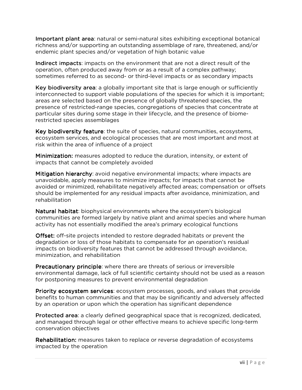Important plant area: natural or semi-natural sites exhibiting exceptional botanical richness and/or supporting an outstanding assemblage of rare, threatened, and/or endemic plant species and/or vegetation of high botanic value

Indirect impacts: impacts on the environment that are not a direct result of the operation, often produced away from or as a result of a complex pathway; sometimes referred to as second- or third-level impacts or as secondary impacts

Key biodiversity area: a globally important site that is large enough or sufficiently interconnected to support viable populations of the species for which it is important; areas are selected based on the presence of globally threatened species, the presence of restricted-range species, congregations of species that concentrate at particular sites during some stage in their lifecycle, and the presence of biomerestricted species assemblages

Key biodiversity feature: the suite of species, natural communities, ecosystems, ecosystem services, and ecological processes that are most important and most at risk within the area of influence of a project

Minimization: measures adopted to reduce the duration, intensity, or extent of impacts that cannot be completely avoided

Mitigation hierarchy: avoid negative environmental impacts; where impacts are unavoidable, apply measures to minimize impacts; for impacts that cannot be avoided or minimized, rehabilitate negatively affected areas; compensation or offsets should be implemented for any residual impacts after avoidance, minimization, and rehabilitation

Natural habitat: biophysical environments where the ecosystem's biological communities are formed largely by native plant and animal species and where human activity has not essentially modified the area's primary ecological functions

Offset: off-site projects intended to restore degraded habitats or prevent the degradation or loss of those habitats to compensate for an operation's residual impacts on biodiversity features that cannot be addressed through avoidance, minimization, and rehabilitation

Precautionary principle: where there are threats of serious or irreversible environmental damage, lack of full scientific certainty should not be used as a reason for postponing measures to prevent environmental degradation

Priority ecosystem services: ecosystem processes, goods, and values that provide benefits to human communities and that may be significantly and adversely affected by an operation or upon which the operation has significant dependence

Protected area: a clearly defined geographical space that is recognized, dedicated, and managed through legal or other effective means to achieve specific long-term conservation objectives

Rehabilitation: measures taken to replace or reverse degradation of ecosystems impacted by the operation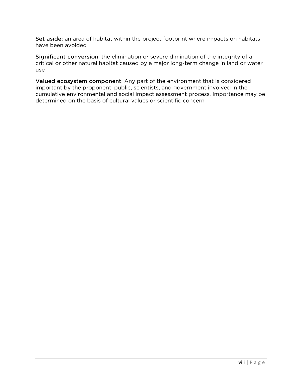Set aside: an area of habitat within the project footprint where impacts on habitats have been avoided

Significant conversion: the elimination or severe diminution of the integrity of a critical or other natural habitat caused by a major long-term change in land or water use

Valued ecosystem component: Any part of the environment that is considered important by the proponent, public, scientists, and government involved in the cumulative environmental and social impact assessment process. Importance may be determined on the basis of cultural values or scientific concern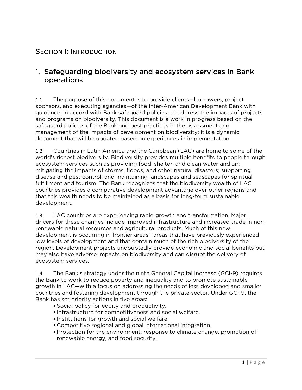### SECTION I: INTRODUCTION

### 1. Safeguarding biodiversity and ecosystem services in Bank operations operations

1.1. The purpose of this document is to provide clients—borrowers, project sponsors, and executing agencies—of the Inter-American Development Bank with guidance, in accord with Bank safeguard policies, to address the impacts of projects and programs on biodiversity. This document is a work in progress based on the safeguard policies of the Bank and best practices in the assessment and management of the impacts of development on biodiversity; it is a dynamic document that will be updated based on experiences in implementation.

1.2. Countries in Latin America and the Caribbean (LAC) are home to some of the world's richest biodiversity. Biodiversity provides multiple benefits to people through ecosystem services such as providing food, shelter, and clean water and air; mitigating the impacts of storms, floods, and other natural disasters; supporting disease and pest control; and maintaining landscapes and seascapes for spiritual fulfillment and tourism. The Bank recognizes that the biodiversity wealth of LAC countries provides a comparative development advantage over other regions and that this wealth needs to be maintained as a basis for long-term sustainable development.

1.3. LAC countries are experiencing rapid growth and transformation. Major drivers for these changes include improved infrastructure and increased trade in nonrenewable natural resources and agricultural products. Much of this new development is occurring in frontier areas—areas that have previously experienced low levels of development and that contain much of the rich biodiversity of the region. Development projects undoubtedly provide economic and social benefits but may also have adverse impacts on biodiversity and can disrupt the delivery of ecosystem services.

1.4. The Bank's strategy under the ninth General Capital Increase (GCI-9) requires the Bank to work to reduce poverty and inequality and to promote sustainable growth in LAC—with a focus on addressing the needs of less developed and smaller countries and fostering development through the private sector. Under GCI-9, the Bank has set priority actions in five areas:

- Social policy for equity and productivity.
- Infrastructure for competitiveness and social welfare.
- Institutions for growth and social welfare.
- Competitive regional and global international integration.
- Protection for the environment, response to climate change, promotion of renewable energy, and food security.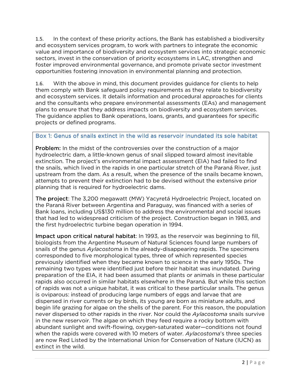1.5. In the context of these priority actions, the Bank has established a biodiversity and ecosystem services program, to work with partners to integrate the economic value and importance of biodiversity and ecosystem services into strategic economic sectors, invest in the conservation of priority ecosystems in LAC, strengthen and foster improved environmental governance, and promote private sector investment opportunities fostering innovation in environmental planning and protection.

1.6. With the above in mind, this document provides guidance for clients to help them comply with Bank safeguard policy requirements as they relate to biodiversity and ecosystem services. It details information and procedural approaches for clients and the consultants who prepare environmental assessments (EAs) and management plans to ensure that they address impacts on biodiversity and ecosystem services. The guidance applies to Bank operations, loans, grants, and guarantees for specific projects or defined programs.

#### Box 1: Genus of snails extinct in the wild as reservoir inundated its sole habitat

**Problem:** In the midst of the controversies over the construction of a major hydroelectric dam, a little-known genus of snail slipped toward almost inevitable extinction. The project's environmental impact assessment (EIA) had failed to find the snails, which lived in the rapids in one particular stretch of the Paraná River, just upstream from the dam. As a result, when the presence of the snails became known, attempts to prevent their extinction had to be devised without the extensive prior planning that is required for hydroelectric dams.

The project: The 3,200 megawatt (MW) Yacyretá Hydroelectric Project, located on the Paraná River between Argentina and Paraguay, was financed with a series of Bank loans, including US\$130 million to address the environmental and social issues that had led to widespread criticism of the project. Construction began in 1983, and the first hydroelectric turbine began operation in 1994.

Impact upon critical natural habitat: In 1993, as the reservoir was beginning to fill, biologists from the Argentine Museum of Natural Sciences found large numbers of snails of the genus *Aylacostoma* in the already-disappearing rapids. The specimens corresponded to five morphological types, three of which represented species previously identified when they became known to science in the early 1950s. The remaining two types were identified just before their habitat was inundated. During preparation of the EIA, it had been assumed that plants or animals in these particular rapids also occurred in similar habitats elsewhere in the Paraná. But while this section of rapids was not a unique habitat, it was critical to these particular snails. The genus is oviparous: instead of producing large numbers of eggs and larvae that are dispersed in river currents or by birds, its young are born as miniature adults, and begin life grazing for algae on the shells of the parent. For this reason, the population never dispersed to other rapids in the river. Nor could the *Aylacostoma* snails survive in the new reservoir. The algae on which they feed require a rocky bottom with abundant sunlight and swift-flowing, oxygen-saturated water—conditions not found when the rapids were covered with 10 meters of water. *Aylacostoma*'s three species are now Red Listed by the International Union for Conservation of Nature (IUCN) as extinct in the wild.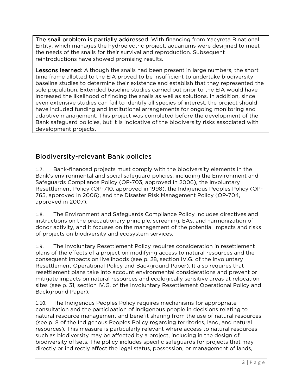The snail problem is partially addressed: With financing from Yacyreta Binational Entity, which manages the hydroelectric project, aquariums were designed to meet the needs of the snails for their survival and reproduction. Subsequent reintroductions have showed promising results.

**Lessons learned:** Although the snails had been present in large numbers, the short time frame allotted to the EIA proved to be insufficient to undertake biodiversity baseline studies to determine their existence and establish that they represented the sole population. Extended baseline studies carried out prior to the EIA would have increased the likelihood of finding the snails as well as solutions. In addition, since even extensive studies can fail to identify all species of interest, the project should have included funding and institutional arrangements for ongoing monitoring and adaptive management. This project was completed before the development of the Bank safeguard policies, but it is indicative of the biodiversity risks associated with development projects.

### Biodiversity-relevant Bank policies

1.7. Bank-financed projects must comply with the biodiversity elements in the Bank's environmental and social safeguard policies, including the Environment and Safeguards Compliance Policy (OP-703, approved in 2006), the Involuntary Resettlement Policy (OP-710, approved in 1998), the Indigenous Peoples Policy (OP-765, approved in 2006), and the Disaster Risk Management Policy (OP-704, approved in 2007).

1.8. The Environment and Safeguards Compliance Policy includes directives and instructions on the precautionary principle, screening, EAs, and harmonization of donor activity, and it focuses on the management of the potential impacts and risks of projects on biodiversity and ecosystem services.

1.9. The Involuntary Resettlement Policy requires consideration in resettlement plans of the effects of a project on modifying access to natural resources and the consequent impacts on livelihoods (see p. 28, section IV.G. of the Involuntary Resettlement Operational Policy and Background Paper). It also requires that resettlement plans take into account environmental considerations and prevent or mitigate impacts on natural resources and ecologically sensitive areas at relocation sites (see p. 31, section IV.G. of the Involuntary Resettlement Operational Policy and Background Paper).

1.10. The Indigenous Peoples Policy requires mechanisms for appropriate consultation and the participation of indigenous people in decisions relating to natural resource management and benefit sharing from the use of natural resources (see p. 8 of the Indigenous Peoples Policy regarding territories, land, and natural resources). This measure is particularly relevant where access to natural resources such as biodiversity may be affected by a project, including in the design of biodiversity offsets. The policy includes specific safeguards for projects that may directly or indirectly affect the legal status, possession, or management of lands,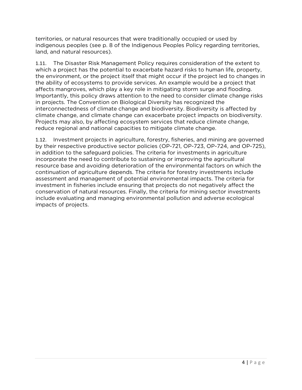territories, or natural resources that were traditionally occupied or used by indigenous peoples (see p. 8 of the Indigenous Peoples Policy regarding territories, land, and natural resources).

1.11. The Disaster Risk Management Policy requires consideration of the extent to which a project has the potential to exacerbate hazard risks to human life, property, the environment, or the project itself that might occur if the project led to changes in the ability of ecosystems to provide services. An example would be a project that affects mangroves, which play a key role in mitigating storm surge and flooding. Importantly, this policy draws attention to the need to consider climate change risks in projects. The Convention on Biological Diversity has recognized the interconnectedness of climate change and biodiversity. Biodiversity is affected by climate change, and climate change can exacerbate project impacts on biodiversity. Projects may also, by affecting ecosystem services that reduce climate change, reduce regional and national capacities to mitigate climate change.

1.12. Investment projects in agriculture, forestry, fisheries, and mining are governed by their respective productive sector policies (OP-721, OP-723, OP-724, and OP-725), in addition to the safeguard policies. The criteria for investments in agriculture incorporate the need to contribute to sustaining or improving the agricultural resource base and avoiding deterioration of the environmental factors on which the continuation of agriculture depends. The criteria for forestry investments include assessment and management of potential environmental impacts. The criteria for investment in fisheries include ensuring that projects do not negatively affect the conservation of natural resources. Finally, the criteria for mining sector investments include evaluating and managing environmental pollution and adverse ecological impacts of projects.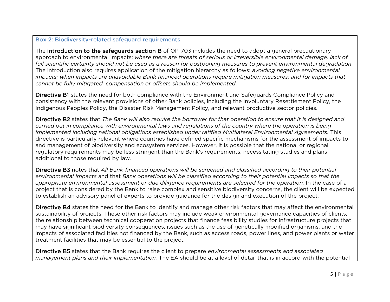### Box 2: Biodiversity-related safeguard requirements

The **introduction to the safeguards section B** of OP-703 includes the need to adopt a general precautionary the  $\mu$ approach to environmental impacts: *where there are threats of serious or irreversible environmental damage, lack of full scientific certainty should not be used as a reason for postponing measures to prevent environmental degradation*. The introduction also requires application of the mitigation hierarchy as follows: *avoiding negative environmental impacts; when impacts are unavoidable Bank financed operations require mitigation measures; and for impacts that cannot be fully mitigated, compensation or offsets should be implemented*.

Di**rective B1** states the need for both compliance with the Environment and Safeguards Compliance Policy and consistency with the relevant provisions of other Bank policies, including the Involuntary Resettlement Policy, the Indigenous Peoples Policy, the Disaster Risk Management Policy, and relevant productive sector policies.

Directive B2 states that B2 *The Bank will also require the borrower for that operation to ensure that it is designed and carried out in compliance with environmental laws and regulations of the country where the operation is being implemented including national obligations established under ratified Multilateral Environmental Agreements.* This directive is particularly relevant where countries have defined specific mechanisms for the assessment of impacts to and management of biodiversity and ecosystem services. However, it is possible that the national or regional regulatory requirements may be less stringent than the Bank's requirements, necessitating studies and plans additional to those required by law.

Directive B3 notes that B3 *All Bank-financed operations will be screened and classified according to their potential environmental impacts* and that *Bank operations will be classified according to their potential impacts so that the appropriate environmental assessment or due diligence requirements are selected for the operation.* In the case of a project that is considered by the Bank to raise complex and sensitive biodiversity concerns, the client will be expected to establish an advisory panel of experts to provide guidance for the design and execution of the project.

Directive B4 states the need for the Bank to identify and manage other risk factors that may affect the environmental sustainability of projects. These other risk factors may include weak environmental governance capacities of clients, the relationship between technical cooperation projects that finance feasibility studies for infrastructure projects that may have significant biodiversity consequences, issues such as the use of genetically modified organisms, and the impacts of associated facilities not financed by the Bank, such as access roads, power lines, and power plants or water treatment facilities that may be essential to the project.

Di**rective B5** states that the Bank requires the client to prepare *environmental assessments and associated* **product** *management plans and their implementation.* The EA should be at a level of detail that is in accord with the potential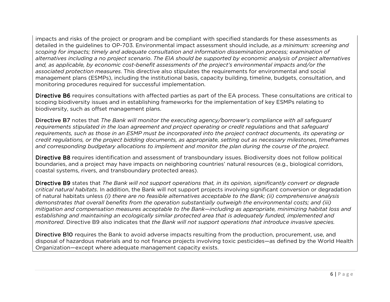impacts and risks of the project or program and be compliant with specified standards for these assessments as detailed in the guidelines to OP-703. Environmental impact assessment should include, *as a minimum: screening and scoping for impacts; timely and adequate consultation and information dissemination process; examination of alternatives including a no project scenario*. *The EIA should be supported by economic analysis of project alternatives and, as applicable, by economic cost-benefit assessments of the project's environmental impacts and/or the associated protection measures*. This directive also stipulates the requirements for environmental and social management plans (ESMPs), including the institutional basis, capacity building, timeline, budgets, consultation, and monitoring procedures required for successful implementation.

Di**rective B6** requires consultations with affected parties as part of the EA process. These consultations are critical to scoping biodiversity issues and in establishing frameworks for the implementation of key ESMPs relating to biodiversity, such as offset management plans.

Di**rective B7** notes that *The Bank will monitor the executing agency/borrower's compliance with all safeguard requirements stipulated in the loan agreement and project operating or credit regulations* and that *safeguard requirements, such as those in an ESMP must be incorporated into the project contract documents, its operating or credit regulations, or the project bidding documents, as appropriate, setting out as necessary milestones, timeframes and corresponding budgetary allocations to implement and monitor the plan during the course of the project*.

**Directive B8** requires identification and assessment of transboundary issues. Biodiversity does not follow political boundaries, and a project may have impacts on neighboring countries' natural resources (e.g., biological corridors, coastal systems, rivers, and transboundary protected areas).

Directive B9 states that B9 *The Bank will not support operations that, in its opinion, significantly convert or degrade critical natural habitats*. In addition, the Bank will not support projects involving significant conversion or degradation of natural habitats unless *(i) there are no feasible alternatives acceptable to the Bank; (ii) comprehensive analysis demonstrates that overall benefits from the operation substantially outweigh the environmental costs; and (iii) mitigation and compensation measures acceptable to the Bank—including as appropriate, minimizing habitat loss and establishing and maintaining an ecologically similar protected area that is adequately funded, implemented and monitored*. Directive B9 also indicates that *the Bank will not support operations that introduce invasive species.*

**Directive B10** requires the Bank to avoid adverse impacts resulting from the production, procurement, use, and<br>disposal of bazardous materials and to not finance projects involving toxic pesticides—as defined by the World disposal of hazardous materials and to not finance projects involving toxic pesticides—as defined by the World Health Organization—except where adequate management capacity exists.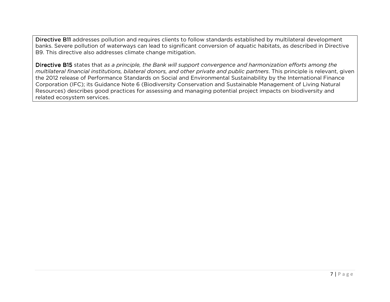Directive B11 addresses pollution and requires clients to follow standards established by multilateral development<br>. banks. Severe pollution of waterways can lead to significant conversion of aquatic habitats, as described in Directive B9. This directive also addresses climate change mitigation.

Directive B15 states that B15 *as a principle, the Bank will support convergence and harmonization efforts among the multilateral financial institutions, bilateral donors, and other private and public partners*. This principle is relevant, given the 2012 release of Performance Standards on Social and Environmental Sustainability by the International Finance Corporation (IFC); its Guidance Note 6 (Biodiversity Conservation and Sustainable Management of Living Natural Resources) describes good practices for assessing and managing potential project impacts on biodiversity and related ecosystem services.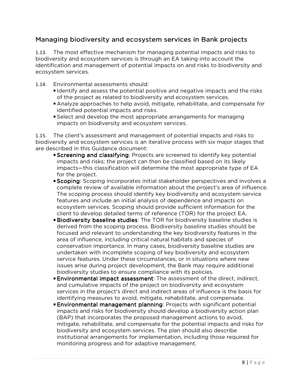#### Managing biodiversity and ecosystem services in Bank projects

1.13. The most effective mechanism for managing potential impacts and risks to biodiversity and ecosystem services is through an EA taking into account the identification and management of potential impacts on and risks to biodiversity and ecosystem services.

- 1.14. Environmental assessments should:
	- I dentify and assess the potential positive and negative impacts and the risks of the project as related to biodiversity and ecosystem services.
	- Analyze approaches to help avoid, mitigate, rehabilitate, and compensate for identified potential impacts and risks.
	- Select and develop the most appropriate arrangements for managing impacts on biodiversity and ecosystem services.

1.15. The client's assessment and management of potential impacts and risks to biodiversity and ecosystem services is an iterative process with six major stages that are described in this Guidance document:

- **Screening and classifying**: Projects are screened to identify key potential impacts and risks; the project can then be classified based on its likely impacts—this classification will determine the most appropriate type of EA for the project.
- Scoping: Scoping incorporates initial stakeholder perspectives and involves a complete review of available information about the project's area of influence. The scoping process should identify key biodiversity and ecosystem service features and include an initial analysis of dependence and impacts on ecosystem services. Scoping should provide sufficient information for the client to develop detailed terms of reference (TOR) for the project EA.
- **Biodiversity baseline studies**: The TOR for biodiversity baseline studies is derived from the scoping process. Biodiversity baseline studies should be focused and relevant to understanding the key biodiversity features in the area of influence, including critical natural habitats and species of conservation importance. In many cases, biodiversity baseline studies are undertaken with incomplete scoping of key biodiversity and ecosystem service features. Under these circumstances, or in situations where new issues arise during project development, the Bank may require additional biodiversity studies to ensure compliance with its policies.
- **Environmental impact assessment**: The assessment of the direct, indirect, and cumulative impacts of the project on biodiversity and ecosystem services in the project's direct and indirect areas of influence is the basis for identifying measures to avoid, mitigate, rehabilitate, and compensate.
- **Environmental management planning: Projects with significant potential gnificant** impacts and risks for biodiversity should develop a biodiversity action plan (BAP) that incorporates the proposed management actions to avoid, mitigate, rehabilitate, and compensate for the potential impacts and risks for biodiversity and ecosystem services. The plan should also describe institutional arrangements for implementation, including those required for monitoring progress and for adaptive management.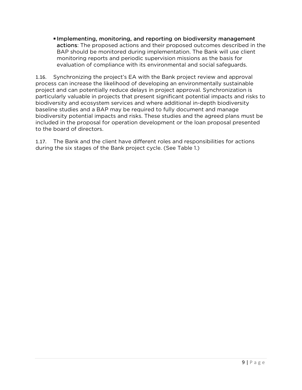Implementing, monitoring, and reporting on biodiversity management actions: The proposed actions and their proposed outcomes described in the BAP should be monitored during implementation. The Bank will use client monitoring reports and periodic supervision missions as the basis for evaluation of compliance with its environmental and social safeguards.

1.16. Synchronizing the project's EA with the Bank project review and approval process can increase the likelihood of developing an environmentally sustainable project and can potentially reduce delays in project approval. Synchronization is particularly valuable in projects that present significant potential impacts and risks to biodiversity and ecosystem services and where additional in-depth biodiversity baseline studies and a BAP may be required to fully document and manage biodiversity potential impacts and risks. These studies and the agreed plans must be included in the proposal for operation development or the loan proposal presented to the board of directors.

1.17. The Bank and the client have different roles and responsibilities for actions during the six stages of the Bank project cycle. (See Table 1.)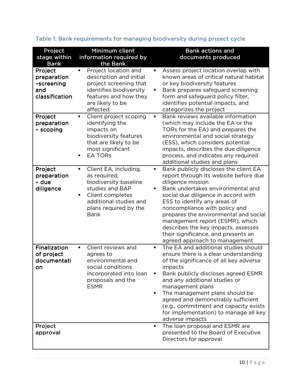| Project<br>stage within<br><b>Bank</b>                        | Minimum client<br>information required by<br>the Bank                                                                                                                   | <b>Bank actions and</b><br>documents produced                                                                                                                                                                                                                                                                                                                                                                                                    |
|---------------------------------------------------------------|-------------------------------------------------------------------------------------------------------------------------------------------------------------------------|--------------------------------------------------------------------------------------------------------------------------------------------------------------------------------------------------------------------------------------------------------------------------------------------------------------------------------------------------------------------------------------------------------------------------------------------------|
| Project<br>preparation<br>-screening<br>and<br>classification | Project location and<br>description and initial<br>project screening that<br>identifies biodiversity<br>features and how they<br>are likely to be<br>affected           | Assess project location overlap with<br>known areas of critical natural habitat<br>or key biodiversity features<br>Bank prepares safeguard screening<br>form and safeguard policy filter,<br>identifies potential impacts, and<br>categorizes the project                                                                                                                                                                                        |
| Project<br>preparation<br>- scoping                           | Client project scoping<br>٠<br>identifying the<br>impacts on<br>biodiversity features<br>that are likely to be<br>most significant<br><b>EA TORS</b>                    | Bank reviews available information<br>$\blacksquare$<br>(which may include the EA or the<br>TORs for the EA) and prepares the<br>environmental and social strategy<br>(ESS), which considers potential<br>impacts, describes the due diligence<br>process, and indicates any required<br>additional studies and plans                                                                                                                            |
| Project<br>preparation<br>- due<br>diligence                  | Client EA, including,<br>as required,<br>biodiversity baseline<br>studies and BAP<br>Client completes<br>additional studies and<br>plans required by the<br><b>Bank</b> | Bank publicly discloses the client EA<br>٠<br>report through its website before due<br>diligence mission<br>Bank undertakes environmental and<br>social due diligence in accord with<br>ESS to identify any areas of<br>noncompliance with policy and<br>prepares the environmental and social<br>management report (ESMR), which<br>describes the key impacts, assesses<br>their significance, and presents an<br>agreed approach to management |
| Finalization<br>of project<br>documentati<br>on               | Client reviews and<br>$\blacksquare$<br>agrees to<br>environmental and<br>social conditions<br>incorporated into loan<br>proposals and the<br><b>ESMR</b>               | The EA and additional studies should<br>$\blacksquare$<br>ensure there is a clear understanding<br>of the significance of all key adverse<br>impacts<br>Bank publicly discloses agreed ESMR<br>and any additional studies or<br>management plans<br>The management plans should be<br>agreed and demonstrably sufficient<br>(e.g., commitment and capacity exists<br>for implementation) to manage all key<br>adverse impacts                    |
| Project<br>approval                                           |                                                                                                                                                                         | The loan proposal and ESMR are<br>$\blacksquare$<br>presented to the Board of Executive<br>Directors for approval                                                                                                                                                                                                                                                                                                                                |

### Table 1: Bank requirements for managing biodiversity during project cycle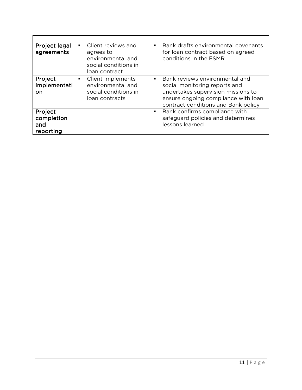| Project legal<br>agreements               | Client reviews and<br>$\blacksquare$<br>agrees to<br>environmental and<br>social conditions in<br>loan contract | Bank drafts environmental covenants<br>$\blacksquare$<br>for loan contract based on agreed<br>conditions in the ESMR                                                                     |
|-------------------------------------------|-----------------------------------------------------------------------------------------------------------------|------------------------------------------------------------------------------------------------------------------------------------------------------------------------------------------|
| Project<br>implementati<br>on             | Client implements<br>$\blacksquare$<br>environmental and<br>social conditions in<br>loan contracts              | Bank reviews environmental and<br>٠<br>social monitoring reports and<br>undertakes supervision missions to<br>ensure ongoing compliance with loan<br>contract conditions and Bank policy |
| Project<br>completion<br>and<br>reporting |                                                                                                                 | Bank confirms compliance with<br>$\blacksquare$<br>safeguard policies and determines<br>lessons learned                                                                                  |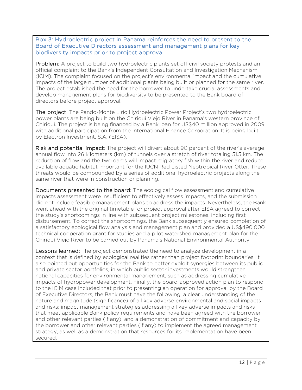#### Box 3: Hydroelectric project in Panama reinforces the need to present to the Board of Executive Directors assessment and management plans for key biodiversity impacts prior to project approval

**Problem:** A project to build two hydroelectric plants set off civil society protests and an official complaint to the Bank's Independent Consultation and Investigation Mechanism (ICIM). The complaint focused on the project's environmental impact and the cumulative impacts of the large number of additional plants being built or planned for the same river. The project established the need for the borrower to undertake crucial assessments and develop management plans for biodiversity to be presented to the Bank board of directors before project approval.

The project: The Pando-Monte Lirio Hydroelectric Power Project's two hydroelectric power plants are being built on the Chiriquí Viejo River in Panama's western province of Chiriquí. The project is being financed by a Bank loan for US\$40 million approved in 2009, with additional participation from the International Finance Corporation. It is being built by Electron Investment, S.A. (EISA).

Risk and potential impact: The project will divert about 90 percent of the river's average annual flow into 26 kilometers (km) of tunnels over a stretch of river totaling 51.5 km. The reduction of flow and the two dams will impact migratory fish within the river and reduce available aquatic habitat important for the IUCN Red Listed Neotropical River Otter. These threats would be compounded by a series of additional hydroelectric projects along the same river that were in construction or planning.

Documents presented to the board: The ecological flow assessment and cumulative impacts assessment were insufficient to effectively assess impacts, and the submission did not include feasible management plans to address the impacts. Nevertheless, the Bank went ahead with the original timetable for project approval after EISA agreed to correct the study's shortcomings in line with subsequent project milestones, including first disbursement. To correct the shortcomings, the Bank subsequently ensured completion of a satisfactory ecological flow analysis and management plan and provided a US\$490,000 technical cooperation grant for studies and a pilot watershed management plan for the Chiriquí Viejo River to be carried out by Panama's National Environmental Authority.

**Lessons learned:** The project demonstrated the need to analyze development in a context that is defined by ecological realities rather than project footprint boundaries. It also pointed out opportunities for the Bank to better exploit synergies between its public and private sector portfolios, in which public sector investments would strengthen national capacities for environmental management, such as addressing cumulative impacts of hydropower development. Finally, the board-approved action plan to respond to the ICIM case included that prior to presenting an operation for approval by the Board of Executive Directors, the Bank must have the following: a clear understanding of the nature and magnitude (significance) of all key adverse environmental and social impacts and risks; impact management strategies addressing all key adverse impacts and risks that meet applicable Bank policy requirements and have been agreed with the borrower and other relevant parties (if any); and a demonstration of commitment and capacity by the borrower and other relevant parties (if any) to implement the agreed management strategy, as well as a demonstration that resources for its implementation have been secured.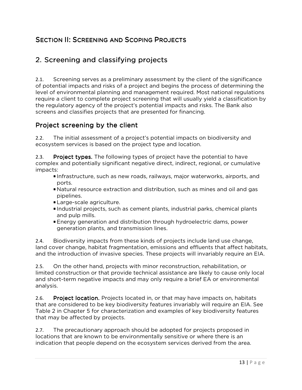### SECTION II: SCREENING AND SCOPING PROJECTS

# 2. Screening and classifying projects

2.1. Screening serves as a preliminary assessment by the client of the significance of potential impacts and risks of a project and begins the process of determining the level of environmental planning and management required. Most national regulations require a client to complete project screening that will usually yield a classification by the regulatory agency of the project's potential impacts and risks. The Bank also screens and classifies projects that are presented for financing.

#### Project screening by the client

2.2. The initial assessment of a project's potential impacts on biodiversity and ecosystem services is based on the project type and location.

2.3. Project types. The following types of project have the potential to have complex and potentially significant negative direct, indirect, regional, or cumulative impacts:

- Infrastructure, such as new roads, railways, major waterworks, airports, and ports.
- Natural resource extraction and distribution, such as mines and oil and gas pipelines.
- Large-scale agriculture.
- Industrial projects, such as cement plants, industrial parks, chemical plants and pulp mills.
- Energy generation and distribution through hydroelectric dams, power generation plants, and transmission lines.

2.4. Biodiversity impacts from these kinds of projects include land use change, land cover change, habitat fragmentation, emissions and effluents that affect habitats, and the introduction of invasive species. These projects will invariably require an EIA.

2.5. On the other hand, projects with minor reconstruction, rehabilitation, or limited construction or that provide technical assistance are likely to cause only local and short-term negative impacts and may only require a brief EA or environmental analysis.

2.6. Project location. Projects located in, or that may have impacts on, habitats that are considered to be key biodiversity features invariably will require an EIA. See Table 2 in Chapter 5 for characterization and examples of key biodiversity features that may be affected by projects.

2.7. The precautionary approach should be adopted for projects proposed in locations that are known to be environmentally sensitive or where there is an indication that people depend on the ecosystem services derived from the area.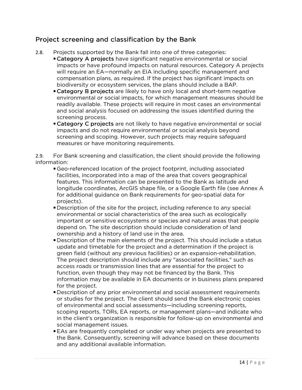#### Project screening and classification by the Bank

- 2.8. Projects supported by the Bank fall into one of three categories:
	- Category A projects have significant negative environmental or social impacts or have profound impacts on natural resources. Category A projects will require an EA—normally an EIA including specific management and compensation plans, as required. If the project has significant impacts on biodiversity or ecosystem services, the plans should include a BAP.
	- **Category B projects** are likely to have only local and short-term negative environmental or social impacts, for which management measures should be readily available. These projects will require in most cases an environmental and social analysis focused on addressing the issues identified during the screening process.
	- **Category C projects** are not likely to have negative environmental or social impacts and do not require environmental or social analysis beyond screening and scoping. However, such projects may require safeguard measures or have monitoring requirements.

2.9. For Bank screening and classification, the client should provide the following information:

- Geo-referenced location of the project footprint, including associated facilities, incorporated into a map of the area that covers geographical features. This information can be presented to the Bank as latitude and longitude coordinates, ArcGIS shape file, or a Google Earth file (see Annex A for additional guidance on Bank requirements for geo-spatial data for projects).
- Description of the site for the project, including reference to any special environmental or social characteristics of the area such as ecologically important or sensitive ecosystems or species and natural areas that people depend on. The site description should include consideration of land ownership and a history of land use in the area.
- Description of the main elements of the project. This should include a status update and timetable for the project and a determination if the project is green field (without any previous facilities) or an expansion-rehabilitation. The project description should include any "associated facilities," such as access roads or transmission lines that are essential for the project to function, even though they may not be financed by the Bank. This information may be available in EA documents or in business plans prepared for the project.
- Description of any prior environmental and social assessment requirements or studies for the project. The client should send the Bank electronic copies of environmental and social assessments—including screening reports, scoping reports, TORs, EA reports, or management plans—and indicate who in the client's organization is responsible for follow-up on environmental and social management issues.
- EAs are frequently completed or under way when projects are presented to the Bank. Consequently, screening will advance based on these documents and any additional available information.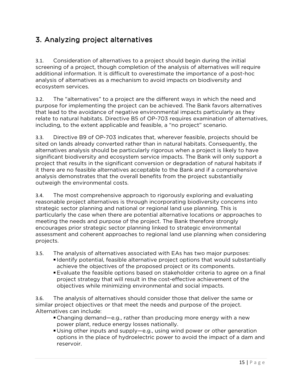# 3. Analyzing project alternatives

3.1. Consideration of alternatives to a project should begin during the initial screening of a project, though completion of the analysis of alternatives will require additional information. It is difficult to overestimate the importance of a post-hoc analysis of alternatives as a mechanism to avoid impacts on biodiversity and ecosystem services.

3.2. The "alternatives" to a project are the different ways in which the need and purpose for implementing the project can be achieved. The Bank favors alternatives that lead to the avoidance of negative environmental impacts particularly as they relate to natural habitats. Directive B5 of OP-703 requires examination of alternatives, including, to the extent applicable and feasible, a "no project" scenario.

3.3. Directive B9 of OP-703 indicates that, wherever feasible, projects should be sited on lands already converted rather than in natural habitats. Consequently, the alternatives analysis should be particularly rigorous when a project is likely to have significant biodiversity and ecosystem service impacts. The Bank will only support a project that results in the significant conversion or degradation of natural habitats if it there are no feasible alternatives acceptable to the Bank and if a comprehensive analysis demonstrates that the overall benefits from the project substantially outweigh the environmental costs.

3.4. The most comprehensive approach to rigorously exploring and evaluating reasonable project alternatives is through incorporating biodiversity concerns into strategic sector planning and national or regional land use planning. This is particularly the case when there are potential alternative locations or approaches to meeting the needs and purpose of the project. The Bank therefore strongly encourages prior strategic sector planning linked to strategic environmental assessment and coherent approaches to regional land use planning when considering projects.

3.5. The analysis of alternatives associated with EAs has two major purposes:

- Identify potential, feasible alternative project options that would substantially achieve the objectives of the proposed project or its components.
- Evaluate the feasible options based on stakeholder criteria to agree on a final project strategy that will result in the cost-effective achievement of the objectives while minimizing environmental and social impacts.

3.6. The analysis of alternatives should consider those that deliver the same or similar project objectives or that meet the needs and purpose of the project. Alternatives can include:

- Changing demand—e.g., rather than producing more energy with a new power plant, reduce energy losses nationally.
- Using other inputs and supply—e.g., using wind power or other generation options in the place of hydroelectric power to avoid the impact of a dam and reservoir.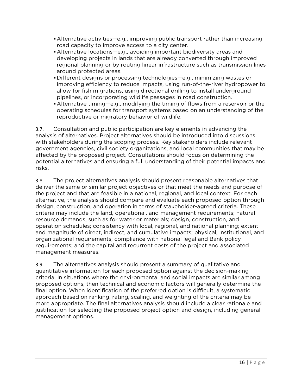- Alternative activities—e.g., improving public transport rather than increasing road capacity to improve access to a city center.
- Alternative locations—e.g., avoiding important biodiversity areas and developing projects in lands that are already converted through improved regional planning or by routing linear infrastructure such as transmission lines around protected areas.
- Different designs or processing technologies—e.g., minimizing wastes or improving efficiency to reduce impacts, using run-of-the-river hydropower to allow for fish migrations, using directional drilling to install underground pipelines, or incorporating wildlife passages in road construction.
- Alternative timing—e.g., modifying the timing of flows from a reservoir or the operating schedules for transport systems based on an understanding of the reproductive or migratory behavior of wildlife.

3.7. Consultation and public participation are key elements in advancing the analysis of alternatives. Project alternatives should be introduced into discussions with stakeholders during the scoping process. Key stakeholders include relevant government agencies, civil society organizations, and local communities that may be affected by the proposed project. Consultations should focus on determining the potential alternatives and ensuring a full understanding of their potential impacts and risks.

3.8. The project alternatives analysis should present reasonable alternatives that deliver the same or similar project objectives or that meet the needs and purpose of the project and that are feasible in a national, regional, and local context. For each alternative, the analysis should compare and evaluate each proposed option through design, construction, and operation in terms of stakeholder-agreed criteria. These criteria may include the land, operational, and management requirements; natural resource demands, such as for water or materials; design, construction, and operation schedules; consistency with local, regional, and national planning; extent and magnitude of direct, indirect, and cumulative impacts; physical, institutional, and organizational requirements; compliance with national legal and Bank policy requirements; and the capital and recurrent costs of the project and associated management measures.

3.9. The alternatives analysis should present a summary of qualitative and quantitative information for each proposed option against the decision-making criteria. In situations where the environmental and social impacts are similar among proposed options, then technical and economic factors will generally determine the final option. When identification of the preferred option is difficult, a systematic approach based on ranking, rating, scaling, and weighting of the criteria may be more appropriate. The final alternatives analysis should include a clear rationale and justification for selecting the proposed project option and design, including general management options.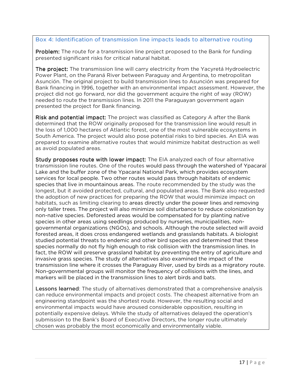#### Box 4: Identification of transmission line impacts leads to alternative routing

Problem: The route for a transmission line project proposed to the Bank for funding presented significant risks for critical natural habitat.

The project: The transmission line will carry electricity from the Yacyretá Hydroelectric Power Plant, on the Paraná River between Paraguay and Argentina, to metropolitan Asunción. The original project to build transmission lines to Asunción was prepared for Bank financing in 1996, together with an environmental impact assessment. However, the project did not go forward, nor did the government acquire the right of way (ROW) needed to route the transmission lines. In 2011 the Paraguayan government again presented the project for Bank financing.

Risk and potential impact: The project was classified as Category A after the Bank determined that the ROW originally proposed for the transmission line would result in the loss of 1,000 hectares of Atlantic forest, one of the most vulnerable ecosystems in South America. The project would also pose potential risks to bird species. An EIA was prepared to examine alternative routes that would minimize habitat destruction as well as avoid populated areas.

Study proposes route with lower impact: The EIA analyzed each of four alternative transmission line routes. One of the routes would pass through the watershed of Ypacaraí Lake and the buffer zone of the Ypacaraí National Park, which provides ecosystem services for local people. Two other routes would pass through habitats of endemic species that live in mountainous areas. The route recommended by the study was the longest, but it avoided protected, cultural, and populated areas. The Bank also requested the adoption of new practices for preparing the ROW that would minimize impact on habitats, such as limiting clearing to areas directly under the power lines and removing only taller trees. The project will also minimize soil disturbance to reduce colonization by non-native species. Deforested areas would be compensated for by planting native species in other areas using seedlings produced by nurseries, municipalities, nongovernmental organizations (NGOs), and schools. Although the route selected will avoid forested areas, it does cross endangered wetlands and grasslands habitats. A biologist studied potential threats to endemic and other bird species and determined that these species normally do not fly high enough to risk collision with the transmission lines. In fact, the ROW will preserve grassland habitat by preventing the entry of agriculture and invasive grass species. The study of alternatives also examined the impact of the transmission line where it crosses the Paraguay River, used by birds as a migratory route. Non-governmental groups will monitor the frequency of collisions with the lines, and markers will be placed in the transmission lines to alert birds and bats.

Lessons learned: The study of alternatives demonstrated that a comprehensive analysis can reduce environmental impacts and project costs. The cheapest alternative from an engineering standpoint was the shortest route. However, the resulting social and environmental impacts would have aroused considerable opposition, resulting in potentially expensive delays. While the study of alternatives delayed the operation's submission to the Bank's Board of Executive Directors, the longer route ultimately chosen was probably the most economically and environmentally viable.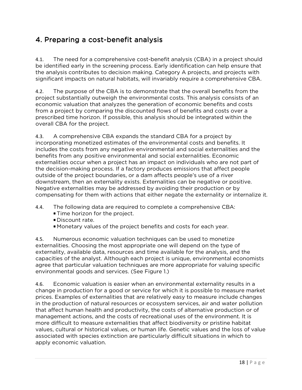# 4. Preparing a cost-benefit analysis

4.1. The need for a comprehensive cost-benefit analysis (CBA) in a project should be identified early in the screening process. Early identification can help ensure that the analysis contributes to decision making. Category A projects, and projects with significant impacts on natural habitats, will invariably require a comprehensive CBA.

4.2. The purpose of the CBA is to demonstrate that the overall benefits from the project substantially outweigh the environmental costs. This analysis consists of an economic valuation that analyzes the generation of economic benefits and costs from a project by comparing the discounted flows of benefits and costs over a prescribed time horizon. If possible, this analysis should be integrated within the overall CBA for the project.

4.3. A comprehensive CBA expands the standard CBA for a project by incorporating monetized estimates of the environmental costs and benefits. It includes the costs from any negative environmental and social externalities and the benefits from any positive environmental and social externalities. Economic externalities occur when a project has an impact on individuals who are not part of the decision-making process. If a factory produces emissions that affect people outside of the project boundaries, or a dam affects people's use of a river downstream, then an externality exists. Externalities can be negative or positive. Negative externalities may be addressed by avoiding their production or by compensating for them with actions that either negate the externality or internalize it.

- 4.4. The following data are required to complete a comprehensive CBA:
	- **Time horizon for the project.**
	- Discount rate.
	- Monetary values of the project benefits and costs for each year.

4.5. Numerous economic valuation techniques can be used to monetize externalities. Choosing the most appropriate one will depend on the type of externality, available data, resources and time available for the analysis, and the capacities of the analyst. Although each project is unique, environmental economists agree that particular valuation techniques are more appropriate for valuing specific environmental goods and services. (See Figure 1.)

4.6. Economic valuation is easier when an environmental externality results in a change in production for a good or service for which it is possible to measure market prices. Examples of externalities that are relatively easy to measure include changes in the production of natural resources or ecosystem services, air and water pollution that affect human health and productivity, the costs of alternative production or of management actions, and the costs of recreational uses of the environment. It is more difficult to measure externalities that affect biodiversity or pristine habitat values, cultural or historical values, or human life. Genetic values and the loss of value associated with species extinction are particularly difficult situations in which to apply economic valuation.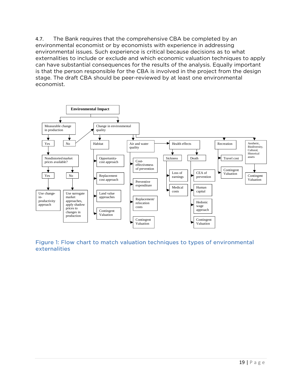4.7. The Bank requires that the comprehensive CBA be completed by an environmental economist or by economists with experience in addressing environmental issues. Such experience is critical because decisions as to what externalities to include or exclude and which economic valuation techniques to apply can have substantial consequences for the results of the analysis. Equally important is that the person responsible for the CBA is involved in the project from the design stage. The draft CBA should be peer-reviewed by at least one environmental economist.



Figure 1: Flow chart to match valuation techniques to types of environmental externalities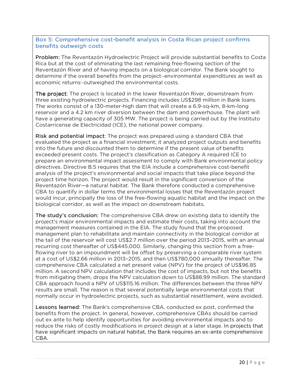#### Box 5: Comprehensive cost-benefit analysis in Costa Rican project confirms benefits outweigh costs

Problem: The Reventazón Hydroelectric Project will provide substantial benefits to Costa Rica but at the cost of eliminating the last remaining free-flowing section of the Reventazón River and of having impacts on a biological corridor. The Bank sought to determine if the overall benefits from the project―environmental expenditures as well as economic returns―outweighed the environmental costs.

The project: The project is located in the lower Reventazón River, downstream from three existing hydroelectric projects. Financing includes US\$298 million in Bank loans. The works consist of a 130-meter-high dam that will create a 6.9-sq-km, 8-km-long reservoir and a 4.2 km river diversion between the dam and powerhouse. The plant will have a generating capacity of 305 MW. The project is being carried out by the Instituto Costarricense de Electricidad (ICE), the national power company.

Risk and potential impact: The project was prepared using a standard CBA that evaluated the project as a financial investment; it analyzed project outputs and benefits into the future and discounted them to determine if the present value of benefits exceeded present costs. The project's classification as Category A required ICE to prepare an environmental impact assessment to comply with Bank environmental policy directives. Directive B.5 requires that the EIA include a comprehensive cost-benefit analysis of the project's environmental and social impacts that take place beyond the project time horizon. The project would result in the significant conversion of the Reventazón River—a natural habitat. The Bank therefore conducted a comprehensive CBA to quantify in dollar terms the environmental losses that the Reventazón project would incur, principally the loss of the free-flowing aquatic habitat and the impact on the biological corridor, as well as the impact on downstream habitats.

The study's conclusion: The comprehensive CBA drew on existing data to identify the project's major environmental impacts and estimate their costs, taking into account the management measures contained in the EIA. The study found that the proposed management plan to rehabilitate and maintain connectivity in the biological corridor at the tail of the reservoir will cost US\$2.7 million over the period 2013–2015, with an annual recurring cost thereafter of US\$445,000. Similarly, changing this section from a freeflowing river to an impoundment will be offset by preserving a comparable river system at a cost of US\$2.66 million in 2013–2015, and then US\$780,000 annually thereafter. The comprehensive CBA calculated a net present value (NPV) for the project of US\$96.85 million. A second NPV calculation that includes the cost of impacts, but not the benefits from mitigating them, drops the NPV calculation down to US\$88.99 million. The standard CBA approach found a NPV of US\$115.16 million. The differences between the three NPV results are small. The reason is that several potentially large environmental costs that normally occur in hydroelectric projects, such as substantial resettlement, were avoided.

**Lessons learned:** The Bank's comprehensive CBA, conducted ex post, confirmed the benefits from the project. In general, however, comprehensive CBAs should be carried out ex ante to help identify opportunities for avoiding environmental impacts and to reduce the risks of costly modifications in project design at a later stage. In projects that have significant impacts on natural habitat, the Bank requires an ex-ante comprehensive CBA.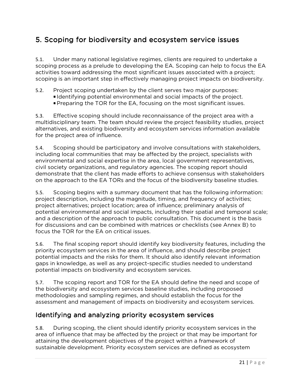# 5. Scoping for biodiversity and ecosystem service issues

5.1. Under many national legislative regimes, clients are required to undertake a scoping process as a prelude to developing the EA. Scoping can help to focus the EA activities toward addressing the most significant issues associated with a project; scoping is an important step in effectively managing project impacts on biodiversity.

- 5.2. Project scoping undertaken by the client serves two major purposes:
	- Identifying potential environmental and social impacts of the project.
	- Preparing the TOR for the EA, focusing on the most significant issues.

5.3. Effective scoping should include reconnaissance of the project area with a multidisciplinary team. The team should review the project feasibility studies, project alternatives, and existing biodiversity and ecosystem services information available for the project area of influence.

5.4. Scoping should be participatory and involve consultations with stakeholders, including local communities that may be affected by the project, specialists with environmental and social expertise in the area, local government representatives, civil society organizations, and regulatory agencies. The scoping report should demonstrate that the client has made efforts to achieve consensus with stakeholders on the approach to the EA TORs and the focus of the biodiversity baseline studies.

5.5. Scoping begins with a summary document that has the following information: project description, including the magnitude, timing, and frequency of activities; project alternatives; project location; area of influence; preliminary analysis of potential environmental and social impacts, including their spatial and temporal scale; and a description of the approach to public consultation. This document is the basis for discussions and can be combined with matrices or checklists (see Annex B) to focus the TOR for the EA on critical issues.

5.6. The final scoping report should identify key biodiversity features, including the priority ecosystem services in the area of influence, and should describe project potential impacts and the risks for them. It should also identify relevant information gaps in knowledge, as well as any project-specific studies needed to understand potential impacts on biodiversity and ecosystem services.

5.7. The scoping report and TOR for the EA should define the need and scope of the biodiversity and ecosystem services baseline studies, including proposed methodologies and sampling regimes, and should establish the focus for the assessment and management of impacts on biodiversity and ecosystem services.

### Identifying and analyzing priority ecosystem services

5.8. During scoping, the client should identify priority ecosystem services in the area of influence that may be affected by the project or that may be important for attaining the development objectives of the project within a framework of sustainable development. Priority ecosystem services are defined as ecosystem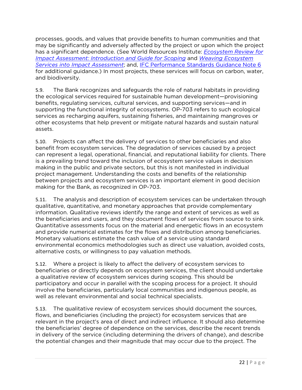processes, goods, and values that provide benefits to human communities and that may be significantly and adversely affected by the project or upon which the project has a significant dependence. (See World Resources Institute: *Ecosystem Review for Impact Assessment: Introduction and Guide for Scoping* and *Weaving Ecosystem Services into Impact Assessment*; and, IFC Performance Standards Guidance Note 6 for additional guidance.) In most projects, these services will focus on carbon, water, and biodiversity.

5.9. The Bank recognizes and safeguards the role of natural habitats in providing the ecological services required for sustainable human development—provisioning benefits, regulating services, cultural services, and supporting services—and in supporting the functional integrity of ecosystems. OP-703 refers to such ecological services as recharging aquifers, sustaining fisheries, and maintaining mangroves or other ecosystems that help prevent or mitigate natural hazards and sustain natural assets.

5.10. Projects can affect the delivery of services to other beneficiaries and also benefit from ecosystem services. The degradation of services caused by a project can represent a legal, operational, financial, and reputational liability for clients. There is a prevailing trend toward the inclusion of ecosystem service values in decision making in the public and private sectors, but this is not manifested in individual project management. Understanding the costs and benefits of the relationship between projects and ecosystem services is an important element in good decision making for the Bank, as recognized in OP-703.

5.11. The analysis and description of ecosystem services can be undertaken through qualitative, quantitative, and monetary approaches that provide complementary information. Qualitative reviews identify the range and extent of services as well as the beneficiaries and users, and they document flows of services from source to sink. Quantitative assessments focus on the material and energetic flows in an ecosystem and provide numerical estimates for the flows and distribution among beneficiaries. Monetary valuations estimate the cash value of a service using standard environmental economics methodologies such as direct use valuation, avoided costs, alternative costs, or willingness to pay valuation methods.

5.12. Where a project is likely to affect the delivery of ecosystem services to beneficiaries or directly depends on ecosystem services, the client should undertake a qualitative review of ecosystem services during scoping. This should be participatory and occur in parallel with the scoping process for a project. It should involve the beneficiaries, particularly local communities and indigenous people, as well as relevant environmental and social technical specialists.

5.13. The qualitative review of ecosystem services should document the sources, flows, and beneficiaries (including the project) for ecosystem services that are relevant in the project's area of direct and indirect influence. It should also determine the beneficiaries' degree of dependence on the services, describe the recent trends in delivery of the service (including determining the drivers of change), and describe the potential changes and their magnitude that may occur due to the project. The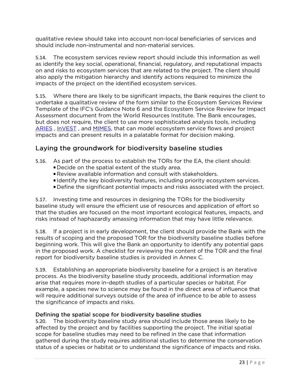qualitative review should take into account non-local beneficiaries of services and should include non-instrumental and non-material services.

5.14. The ecosystem services review report should include this information as well as identify the key social, operational, financial, regulatory, and reputational impacts on and risks to ecosystem services that are related to the project. The client should also apply the mitigation hierarchy and identify actions required to minimize the impacts of the project on the identified ecosystem services.

5.15. Where there are likely to be significant impacts, the Bank requires the client to undertake a qualitative review of the form similar to the Ecosystem Services Review Template of the IFC's Guidance Note 6 and the Ecosystem Service Review for Impact Assessment document from the World Resources Institute. The Bank encourages, but does not require, the client to use more sophisticated analysis tools, including ARIES , InVEST , and MIMES, that can model ecosystem service flows and project impacts and can present results in a palatable format for decision making.

#### Laying the groundwork for biodiversity baseline studies

- 5.16. As part of the process to establish the TORs for the EA, the client should:
	- Decide on the spatial extent of the study area.
	- Review available information and consult with stakeholders.
	- I dentify the key biodiversity features, including priority ecosystem services.
	- Define the significant potential impacts and risks associated with the project.

5.17. Investing time and resources in designing the TORs for the biodiversity baseline study will ensure the efficient use of resources and application of effort so that the studies are focused on the most important ecological features, impacts, and risks instead of haphazardly amassing information that may have little relevance.

5.18. If a project is in early development, the client should provide the Bank with the results of scoping and the proposed TOR for the biodiversity baseline studies before beginning work. This will give the Bank an opportunity to identify any potential gaps in the proposed work. A checklist for reviewing the content of the TOR and the final report for biodiversity baseline studies is provided in Annex C.

5.19. Establishing an appropriate biodiversity baseline for a project is an iterative process. As the biodiversity baseline study proceeds, additional information may arise that requires more in-depth studies of a particular species or habitat. For example, a species new to science may be found in the direct area of influence that will require additional surveys outside of the area of influence to be able to assess the significance of impacts and risks.

#### Defining the spatial scope for biodiversity baseline studies

5.20. The biodiversity baseline study area should include those areas likely to be affected by the project and by facilities supporting the project. The initial spatial scope for baseline studies may need to be refined in the case that information gathered during the study requires additional studies to determine the conservation status of a species or habitat or to understand the significance of impacts and risks.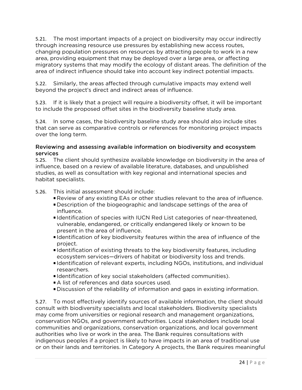5.21. The most important impacts of a project on biodiversity may occur indirectly through increasing resource use pressures by establishing new access routes, changing population pressures on resources by attracting people to work in a new area, providing equipment that may be deployed over a large area, or affecting migratory systems that may modify the ecology of distant areas. The definition of the area of indirect influence should take into account key indirect potential impacts.

5.22. Similarly, the areas affected through cumulative impacts may extend well beyond the project's direct and indirect areas of influence.

5.23. If it is likely that a project will require a biodiversity offset, it will be important to include the proposed offset sites in the biodiversity baseline study area.

5.24. In some cases, the biodiversity baseline study area should also include sites that can serve as comparative controls or references for monitoring project impacts over the long term.

#### Reviewing and assessing available information on biodiversity and ecosystem services

5.25. The client should synthesize available knowledge on biodiversity in the area of influence, based on a review of available literature, databases, and unpublished studies, as well as consultation with key regional and international species and habitat specialists.

5.26. This initial assessment should include:

- Review of any existing EAs or other studies relevant to the area of influence.
- Description of the biogeographic and landscape settings of the area of influence.
- Identification of species with IUCN Red List categories of near-threatened, vulnerable, endangered, or critically endangered likely or known to be present in the area of influence.
- Identification of key biodiversity features within the area of influence of the project.
- Identification of existing threats to the key biodiversity features, including ecosystem services—drivers of habitat or biodiversity loss and trends.
- Identification of relevant experts, including NGOs, institutions, and individual researchers.
- Identification of key social stakeholders (affected communities).
- A list of references and data sources used.
- Discussion of the reliability of information and gaps in existing information.

5.27. To most effectively identify sources of available information, the client should consult with biodiversity specialists and local stakeholders. Biodiversity specialists may come from universities or regional research and management organizations, conservation NGOs, and government authorities. Local stakeholders include local communities and organizations, conservation organizations, and local government authorities who live or work in the area. The Bank requires consultations with indigenous peoples if a project is likely to have impacts in an area of traditional use or on their lands and territories. In Category A projects, the Bank requires meaningful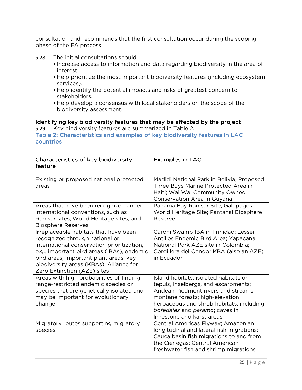consultation and recommends that the first consultation occur during the scoping phase of the EA process.

- 5.28. The initial consultations should:
	- Increase access to information and data regarding biodiversity in the area of interest.
	- Help prioritize the most important biodiversity features (including ecosystem services).
	- Help identify the potential impacts and risks of greatest concern to stakeholders.
	- Help develop a consensus with local stakeholders on the scope of the biodiversity assessment.

#### Identifying key biodiversity features that may be affected by the project

5.29. Key biodiversity features are summarized in Table 2. Table 2: Characteristics and examples of key biodiversity features in LAC countries

| Characteristics of key biodiversity<br>feature                                                                                                                                                                                                                                          | <b>Examples in LAC</b>                                                                                                                                                                                                                                             |
|-----------------------------------------------------------------------------------------------------------------------------------------------------------------------------------------------------------------------------------------------------------------------------------------|--------------------------------------------------------------------------------------------------------------------------------------------------------------------------------------------------------------------------------------------------------------------|
| Existing or proposed national protected<br>areas                                                                                                                                                                                                                                        | Madidi National Park in Bolivia; Proposed<br>Three Bays Marine Protected Area in<br>Haiti; Wai Wai Community Owned<br>Conservation Area in Guyana                                                                                                                  |
| Areas that have been recognized under<br>international conventions, such as<br>Ramsar sites, World Heritage sites, and<br><b>Biosphere Reserves</b>                                                                                                                                     | Panama Bay Ramsar Site; Galapagos<br>World Heritage Site; Pantanal Biosphere<br>Reserve                                                                                                                                                                            |
| Irreplaceable habitats that have been<br>recognized through national or<br>international conservation prioritization,<br>e.g., important bird areas (IBAs), endemic<br>bird areas, important plant areas, key<br>biodiversity areas (KBAs), Alliance for<br>Zero Extinction (AZE) sites | Caroni Swamp IBA in Trinidad; Lesser<br>Antilles Endemic Bird Area; Yapacana<br>National Park AZE site in Colombia;<br>Cordillera del Condor KBA (also an AZE)<br>in Ecuador                                                                                       |
| Areas with high probabilities of finding<br>range-restricted endemic species or<br>species that are genetically isolated and<br>may be important for evolutionary<br>change                                                                                                             | Island habitats; isolated habitats on<br>tepuis, inselbergs, and escarpments;<br>Andean Piedmont rivers and streams;<br>montane forests; high-elevation<br>herbaceous and shrub habitats, including<br>bofedales and paramo; caves in<br>limestone and karst areas |
| Migratory routes supporting migratory<br>species                                                                                                                                                                                                                                        | Central Americas Flyway; Amazonian<br>longitudinal and lateral fish migrations;<br>Cauca basin fish migrations to and from<br>the Cienegas; Central American<br>freshwater fish and shrimp migrations                                                              |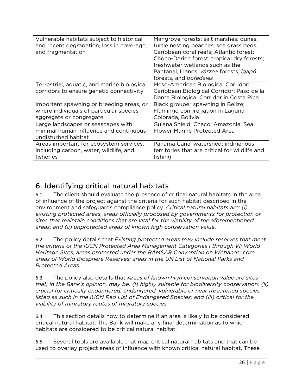| Vulnerable habitats subject to historical<br>and recent degradation, loss in coverage,<br>and fragmentation    | Mangrove forests; salt marshes; dunes;<br>turtle nesting beaches; sea grass beds;<br>Caribbean coral reefs; Atlantic forest;<br>Choco-Darien forest; tropical dry forests;<br>freshwater wetlands such as the<br>Pantanal, Llanos, várzea forests, igapó<br>forests, and bofedales |
|----------------------------------------------------------------------------------------------------------------|------------------------------------------------------------------------------------------------------------------------------------------------------------------------------------------------------------------------------------------------------------------------------------|
| Terrestrial, aquatic, and marine biological<br>corridors to ensure genetic connectivity                        | Meso-American Biological Corridor;<br>Caribbean Biological Corridor; Paso de la<br>Danta Biological Corridor in Costa Rica                                                                                                                                                         |
| Important spawning or breeding areas, or<br>where individuals of particular species<br>aggregate or congregate | Black grouper spawning in Belize;<br>Flamingo congregation in Laguna<br>Colorada, Bolivia                                                                                                                                                                                          |
| Large landscapes or seascapes with<br>minimal human influence and contiguous<br>undisturbed habitat            | Guiana Shield; Chaco; Amazonia; Sea<br>Flower Marine Protected Area                                                                                                                                                                                                                |
| Areas important for ecosystem services,<br>including carbon, water, wildlife, and<br>fisheries                 | Panama Canal watershed; indigenous<br>territories that are critical for wildlife and<br>fishing                                                                                                                                                                                    |

# 6. Identifying critical natural habitats

6.1. The client should evaluate the presence of critical natural habitats in the area of influence of the project against the criteria for such habitat described in the environment and safeguards compliance policy. *Critical natural habitats are: (i) existing protected areas, areas officially proposed by governments for protection or sites that maintain conditions that are vital for the viability of the aforementioned areas; and (ii) unprotected areas of known high conservation value*.

6.2. The policy details that *Existing protected areas may include reserves that meet the criteria of the IUCN Protected Area Management Categories I through VI; World Heritage Sites, areas protected under the RAMSAR Convention on Wetlands; core areas of World Biosphere Reserves; areas in the UN List of National Parks and Protected Areas.*

6.3. The policy also details that *Areas of known high conservation value are sites that, in the Bank's opinion, may be: (i) highly suitable for biodiversity conservation; (ii) crucial for critically endangered, endangered, vulnerable or near threatened species listed as such in the IUCN Red List of Endangered Species; and (iii) critical for the viability of migratory routes of migratory species.*

6.4. This section details how to determine if an area is likely to be considered critical natural habitat. The Bank will make any final determination as to which habitats are considered to be critical natural habitat.

6.5. Several tools are available that map critical natural habitats and that can be used to overlay project areas of influence with known critical natural habitat. These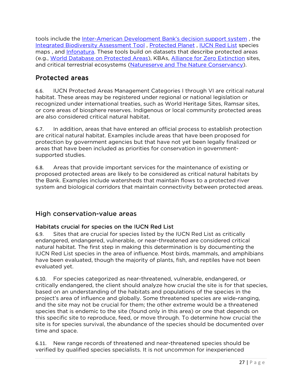tools include the Inter-American Development Bank's decision support system, the Integrated Biodiversity Assessment Tool , Protected Planet , IUCN Red List species maps, and Infonatura. These tools build on datasets that describe protected areas (e.g., World Database on Protected Areas), KBAs, Alliance for Zero Extinction sites, and critical terrestrial ecosystems (Natureserve and The Nature Conservancy).

# Protected areas

6.6. IUCN Protected Areas Management Categories I through VI are critical natural habitat. These areas may be registered under regional or national legislation or recognized under international treaties, such as World Heritage Sites, Ramsar sites, or core areas of biosphere reserves. Indigenous or local community protected areas are also considered critical natural habitat.

6.7. In addition, areas that have entered an official process to establish protection are critical natural habitat. Examples include areas that have been proposed for protection by government agencies but that have not yet been legally finalized or areas that have been included as priorities for conservation in governmentsupported studies.

6.8. Areas that provide important services for the maintenance of existing or proposed protected areas are likely to be considered as critical natural habitats by the Bank. Examples include watersheds that maintain flows to a protected river system and biological corridors that maintain connectivity between protected areas.

## High conservation-value areas

## Habitats crucial for species on the IUCN Red List

6.9. Sites that are crucial for species listed by the IUCN Red List as critically endangered, endangered, vulnerable, or near-threatened are considered critical natural habitat. The first step in making this determination is by documenting the IUCN Red List species in the area of influence. Most birds, mammals, and amphibians have been evaluated, though the majority of plants, fish, and reptiles have not been evaluated yet.

6.10. For species categorized as near-threatened, vulnerable, endangered, or critically endangered, the client should analyze how crucial the site is for that species, based on an understanding of the habitats and populations of the species in the project's area of influence and globally. Some threatened species are wide-ranging, and the site may not be crucial for them; the other extreme would be a threatened species that is endemic to the site (found only in this area) or one that depends on this specific site to reproduce, feed, or move through. To determine how crucial the site is for species survival, the abundance of the species should be documented over time and space.

6.11. New range records of threatened and near-threatened species should be verified by qualified species specialists. It is not uncommon for inexperienced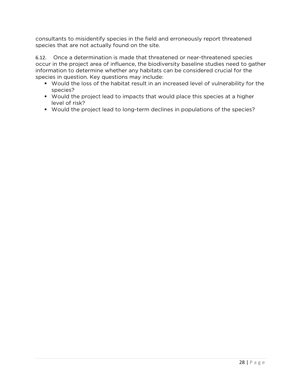consultants to misidentify species in the field and erroneously report threatened species that are not actually found on the site.

6.12. Once a determination is made that threatened or near-threatened species occur in the project area of influence, the biodiversity baseline studies need to gather information to determine whether any habitats can be considered crucial for the species in question. Key questions may include:

- Would the loss of the habitat result in an increased level of vulnerability for the species?
- Would the project lead to impacts that would place this species at a higher level of risk?
- Would the project lead to long-term declines in populations of the species?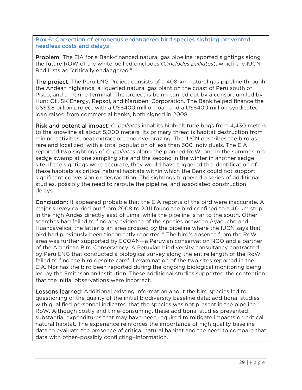Box 6: Correction of erroneous endangered bird species sighting prevented needless costs and delays

**Problem:** The EIA for a Bank-financed natural gas pipeline reported sightings along the future ROW of the white-bellied cinclodes (*Cinclodes palliates*), which the IUCN Red Lists as "critically endangered."

The project: The Peru LNG Project consists of a 408-km natural gas pipeline through the Andean highlands, a liquefied natural gas plant on the coast of Peru south of Pisco, and a marine terminal. The project is being carried out by a consortium led by Hunt Oil, SK Energy, Repsol, and Marubeni Corporation. The Bank helped finance the US\$3.8 billion project with a US\$400 million loan and a US\$400 million syndicated loan raised from commercial banks, both signed in 2008.

Risk and potential impact: *C. palliates* inhabits high-altitude bogs from 4,430 meters to the snowline at about 5,000 meters. Its primary threat is habitat destruction from mining activities, peat extraction, and overgrazing. The IUCN describes the bird as rare and localized, with a total population of less than 300 individuals. The EIA reported two sightings of *C. palliates* along the planned RoW, one in the summer in a sedge swamp at one sampling site and the second in the winter in another sedge site. If the sightings were accurate, they would have triggered the identification of these habitats as critical natural habitats within which the Bank could not support significant conversion or degradation. The sightings triggered a series of additional studies, possibly the need to reroute the pipeline, and associated construction delays.

**Conclusion:** It appeared probable that the EIA reports of the bird were inaccurate. A major survey carried out from 2008 to 2011 found the bird confined to a 40 km strip in the high Andes directly east of Lima, while the pipeline is far to the south. Other searches had failed to find any evidence of the species between Ayacucho and Huancavelica; the latter is an area crossed by the pipeline where the IUCN says that bird had previously been "incorrectly reported." The bird's absence from the RoW area was further supported by ECOAN—a Peruvian conservation NGO and a partner of the American Bird Conservancy. A Peruvian biodiversity consultancy contracted by Peru LNG that conducted a biological survey along the entire length of the RoW failed to find the bird despite careful examination of the two sites reported in the EIA. Nor has the bird been reported during the ongoing biological monitoring being led by the Smithsonian Institution. These additional studies supported the contention that the initial observations were incorrect.

**Lessons learned:** Additional existing information about the bird species led to questioning of the quality of the initial biodiversity baseline data; additional studies with qualified personnel indicated that the species was not present in the pipeline RoW. Although costly and time-consuming, these additional studies prevented substantial expenditures that may have been required to mitigate impacts on critical natural habitat. The experience reinforces the importance of high quality baseline data to evaluate the presence of critical natural habitat and the need to compare that data with other―possibly conflicting―information.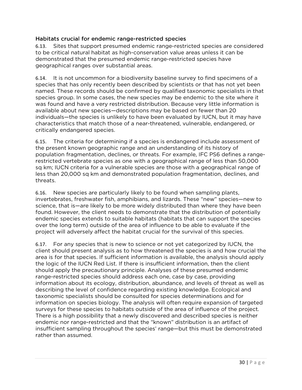#### Habitats crucial for endemic range-restricted species

6.13. Sites that support presumed endemic range-restricted species are considered to be critical natural habitat as high-conservation value areas unless it can be demonstrated that the presumed endemic range-restricted species have geographical ranges over substantial areas.

6.14. It is not uncommon for a biodiversity baseline survey to find specimens of a species that has only recently been described by scientists or that has not yet been named. These records should be confirmed by qualified taxonomic specialists in that species group. In some cases, the new species may be endemic to the site where it was found and have a very restricted distribution. Because very little information is available about new species—descriptions may be based on fewer than 20 individuals—the species is unlikely to have been evaluated by IUCN, but it may have characteristics that match those of a near-threatened, vulnerable, endangered, or critically endangered species.

6.15. The criteria for determining if a species is endangered include assessment of the present known geographic range and an understanding of its history of population fragmentation, declines, or threats. For example, IFC PS6 defines a rangerestricted vertebrate species as one with a geographical range of less than 50,000 sq km; IUCN criteria for a vulnerable species are those with a geographical range of less than 20,000 sq km and demonstrated population fragmentation, declines, and threats.

6.16. New species are particularly likely to be found when sampling plants, invertebrates, freshwater fish, amphibians, and lizards. These "new" species—new to science, that is—are likely to be more widely distributed than where they have been found. However, the client needs to demonstrate that the distribution of potentially endemic species extends to suitable habitats (habitats that can support the species over the long term) outside of the area of influence to be able to evaluate if the project will adversely affect the habitat crucial for the survival of this species.

6.17. For any species that is new to science or not yet categorized by IUCN, the client should present analysis as to how threatened the species is and how crucial the area is for that species. If sufficient information is available, the analysis should apply the logic of the IUCN Red List. If there is insufficient information, then the client should apply the precautionary principle. Analyses of these presumed endemic range-restricted species should address each one, case by case, providing information about its ecology, distribution, abundance, and levels of threat as well as describing the level of confidence regarding existing knowledge. Ecological and taxonomic specialists should be consulted for species determinations and for information on species biology. The analysis will often require expansion of targeted surveys for these species to habitats outside of the area of influence of the project. There is a high possibility that a newly discovered and described species is neither endemic nor range-restricted and that the "known" distribution is an artifact of insufficient sampling throughout the species' range—but this must be demonstrated rather than assumed.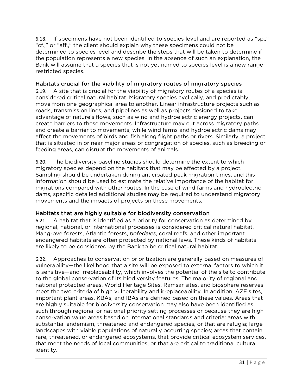6.18. If specimens have not been identified to species level and are reported as "sp.," "cf.," or "aff.," the client should explain why these specimens could not be determined to species level and describe the steps that will be taken to determine if the population represents a new species. In the absence of such an explanation, the Bank will assume that a species that is not yet named to species level is a new rangerestricted species.

#### Habitats crucial for the viability of migratory routes of migratory species

6.19. A site that is crucial for the viability of migratory routes of a species is considered critical natural habitat. Migratory species cyclically, and predictably, move from one geographical area to another. Linear infrastructure projects such as roads, transmission lines, and pipelines as well as projects designed to take advantage of nature's flows, such as wind and hydroelectric energy projects, can create barriers to these movements. Infrastructure may cut across migratory paths and create a barrier to movements, while wind farms and hydroelectric dams may affect the movements of birds and fish along flight paths or rivers. Similarly, a project that is situated in or near major areas of congregation of species, such as breeding or feeding areas, can disrupt the movements of animals.

6.20. The biodiversity baseline studies should determine the extent to which migratory species depend on the habitats that may be affected by a project. Sampling should be undertaken during anticipated peak migration times, and this information should be used to estimate the relative importance of the habitat for migrations compared with other routes. In the case of wind farms and hydroelectric dams, specific detailed additional studies may be required to understand migratory movements and the impacts of projects on these movements.

### Habitats that are highly suitable for biodiversity conservation

6.21. A habitat that is identified as a priority for conservation as determined by regional, national, or international processes is considered critical natural habitat. Mangrove forests, Atlantic forests, *bofedales*, coral reefs, and other important endangered habitats are often protected by national laws. These kinds of habitats are likely to be considered by the Bank to be critical natural habitat.

6.22. Approaches to conservation prioritization are generally based on measures of vulnerability—the likelihood that a site will be exposed to external factors to which it is sensitive—and irreplaceability, which involves the potential of the site to contribute to the global conservation of its biodiversity features. The majority of regional and national protected areas, World Heritage Sites, Ramsar sites, and biosphere reserves meet the two criteria of high vulnerability and irreplaceability. In addition, AZE sites, important plant areas, KBAs, and IBAs are defined based on these values. Areas that are highly suitable for biodiversity conservation may also have been identified as such through regional or national priority setting processes or because they are high conservation value areas based on international standards and criteria: areas with substantial endemism, threatened and endangered species, or that are refugia; large landscapes with viable populations of naturally occurring species; areas that contain rare, threatened, or endangered ecosystems, that provide critical ecosystem services, that meet the needs of local communities, or that are critical to traditional cultural identity.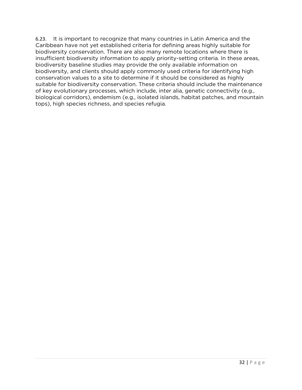6.23. It is important to recognize that many countries in Latin America and the Caribbean have not yet established criteria for defining areas highly suitable for biodiversity conservation. There are also many remote locations where there is insufficient biodiversity information to apply priority-setting criteria. In these areas, biodiversity baseline studies may provide the only available information on biodiversity, and clients should apply commonly used criteria for identifying high conservation values to a site to determine if it should be considered as highly suitable for biodiversity conservation. These criteria should include the maintenance of key evolutionary processes, which include, inter alia, genetic connectivity (e.g., biological corridors), endemism (e.g., isolated islands, habitat patches, and mountain tops), high species richness, and species refugia.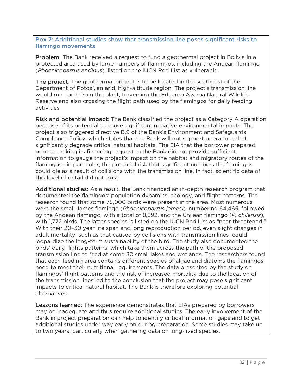Box 7: Additional studies show that transmission line poses significant risks to flamingo movements

**Problem:** The Bank received a request to fund a geothermal project in Bolivia in a protected area used by large numbers of flamingos, including the Andean flamingo (*Phoenicoparrus andinus*), listed on the IUCN Red List as vulnerable.

The project: The geothermal project is to be located in the southeast of the Department of Potosí, an arid, high-altitude region. The project's transmission line would run north from the plant, traversing the Eduardo Avaroa Natural Wildlife Reserve and also crossing the flight path used by the flamingos for daily feeding activities.

Risk and potential impact: The Bank classified the project as a Category A operation because of its potential to cause significant negative environmental impacts. The project also triggered directive B.9 of the Bank's Environment and Safeguards Compliance Policy, which states that the Bank will not support operations that significantly degrade critical natural habitats. The EIA that the borrower prepared prior to making its financing request to the Bank did not provide sufficient information to gauge the project's impact on the habitat and migratory routes of the flamingos—in particular, the potential risk that significant numbers the flamingos could die as a result of collisions with the transmission line. In fact, scientific data of this level of detail did not exist.

Additional studies: As a result, the Bank financed an in-depth research program that documented the flamingos' population dynamics, ecology, and flight patterns. The research found that some 75,000 birds were present in the area. Most numerous were the small James flamingo (*Phoenicoparrus jamesi*), numbering 64,465, followed by the Andean flamingo, with a total of 8,892, and the Chilean flamingo (*P. chilensis*), with 1,772 birds. The latter species is listed on the IUCN Red List as "near threatened." With their 20–30 year life span and long reproduction period, even slight changes in adult mortality―such as that caused by collisions with transmission lines―could jeopardize the long-term sustainability of the bird. The study also documented the birds' daily flights patterns, which take them across the path of the proposed transmission line to feed at some 30 small lakes and wetlands. The researchers found that each feeding area contains different species of algae and diatoms the flamingos need to meet their nutritional requirements. The data presented by the study on flamingos' flight patterns and the risk of increased mortality due to the location of the transmission lines led to the conclusion that the project may pose significant impacts to critical natural habitat. The Bank is therefore exploring potential alternatives.

**Lessons learned:** The experience demonstrates that EIAs prepared by borrowers may be inadequate and thus require additional studies. The early involvement of the Bank in project preparation can help to identify critical information gaps and to get additional studies under way early on during preparation. Some studies may take up to two years, particularly when gathering data on long-lived species.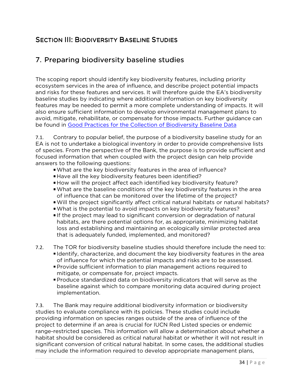# **SECTION III: BIODIVERSITY BASELINE STUDIES**

# 7. Preparing biodiversity baseline studies

The scoping report should identify key biodiversity features, including priority ecosystem services in the area of influence, and describe project potential impacts and risks for these features and services. It will therefore guide the EA's biodiversity baseline studies by indicating where additional information on key biodiversity features may be needed to permit a more complete understanding of impacts. It will also ensure sufficient information to develop environmental management plans to avoid, mitigate, rehabilitate, or compensate for those impacts. Further guidance can be found in Good Practices for the Collection of Biodiversity Baseline Data

7.1. Contrary to popular belief, the purpose of a biodiversity baseline study for an EA is not to undertake a biological inventory in order to provide comprehensive lists of species. From the perspective of the Bank, the purpose is to provide sufficient and focused information that when coupled with the project design can help provide answers to the following questions:

- What are the key biodiversity features in the area of influence?
- Have all the key biodiversity features been identified?
- How will the project affect each identified key biodiversity feature?
- What are the baseline conditions of the key biodiversity features in the area of influence that can be monitored over the lifetime of the project?
- Will the project significantly affect critical natural habitats or natural habitats?
- What is the potential to avoid impacts on key biodiversity features?
- If the project may lead to significant conversion or degradation of natural habitats, are there potential options for, as appropriate, minimizing habitat loss and establishing and maintaining an ecologically similar protected area that is adequately funded, implemented, and monitored?
- 7.2. The TOR for biodiversity baseline studies should therefore include the need to: Identify, characterize, and document the key biodiversity features in the area
	- of influence for which the potential impacts and risks are to be assessed. Provide sufficient information to plan management actions required to mitigate, or compensate for, project impacts.
	- Produce standardized data on biodiversity indicators that will serve as the baseline against which to compare monitoring data acquired during project implementation.

7.3. The Bank may require additional biodiversity information or biodiversity studies to evaluate compliance with its policies. These studies could include providing information on species ranges outside of the area of influence of the project to determine if an area is crucial for IUCN Red Listed species or endemic range-restricted species. This information will allow a determination about whether a habitat should be considered as critical natural habitat or whether it will not result in significant conversion of critical natural habitat. In some cases, the additional studies may include the information required to develop appropriate management plans,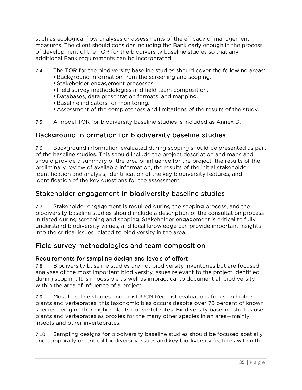such as ecological flow analyses or assessments of the efficacy of management measures. The client should consider including the Bank early enough in the process of development of the TOR for the biodiversity baseline studies so that any additional Bank requirements can be incorporated.

- 7.4. The TOR for the biodiversity baseline studies should cover the following areas:
	- Background information from the screening and scoping.
	- Stakeholder engagement processes.
	- Field survey methodologies and field team composition.
	- Databases, data presentation formats, and mapping.
	- Baseline indicators for monitoring.
	- Assessment of the completeness and limitations of the results of the study.
- 7.5. A model TOR for biodiversity baseline studies is included as Annex D.

## Background information for biodiversity baseline studies

7.6. Background information evaluated during scoping should be presented as part of the baseline studies. This should include the project description and maps and should provide a summary of the area of influence for the project, the results of the preliminary review of available information, the results of the initial stakeholder identification and analysis, identification of the key biodiversity features, and identification of the key questions for the assessment.

## Stakeholder engagement in biodiversity baseline studies

7.7. Stakeholder engagement is required during the scoping process, and the biodiversity baseline studies should include a description of the consultation process initiated during screening and scoping. Stakeholder engagement is critical to fully understand biodiversity values, and local knowledge can provide important insights into the critical issues related to biodiversity in the area.

## Field survey methodologies and team composition

### Requirements for sampling design and levels of effort

7.8. Biodiversity baseline studies are not biodiversity inventories but are focused analyses of the most important biodiversity issues relevant to the project identified during scoping. It is impossible as well as impractical to document all biodiversity within the area of influence of a project.

7.9. Most baseline studies and most IUCN Red List evaluations focus on higher plants and vertebrates; this taxonomic bias occurs despite over 78 percent of known species being neither higher plants nor vertebrates. Biodiversity baseline studies use plants and vertebrates as proxies for the many other species in an area—mainly insects and other invertebrates.

7.10. Sampling designs for biodiversity baseline studies should be focused spatially and temporally on critical biodiversity issues and key biodiversity features within the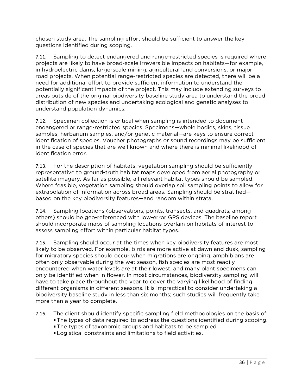chosen study area. The sampling effort should be sufficient to answer the key questions identified during scoping.

7.11. Sampling to detect endangered and range-restricted species is required where projects are likely to have broad-scale irreversible impacts on habitats—for example, in hydroelectric dams, large-scale mining, agricultural land conversions, or major road projects. When potential range-restricted species are detected, there will be a need for additional effort to provide sufficient information to understand the potentially significant impacts of the project. This may include extending surveys to areas outside of the original biodiversity baseline study area to understand the broad distribution of new species and undertaking ecological and genetic analyses to understand population dynamics.

7.12. Specimen collection is critical when sampling is intended to document endangered or range-restricted species. Specimens—whole bodies, skins, tissue samples, herbarium samples, and/or genetic material—are keys to ensure correct identification of species. Voucher photographs or sound recordings may be sufficient in the case of species that are well known and where there is minimal likelihood of identification error.

7.13. For the description of habitats, vegetation sampling should be sufficiently representative to ground-truth habitat maps developed from aerial photography or satellite imagery. As far as possible, all relevant habitat types should be sampled. Where feasible, vegetation sampling should overlap soil sampling points to allow for extrapolation of information across broad areas. Sampling should be stratified based on the key biodiversity features—and random within strata.

7.14. Sampling locations (observations, points, transects, and quadrats, among others) should be geo-referenced with low-error GPS devices. The baseline report should incorporate maps of sampling locations overlain on habitats of interest to assess sampling effort within particular habitat types.

7.15. Sampling should occur at the times when key biodiversity features are most likely to be observed. For example, birds are more active at dawn and dusk, sampling for migratory species should occur when migrations are ongoing, amphibians are often only observable during the wet season, fish species are most readily encountered when water levels are at their lowest, and many plant specimens can only be identified when in flower. In most circumstances, biodiversity sampling will have to take place throughout the year to cover the varying likelihood of finding different organisms in different seasons. It is impractical to consider undertaking a biodiversity baseline study in less than six months; such studies will frequently take more than a year to complete.

7.16. The client should identify specific sampling field methodologies on the basis of:

- The types of data required to address the questions identified during scoping.
- The types of taxonomic groups and habitats to be sampled.
- Logistical constraints and limitations to field activities.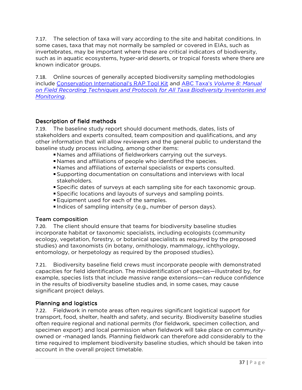7.17. The selection of taxa will vary according to the site and habitat conditions. In some cases, taxa that may not normally be sampled or covered in EIAs, such as invertebrates, may be important where these are critical indicators of biodiversity, such as in aquatic ecosystems, hyper-arid deserts, or tropical forests where there are known indicator groups.

7.18. Online sources of generally accepted biodiversity sampling methodologies include Conservation International's RAP Tool Kit and ABC Taxa's *Volume 8: Manual on Field Recording Techniques and Protocols for All Taxa Biodiversity Inventories and Monitoring*.

#### Description of field methods

7.19. The baseline study report should document methods, dates, lists of stakeholders and experts consulted, team composition and qualifications, and any other information that will allow reviewers and the general public to understand the baseline study process including, among other items:

- Names and affiliations of fieldworkers carrying out the surveys.
- Names and affiliations of people who identified the species.
- Names and affiliations of external specialists or experts consulted.
- Supporting documentation on consultations and interviews with local stakeholders.
- Specific dates of surveys at each sampling site for each taxonomic group.
- Specific locations and layouts of surveys and sampling points.
- **Equipment used for each of the samples.**
- Indices of sampling intensity (e.g., number of person days).

#### Team composition

7.20. The client should ensure that teams for biodiversity baseline studies incorporate habitat or taxonomic specialists, including ecologists (community ecology, vegetation, forestry, or botanical specialists as required by the proposed studies) and taxonomists (in botany, ornithology, mammalogy, ichthyology, entomology, or herpetology as required by the proposed studies).

7.21. Biodiversity baseline field crews must incorporate people with demonstrated capacities for field identification. The misidentification of species—illustrated by, for example, species lists that include massive range extensions—can reduce confidence in the results of biodiversity baseline studies and, in some cases, may cause significant project delays.

#### Planning and logistics

7.22. Fieldwork in remote areas often requires significant logistical support for transport, food, shelter, health and safety, and security. Biodiversity baseline studies often require regional and national permits (for fieldwork, specimen collection, and specimen export) and local permission when fieldwork will take place on communityowned or -managed lands. Planning fieldwork can therefore add considerably to the time required to implement biodiversity baseline studies, which should be taken into account in the overall project timetable.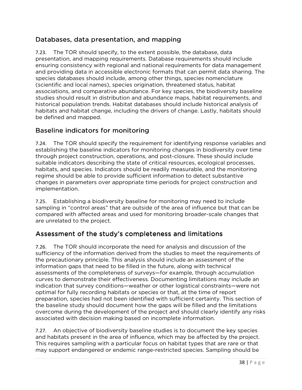# Databases, data presentation, and mapping

7.23. The TOR should specify, to the extent possible, the database, data presentation, and mapping requirements. Database requirements should include ensuring consistency with regional and national requirements for data management and providing data in accessible electronic formats that can permit data sharing. The species databases should include, among other things, species nomenclature (scientific and local names), species origination, threatened status, habitat associations, and comparative abundance. For key species, the biodiversity baseline studies should result in distribution and abundance maps, habitat requirements, and historical population trends. Habitat databases should include historical analysis of habitats and habitat change, including the drivers of change. Lastly, habitats should be defined and mapped.

## Baseline indicators for monitoring

7.24. The TOR should specify the requirement for identifying response variables and establishing the baseline indicators for monitoring changes in biodiversity over time through project construction, operations, and post-closure. These should include suitable indicators describing the state of critical resources, ecological processes, habitats, and species. Indicators should be readily measurable, and the monitoring regime should be able to provide sufficient information to detect substantive changes in parameters over appropriate time periods for project construction and implementation.

7.25. Establishing a biodiversity baseline for monitoring may need to include sampling in "control areas" that are outside of the area of influence but that can be compared with affected areas and used for monitoring broader-scale changes that are unrelated to the project.

## Assessment of the study's completeness and limitations

7.26. The TOR should incorporate the need for analysis and discussion of the sufficiency of the information derived from the studies to meet the requirements of the precautionary principle. This analysis should include an assessment of the information gaps that need to be filled in the future, along with technical assessments of the completeness of surveys—for example, through accumulation curves to demonstrate their effectiveness. Documenting limitations may include an indication that survey conditions—weather or other logistical constraints—were not optimal for fully recording habitats or species or that, at the time of report preparation, species had not been identified with sufficient certainty. This section of the baseline study should document how the gaps will be filled and the limitations overcome during the development of the project and should clearly identify any risks associated with decision making based on incomplete information.

7.27. An objective of biodiversity baseline studies is to document the key species and habitats present in the area of influence, which may be affected by the project. This requires sampling with a particular focus on habitat types that are rare or that may support endangered or endemic range-restricted species. Sampling should be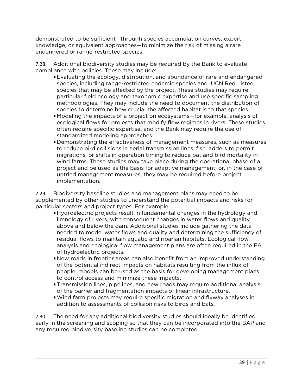demonstrated to be sufficient—through species accumulation curves, expert knowledge, or equivalent approaches—to minimize the risk of missing a rare endangered or range-restricted species.

7.28. Additional biodiversity studies may be required by the Bank to evaluate compliance with policies. These may include:

- Evaluating the ecology, distribution, and abundance of rare and endangered species, including range-restricted endemic species and IUCN Red Listed species that may be affected by the project. These studies may require particular field ecology and taxonomic expertise and use specific sampling methodologies. They may include the need to document the distribution of species to determine how crucial the affected habitat is to that species.
- Modeling the impacts of a project on ecosystems—for example, analysis of ecological flows for projects that modify flow regimes in rivers. These studies often require specific expertise, and the Bank may require the use of standardized modeling approaches.
- Demonstrating the effectiveness of management measures, such as measures to reduce bird collisions in aerial transmission lines, fish ladders to permit migrations, or shifts in operation timing to reduce bat and bird mortality in wind farms. These studies may take place during the operational phase of a project and be used as the basis for adaptive management, or, in the case of untried management measures, they may be required before project implementation.

7.29. Biodiversity baseline studies and management plans may need to be supplemented by other studies to understand the potential impacts and risks for particular sectors and project types. For example:

- Hydroelectric projects result in fundamental changes in the hydrology and limnology of rivers, with consequent changes in water flows and quality above and below the dam. Additional studies include gathering the data needed to model water flows and quality and determining the sufficiency of residual flows to maintain aquatic and riparian habitats. Ecological flow analysis and ecological flow management plans are often required in the EA of hydroelectric projects.
- New roads in frontier areas can also benefit from an improved understanding of the potential indirect impacts on habitats resulting from the influx of people; models can be used as the basis for developing management plans to control access and minimize these impacts.
- Transmission lines, pipelines, and new roads may require additional analysis of the barrier and fragmentation impacts of linear infrastructure.
- Wind farm projects may require specific migration and flyway analyses in addition to assessments of collision risks to birds and bats.

7.30. The need for any additional biodiversity studies should ideally be identified early in the screening and scoping so that they can be incorporated into the BAP and any required biodiversity baseline studies can be completed.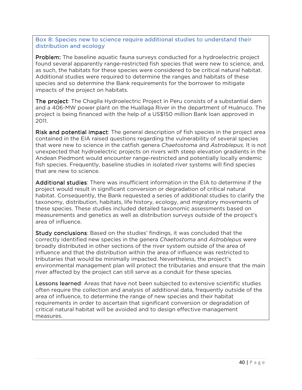Box 8: Species new to science require additional studies to understand their distribution and ecology

**Problem:** The baseline aquatic fauna surveys conducted for a hydroelectric project found several apparently range-restricted fish species that were new to science, and, as such, the habitats for these species were considered to be critical natural habitat. Additional studies were required to determine the ranges and habitats of these species and so determine the Bank requirements for the borrower to mitigate impacts of the project on habitats.

The project: The Chaglla Hydroelectric Project in Peru consists of a substantial dam and a 406-MW power plant on the Huallaga River in the department of Huánuco. The project is being financed with the help of a US\$150 million Bank loan approved in 2011.

Risk and potential impact: The general description of fish species in the project area contained in the EIA raised questions regarding the vulnerability of several species that were new to science in the catfish genera *Chaetostoma* and *Astroblepus*. It is not unexpected that hydroelectric projects on rivers with steep elevation gradients in the Andean Piedmont would encounter range-restricted and potentially locally endemic fish species. Frequently, baseline studies in isolated river systems will find species that are new to science.

Additional studies: There was insufficient information in the EIA to determine if the project would result in significant conversion or degradation of critical natural habitat. Consequently, the Bank requested a series of additional studies to clarify the taxonomy, distribution, habitats, life history, ecology, and migratory movements of these species. These studies included detailed taxonomic assessments based on measurements and genetics as well as distribution surveys outside of the project's area of influence.

Study conclusions: Based on the studies' findings, it was concluded that the correctly identified new species in the genera *Chaetostoma* and *Astroblepus* were broadly distributed in other sections of the river system outside of the area of influence and that the distribution within the area of influence was restricted to tributaries that would be minimally impacted. Nevertheless, the project's environmental management plan will protect the tributaries and ensure that the main river affected by the project can still serve as a conduit for these species.

**Lessons learned:** Areas that have not been subjected to extensive scientific studies often require the collection and analysis of additional data, frequently outside of the area of influence, to determine the range of new species and their habitat requirements in order to ascertain that significant conversion or degradation of critical natural habitat will be avoided and to design effective management measures.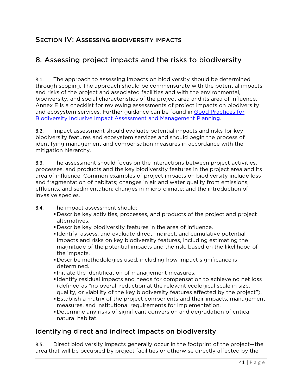## SECTION IV: ASSESSING BIODIVERSITY IMPACTS

# 8. Assessing project impacts and the risks to biodiversity

8.1. The approach to assessing impacts on biodiversity should be determined through scoping. The approach should be commensurate with the potential impacts and risks of the project and associated facilities and with the environmental, biodiversity, and social characteristics of the project area and its area of influence. Annex E is a checklist for reviewing assessments of project impacts on biodiversity and ecosystem services. Further guidance can be found in Good Practices for Biodiversity Inclusive Impact Assessment and Management Planning.

8.2. Impact assessment should evaluate potential impacts and risks for key biodiversity features and ecosystem services and should begin the process of identifying management and compensation measures in accordance with the mitigation hierarchy.

8.3. The assessment should focus on the interactions between project activities, processes, and products and the key biodiversity features in the project area and its area of influence. Common examples of project impacts on biodiversity include loss and fragmentation of habitats; changes in air and water quality from emissions, effluents, and sedimentation; changes in micro-climate; and the introduction of invasive species.

- 8.4. The impact assessment should:
	- Describe key activities, processes, and products of the project and project alternatives.
	- Describe key biodiversity features in the area of influence.
	- Identify, assess, and evaluate direct, indirect, and cumulative potential impacts and risks on key biodiversity features, including estimating the magnitude of the potential impacts and the risk, based on the likelihood of the impacts.
	- Describe methodologies used, including how impact significance is determined.
	- Initiate the identification of management measures.
	- I dentify residual impacts and needs for compensation to achieve no net loss (defined as "no overall reduction at the relevant ecological scale in size, quality, or viability of the key biodiversity features affected by the project").
	- Establish a matrix of the project components and their impacts, management measures, and institutional requirements for implementation.
	- Determine any risks of significant conversion and degradation of critical natural habitat.

## Identifying direct and indirect impacts on biodiversity

8.5. Direct biodiversity impacts generally occur in the footprint of the project—the area that will be occupied by project facilities or otherwise directly affected by the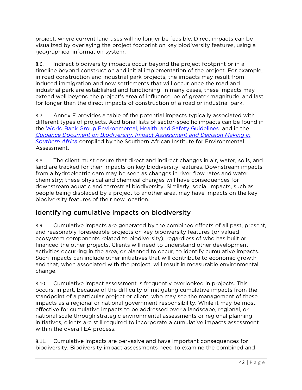project, where current land uses will no longer be feasible. Direct impacts can be visualized by overlaying the project footprint on key biodiversity features, using a geographical information system.

8.6. Indirect biodiversity impacts occur beyond the project footprint or in a timeline beyond construction and initial implementation of the project. For example, in road construction and industrial park projects, the impacts may result from induced immigration and new settlements that will occur once the road and industrial park are established and functioning. In many cases, these impacts may extend well beyond the project's area of influence, be of greater magnitude, and last for longer than the direct impacts of construction of a road or industrial park.

8.7. Annex F provides a table of the potential impacts typically associated with different types of projects. Additional lists of sector-specific impacts can be found in the World Bank Group Environmental, Health, and Safety Guidelines and in the *Guidance Document on Biodiversity, Impact Assessment and Decision Making in Southern Africa* compiled by the Southern African Institute for Environmental Assessment.

8.8. The client must ensure that direct and indirect changes in air, water, soils, and land are tracked for their impacts on key biodiversity features. Downstream impacts from a hydroelectric dam may be seen as changes in river flow rates and water chemistry; these physical and chemical changes will have consequences for downstream aquatic and terrestrial biodiversity. Similarly, social impacts, such as people being displaced by a project to another area, may have impacts on the key biodiversity features of their new location.

# Identifying cumulative impacts on biodiversity

8.9. Cumulative impacts are generated by the combined effects of all past, present, and reasonably foreseeable projects on key biodiversity features (or valued ecosystem components related to biodiversity), regardless of who has built or financed the other projects. Clients will need to understand other development activities occurring in the area, or planned to occur, to identify cumulative impacts. Such impacts can include other initiatives that will contribute to economic growth and that, when associated with the project, will result in measurable environmental change.

8.10. Cumulative impact assessment is frequently overlooked in projects. This occurs, in part, because of the difficulty of mitigating cumulative impacts from the standpoint of a particular project or client, who may see the management of these impacts as a regional or national government responsibility. While it may be most effective for cumulative impacts to be addressed over a landscape, regional, or national scale through strategic environmental assessments or regional planning initiatives, clients are still required to incorporate a cumulative impacts assessment within the overall EA process.

8.11. Cumulative impacts are pervasive and have important consequences for biodiversity. Biodiversity impact assessments need to examine the combined and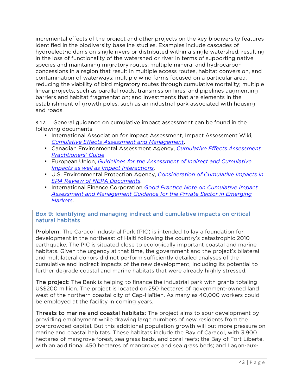incremental effects of the project and other projects on the key biodiversity features identified in the biodiversity baseline studies. Examples include cascades of hydroelectric dams on single rivers or distributed within a single watershed, resulting in the loss of functionality of the watershed or river in terms of supporting native species and maintaining migratory routes; multiple mineral and hydrocarbon concessions in a region that result in multiple access routes, habitat conversion, and contamination of waterways; multiple wind farms focused on a particular area, reducing the viability of bird migratory routes through cumulative mortality; multiple linear projects, such as parallel roads, transmission lines, and pipelines augmenting barriers and habitat fragmentation; and investments that are elements in the establishment of growth poles, such as an industrial park associated with housing and roads.

8.12. General guidance on cumulative impact assessment can be found in the following documents:

- **International Association for Impact Assessment, Impact Assessment Wiki,** *Cumulative Effects Assessment and Management*.
- Canadian Environmental Assessment Agency, *Cumulative Effects Assessment Practitioners' Guide*.
- European Union, *Guidelines for the Assessment of Indirect and Cumulative Impacts as well as Impact Interactions*.
- U.S. Environmental Protection Agency, *Consideration of Cumulative Impacts in EPA Review of NEPA Documents*.
- **International Finance Corporation** *Good Practice Note on Cumulative Impact Assessment and Management Guidance for the Private Sector in Emerging Markets*.

#### Box 9: Identifying and managing indirect and cumulative impacts on critical natural habitats

**Problem:** The Caracol Industrial Park (PIC) is intended to lay a foundation for development in the northeast of Haiti following the country's catastrophic 2010 earthquake. The PIC is situated close to ecologically important coastal and marine habitats. Given the urgency at that time, the government and the project's bilateral and multilateral donors did not perform sufficiently detailed analyses of the cumulative and indirect impacts of the new development, including its potential to further degrade coastal and marine habitats that were already highly stressed.

The project: The Bank is helping to finance the industrial park with grants totaling US\$200 million. The project is located on 250 hectares of government-owned land west of the northern coastal city of Cap-Haïtien. As many as 40,000 workers could be employed at the facility in coming years.

Threats to marine and coastal habitats: The project aims to spur development by providing employment while drawing large numbers of new residents from the overcrowded capital. But this additional population growth will put more pressure on marine and coastal habitats. These habitats include the Bay of Caracol, with 3,900 hectares of mangrove forest, sea grass beds, and coral reefs; the Bay of Fort Liberté, with an additional 450 hectares of mangroves and sea grass beds; and Lagon-aux-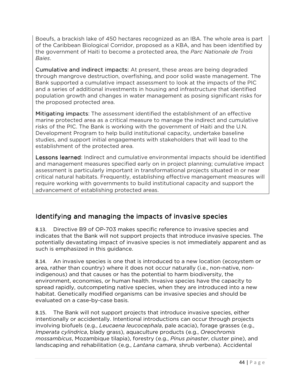Boeufs, a brackish lake of 450 hectares recognized as an IBA. The whole area is part of the Caribbean Biological Corridor, proposed as a KBA, and has been identified by the government of Haiti to become a protected area, the *Parc Nationale de Trois Baies*.

Cumulative and indirect impacts: At present, these areas are being degraded through mangrove destruction, overfishing, and poor solid waste management. The Bank supported a cumulative impact assessment to look at the impacts of the PIC and a series of additional investments in housing and infrastructure that identified population growth and changes in water management as posing significant risks for the proposed protected area.

Mitigating impacts: The assessment identified the establishment of an effective marine protected area as a critical measure to manage the indirect and cumulative risks of the PIC. The Bank is working with the government of Haiti and the U.N. Development Program to help build institutional capacity, undertake baseline studies, and support initial engagements with stakeholders that will lead to the establishment of the protected area.

**Lessons learned:** Indirect and cumulative environmental impacts should be identified and management measures specified early on in project planning; cumulative impact assessment is particularly important in transformational projects situated in or near critical natural habitats. Frequently, establishing effective management measures will require working with governments to build institutional capacity and support the advancement of establishing protected areas.

## Identifying and managing the impacts of invasive species

8.13. Directive B9 of OP-703 makes specific reference to invasive species and indicates that the Bank will not support projects that introduce invasive species. The potentially devastating impact of invasive species is not immediately apparent and as such is emphasized in this guidance.

8.14. An invasive species is one that is introduced to a new location (ecosystem or area, rather than country) where it does not occur naturally (i.e., non-native, nonindigenous) and that causes or has the potential to harm biodiversity, the environment, economies, or human health. Invasive species have the capacity to spread rapidly, outcompeting native species, when they are introduced into a new habitat. Genetically modified organisms can be invasive species and should be evaluated on a case-by-case basis.

8.15. The Bank will not support projects that introduce invasive species, either intentionally or accidentally. Intentional introductions can occur through projects involving biofuels (e.g., *Leucaena leucocephala*, pale acacia), forage grasses (e.g., *Imperata cylindrica*, blady grass), aquaculture products (e.g., *Oreochromis mossambicus*, Mozambique tilapia), forestry (e.g., *Pinus pinaster*, cluster pine), and landscaping and rehabilitation (e.g., *Lantana camara*, shrub verbena). Accidental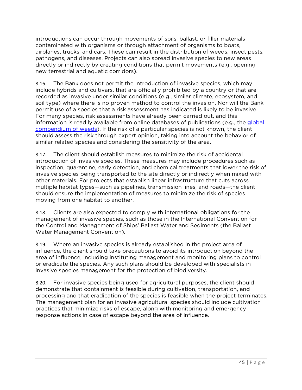introductions can occur through movements of soils, ballast, or filler materials contaminated with organisms or through attachment of organisms to boats, airplanes, trucks, and cars. These can result in the distribution of weeds, insect pests, pathogens, and diseases. Projects can also spread invasive species to new areas directly or indirectly by creating conditions that permit movements (e.g., opening new terrestrial and aquatic corridors).

8.16. The Bank does not permit the introduction of invasive species, which may include hybrids and cultivars, that are officially prohibited by a country or that are recorded as invasive under similar conditions (e.g., similar climate, ecosystem, and soil type) where there is no proven method to control the invasion. Nor will the Bank permit use of a species that a risk assessment has indicated is likely to be invasive. For many species, risk assessments have already been carried out, and this information is readily available from online databases of publications (e.g., the global compendium of weeds). If the risk of a particular species is not known, the client should assess the risk through expert opinion, taking into account the behavior of similar related species and considering the sensitivity of the area.

8.17. The client should establish measures to minimize the risk of accidental introduction of invasive species. These measures may include procedures such as inspection, quarantine, early detection, and chemical treatments that lower the risk of invasive species being transported to the site directly or indirectly when mixed with other materials. For projects that establish linear infrastructure that cuts across multiple habitat types—such as pipelines, transmission lines, and roads—the client should ensure the implementation of measures to minimize the risk of species moving from one habitat to another.

8.18. Clients are also expected to comply with international obligations for the management of invasive species, such as those in the International Convention for the Control and Management of Ships' Ballast Water and Sediments (the Ballast Water Management Convention).

8.19. Where an invasive species is already established in the project area of influence, the client should take precautions to avoid its introduction beyond the area of influence, including instituting management and monitoring plans to control or eradicate the species. Any such plans should be developed with specialists in invasive species management for the protection of biodiversity.

8.20. For invasive species being used for agricultural purposes, the client should demonstrate that containment is feasible during cultivation, transportation, and processing and that eradication of the species is feasible when the project terminates. The management plan for an invasive agricultural species should include cultivation practices that minimize risks of escape, along with monitoring and emergency response actions in case of escape beyond the area of influence.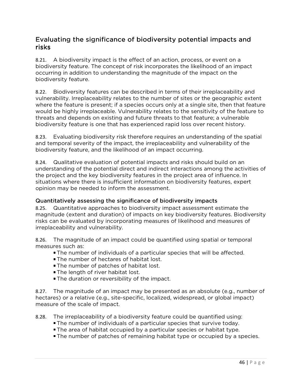## Evaluating the significance of biodiversity potential impacts and risks

8.21. A biodiversity impact is the effect of an action, process, or event on a biodiversity feature. The concept of risk incorporates the likelihood of an impact occurring in addition to understanding the magnitude of the impact on the biodiversity feature.

8.22. Biodiversity features can be described in terms of their irreplaceability and vulnerability. Irreplaceability relates to the number of sites or the geographic extent where the feature is present; if a species occurs only at a single site, then that feature would be highly irreplaceable. Vulnerability relates to the sensitivity of the feature to threats and depends on existing and future threats to that feature; a vulnerable biodiversity feature is one that has experienced rapid loss over recent history.

8.23. Evaluating biodiversity risk therefore requires an understanding of the spatial and temporal severity of the impact, the irreplaceability and vulnerability of the biodiversity feature, and the likelihood of an impact occurring.

8.24. Qualitative evaluation of potential impacts and risks should build on an understanding of the potential direct and indirect interactions among the activities of the project and the key biodiversity features in the project area of influence. In situations where there is insufficient information on biodiversity features, expert opinion may be needed to inform the assessment.

#### Quantitatively assessing the significance of biodiversity impacts biodiversity impacts

8.25. Quantitative approaches to biodiversity impact assessment estimate the magnitude (extent and duration) of impacts on key biodiversity features. Biodiversity risks can be evaluated by incorporating measures of likelihood and measures of irreplaceability and vulnerability.

8.26. The magnitude of an impact could be quantified using spatial or temporal measures such as:

- The number of individuals of a particular species that will be affected.
- **The number of hectares of habitat lost.**
- **The number of patches of habitat lost.**
- **The length of river habitat lost.**
- **The duration or reversibility of the impact.**

8.27. The magnitude of an impact may be presented as an absolute (e.g., number of hectares) or a relative (e.g., site-specific, localized, widespread, or global impact) measure of the scale of impact.

8.28. The irreplaceability of a biodiversity feature could be quantified using:

- The number of individuals of a particular species that survive today.
- The area of habitat occupied by a particular species or habitat type.
- The number of patches of remaining habitat type or occupied by a species.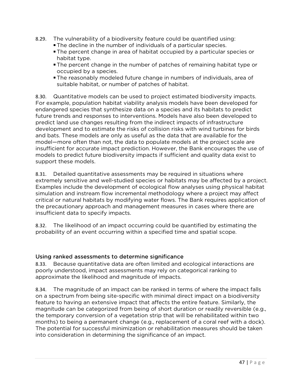- 8.29. The vulnerability of a biodiversity feature could be quantified using:
	- The decline in the number of individuals of a particular species.
	- The percent change in area of habitat occupied by a particular species or habitat type.
	- The percent change in the number of patches of remaining habitat type or occupied by a species.
	- The reasonably modeled future change in numbers of individuals, area of suitable habitat, or number of patches of habitat.

8.30. Quantitative models can be used to project estimated biodiversity impacts. For example, population habitat viability analysis models have been developed for endangered species that synthesize data on a species and its habitats to predict future trends and responses to interventions. Models have also been developed to predict land use changes resulting from the indirect impacts of infrastructure development and to estimate the risks of collision risks with wind turbines for birds and bats. These models are only as useful as the data that are available for the model—more often than not, the data to populate models at the project scale are insufficient for accurate impact prediction. However, the Bank encourages the use of models to predict future biodiversity impacts if sufficient and quality data exist to support these models.

8.31. Detailed quantitative assessments may be required in situations where extremely sensitive and well-studied species or habitats may be affected by a project. Examples include the development of ecological flow analyses using physical habitat simulation and instream flow incremental methodology where a project may affect critical or natural habitats by modifying water flows. The Bank requires application of the precautionary approach and management measures in cases where there are insufficient data to specify impacts.

8.32. The likelihood of an impact occurring could be quantified by estimating the probability of an event occurring within a specified time and spatial scope.

#### Using ranked assessments to determine significance

8.33. Because quantitative data are often limited and ecological interactions are poorly understood, impact assessments may rely on categorical ranking to approximate the likelihood and magnitude of impacts.

8.34. The magnitude of an impact can be ranked in terms of where the impact falls on a spectrum from being site-specific with minimal direct impact on a biodiversity feature to having an extensive impact that affects the entire feature. Similarly, the magnitude can be categorized from being of short duration or readily reversible (e.g., the temporary conversion of a vegetation strip that will be rehabilitated within two months) to being a permanent change (e.g., replacement of a coral reef with a dock). The potential for successful minimization or rehabilitation measures should be taken into consideration in determining the significance of an impact.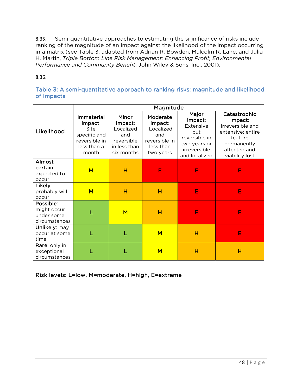8.35. Semi-quantitative approaches to estimating the significance of risks include ranking of the magnitude of an impact against the likelihood of the impact occurring in a matrix (see Table 3, adapted from Adrian R. Bowden, Malcolm R. Lane, and Julia H. Martin, *Triple Bottom Line Risk Management: Enhancing Profit, Environmental Performance and Community Benefit*, John Wiley & Sons, Inc., 2001).

8.36.

#### Table 3: A semi-quantitative approach to ranking risks: magnitude and likelihood of impacts

|                                                         | Magnitude                                                                               |                                                                                  |                                                                                    |                                                                                                        |                                                                                                                              |
|---------------------------------------------------------|-----------------------------------------------------------------------------------------|----------------------------------------------------------------------------------|------------------------------------------------------------------------------------|--------------------------------------------------------------------------------------------------------|------------------------------------------------------------------------------------------------------------------------------|
| Likelihood                                              | Immaterial<br>impact:<br>Site-<br>specific and<br>reversible in<br>less than a<br>month | Minor<br>impact:<br>Localized<br>and<br>reversible<br>in less than<br>six months | Moderate<br>impact:<br>Localized<br>and<br>reversible in<br>less than<br>two years | Major<br>impact:<br>Extensive<br>but<br>reversible in<br>two years or<br>irreversible<br>and localized | Catastrophic<br>impact:<br>Irreversible and<br>extensive; entire<br>feature<br>permanently<br>affected and<br>viability lost |
| Almost<br>certain:<br>expected to<br>occur              | M                                                                                       | н                                                                                | E                                                                                  | E                                                                                                      | Е                                                                                                                            |
| Likely:<br>probably will<br>occur                       | M                                                                                       | н                                                                                | H                                                                                  | E                                                                                                      | E                                                                                                                            |
| Possible:<br>might occur<br>under some<br>circumstances |                                                                                         | $\overline{\mathsf{M}}$                                                          | н                                                                                  | E                                                                                                      | E                                                                                                                            |
| Unlikely: may<br>occur at some<br>time                  |                                                                                         |                                                                                  | M                                                                                  | н                                                                                                      | E                                                                                                                            |
| Rare: only in<br>exceptional<br>circumstances           |                                                                                         |                                                                                  | M                                                                                  | H                                                                                                      | H                                                                                                                            |

Risk levels: L=low, M=moderate, H=high, E=extreme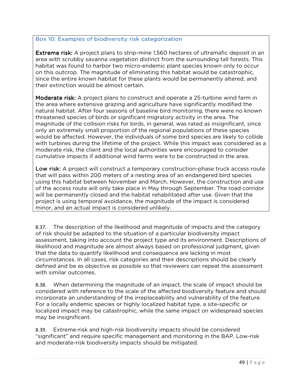#### Box 10: Examples of biodiversity risk categorization

**Extreme risk:** A project plans to strip-mine 1,560 hectares of ultramafic deposit in an area with scrubby savanna vegetation distinct from the surrounding tall forests. This habitat was found to harbor two micro-endemic plant species known only to occur on this outcrop. The magnitude of eliminating this habitat would be catastrophic, since the entire known habitat for these plants would be permanently altered, and their extinction would be almost certain.

Moderate risk: A project plans to construct and operate a 25-turbine wind farm in the area where extensive grazing and agriculture have significantly modified the natural habitat. After four seasons of baseline bird monitoring, there were no known threatened species of birds or significant migratory activity in the area. The magnitude of the collision risks for birds, in general, was rated as insignificant, since only an extremely small proportion of the regional populations of these species would be affected. However, the individuals of some bird species are likely to collide with turbines during the lifetime of the project. While this impact was considered as a moderate risk, the client and the local authorities were encouraged to consider cumulative impacts if additional wind farms were to be constructed in the area.

Low risk: A project will construct a temporary construction-phase truck access route that will pass within 200 meters of a nesting area of an endangered bird species using this habitat between November and March. However, the construction and use of the access route will only take place in May through September. The road corridor will be permanently closed and the habitat rehabilitated after use. Given that the project is using temporal avoidance, the magnitude of the impact is considered minor, and an actual impact is considered unlikely.

8.37. The description of the likelihood and magnitude of impacts and the category of risk should be adapted to the situation of a particular biodiversity impact assessment, taking into account the project type and its environment. Descriptions of likelihood and magnitude are almost always based on professional judgment, given that the data to quantify likelihood and consequence are lacking in most circumstances. In all cases, risk categories and their descriptions should be clearly defined and be as objective as possible so that reviewers can repeat the assessment with similar outcomes.

8.38. When determining the magnitude of an impact, the scale of impact should be considered with reference to the scale of the affected biodiversity feature and should incorporate an understanding of the irreplaceability and vulnerability of the feature. For a locally endemic species or highly localized habitat type, a site-specific or localized impact may be catastrophic, while the same impact on widespread species may be insignificant.

8.39. Extreme-risk and high-risk biodiversity impacts should be considered "significant" and require specific management and monitoring in the BAP. Low-risk and moderate-risk biodiversity impacts should be mitigated.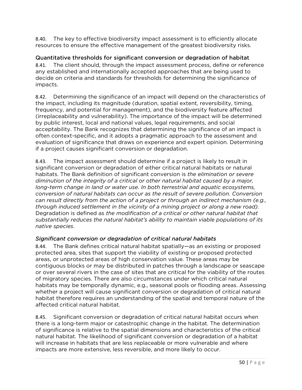8.40. The key to effective biodiversity impact assessment is to efficiently allocate resources to ensure the effective management of the greatest biodiversity risks.

Quantitative thresholds for significant conversion or degradation of habitat

8.41. The client should, through the impact assessment process, define or reference any established and internationally accepted approaches that are being used to decide on criteria and standards for thresholds for determining the significance of impacts.

8.42. Determining the significance of an impact will depend on the characteristics of the impact, including its magnitude (duration, spatial extent, reversibility, timing, frequency, and potential for management), and the biodiversity feature affected (irreplaceability and vulnerability). The importance of the impact will be determined by public interest, local and national values, legal requirements, and social acceptability. The Bank recognizes that determining the significance of an impact is often context-specific, and it adopts a pragmatic approach to the assessment and evaluation of significance that draws on experience and expert opinion. Determining if a project causes significant conversion or degradation.

8.43. The impact assessment should determine if a project is likely to result in significant conversion or degradation of either critical natural habitats or natural habitats. The Bank definition of significant conversion is *the elimination or severe diminution of the integrity of a critical or other natural habitat caused by a major, long-term change in land or water use. In both terrestrial and aquatic ecosystems, conversion of natural habitats can occur as the result of severe pollution. Conversion can result directly from the action of a project or through an indirect mechanism (e.g., through induced settlement in the vicinity of a mining project or along a new road).* Degradation is defined as *the modification of a critical or other natural habitat that substantially reduces the natural habitat's ability to maintain viable populations of its native species*.

### *Significant conversion or degradation of critical natural habitats*

8.44. The Bank defines critical natural habitat spatially—as an existing or proposed protected area, sites that support the viability of existing or proposed protected areas, or unprotected areas of high conservation value. These areas may be contiguous blocks or may be distributed in patches through a landscape or seascape or over several rivers in the case of sites that are critical for the viability of the routes of migratory species. There are also circumstances under which critical natural habitats may be temporally dynamic, e.g., seasonal pools or flooding areas. Assessing whether a project will cause significant conversion or degradation of critical natural habitat therefore requires an understanding of the spatial and temporal nature of the affected critical natural habitat.

8.45. Significant conversion or degradation of critical natural habitat occurs when there is a long-term major or catastrophic change in the habitat. The determination of significance is relative to the spatial dimensions and characteristics of the critical natural habitat. The likelihood of significant conversion or degradation of a habitat will increase in habitats that are less replaceable or more vulnerable and where impacts are more extensive, less reversible, and more likely to occur.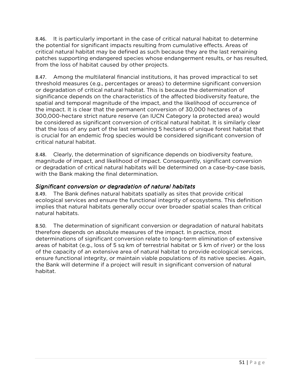8.46. It is particularly important in the case of critical natural habitat to determine the potential for significant impacts resulting from cumulative effects. Areas of critical natural habitat may be defined as such because they are the last remaining patches supporting endangered species whose endangerment results, or has resulted, from the loss of habitat caused by other projects.

8.47. Among the multilateral financial institutions, it has proved impractical to set threshold measures (e.g., percentages or areas) to determine significant conversion or degradation of critical natural habitat. This is because the determination of significance depends on the characteristics of the affected biodiversity feature, the spatial and temporal magnitude of the impact, and the likelihood of occurrence of the impact. It is clear that the permanent conversion of 30,000 hectares of a 300,000-hectare strict nature reserve (an IUCN Category Ia protected area) would be considered as significant conversion of critical natural habitat. It is similarly clear that the loss of any part of the last remaining 5 hectares of unique forest habitat that is crucial for an endemic frog species would be considered significant conversion of critical natural habitat.

8.48. Clearly, the determination of significance depends on biodiversity feature, magnitude of impact, and likelihood of impact. Consequently, significant conversion or degradation of critical natural habitats will be determined on a case-by-case basis, with the Bank making the final determination.

### *Significant conversion or degradation of natural habitats*

8.49. The Bank defines natural habitats spatially as sites that provide critical ecological services and ensure the functional integrity of ecosystems. This definition implies that natural habitats generally occur over broader spatial scales than critical natural habitats.

8.50. The determination of significant conversion or degradation of natural habitats therefore depends on absolute measures of the impact. In practice, most determinations of significant conversion relate to long-term elimination of extensive areas of habitat (e.g., loss of 5 sq km of terrestrial habitat or 5 km of river) or the loss of the capacity of an extensive area of natural habitat to provide ecological services, ensure functional integrity, or maintain viable populations of its native species. Again, the Bank will determine if a project will result in significant conversion of natural habitat.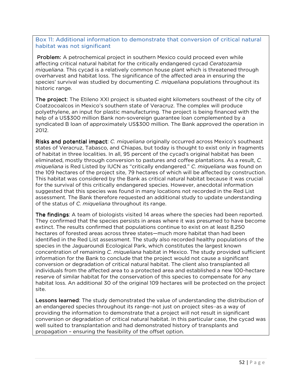#### Box 11: Additional information to demonstrate that conversion of critical natural habitat was not significant

**Problem:** A petrochemical project in southern Mexico could proceed even while affecting critical natural habitat for the critically endangered cycad *Ceratozamia miqueliana*. This cycad is a relatively common house plant which is threatened through overharvest and habitat loss. The significance of the affected area in ensuring the species' survival was studied by documenting *C. miqueliana* populations throughout its historic range.

The project: The Etileno XXI project is situated eight kilometers southeast of the city of Coatzocoalcos in Mexico's southern state of Veracruz. The complex will produce polyethylene, an input for plastic manufacturing. The project is being financed with the help of a US\$300 million Bank non-sovereign guarantee loan complemented by a syndicated B loan of approximately US\$300 million. The Bank approved the operation in 2012.

Risks and potential impact: *C. miqueliana* originally occurred across Mexico's southeast states of Veracruz, Tabasco, and Chiapas, but today is thought to exist only in fragments of habitat in three localities. In all, 95 percent of the cycad's original habitat has been eliminated, mostly through conversion to pastures and coffee plantations. As a result, *C. miqueliana* is Red Listed by IUCN as "critically endangered." *C. miqueliana* was found on the 109 hectares of the project site, 79 hectares of which will be affected by construction. This habitat was considered by the Bank as critical natural habitat because it was crucial for the survival of this critically endangered species. However, anecdotal information suggested that this species was found in many locations not recorded in the Red List assessment. The Bank therefore requested an additional study to update understanding of the status of *C. miqueliana* throughout its range.

The findings: A team of biologists visited 14 areas where the species had been reported. They confirmed that the species persists in areas where it was presumed to have become extinct. The results confirmed that populations continue to exist on at least 8,250 hectares of forested areas across three states—much more habitat than had been identified in the Red List assessment. The study also recorded healthy populations of the species in the Jaguaroundi Ecological Park, which constitutes the largest known concentration of remaining *C. miqueliana* habitat in Mexico. The study provided sufficient information for the Bank to conclude that the project would not cause a significant conversion or degradation of critical natural habitat. The client also transplanted all individuals from the affected area to a protected area and established a new 100-hectare reserve of similar habitat for the conservation of this species to compensate for any habitat loss. An additional 30 of the original 109 hectares will be protected on the project site.

Lessons learned: The study demonstrated the value of understanding the distribution of an endangered species throughout its range―not just on project sites―as a way of providing the information to demonstrate that a project will not result in significant conversion or degradation of critical natural habitat. In this particular case, the cycad was well suited to transplantation and had demonstrated history of transplants and propagation – ensuring the feasibility of the offset option.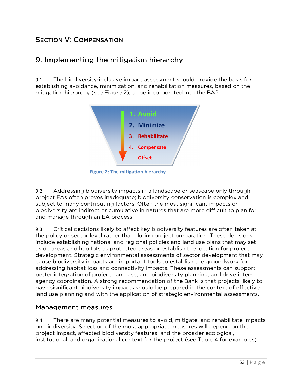# SECTION V: COMPENSATION

# 9. Implementing the mitigation hierarchy

9.1. The biodiversity-inclusive impact assessment should provide the basis for establishing avoidance, minimization, and rehabilitation measures, based on the mitigation hierarchy (see Figure 2), to be incorporated into the BAP.



**Figure 2: The mitigation hierarchy**

9.2. Addressing biodiversity impacts in a landscape or seascape only through project EAs often proves inadequate; biodiversity conservation is complex and subject to many contributing factors. Often the most significant impacts on biodiversity are indirect or cumulative in natures that are more difficult to plan for and manage through an EA process.

9.3. Critical decisions likely to affect key biodiversity features are often taken at the policy or sector level rather than during project preparation. These decisions include establishing national and regional policies and land use plans that may set aside areas and habitats as protected areas or establish the location for project development. Strategic environmental assessments of sector development that may cause biodiversity impacts are important tools to establish the groundwork for addressing habitat loss and connectivity impacts. These assessments can support better integration of project, land use, and biodiversity planning, and drive interagency coordination. A strong recommendation of the Bank is that projects likely to have significant biodiversity impacts should be prepared in the context of effective land use planning and with the application of strategic environmental assessments.

### Management measures

9.4. There are many potential measures to avoid, mitigate, and rehabilitate impacts on biodiversity. Selection of the most appropriate measures will depend on the project impact, affected biodiversity features, and the broader ecological, institutional, and organizational context for the project (see Table 4 for examples).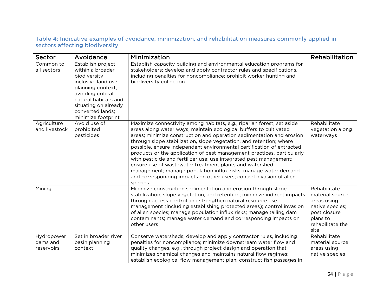#### Table 4: Indicative examples of avoidance, minimization, and rehabilitation measures commonly applied in Table sectors affecting biodiversity

| Sector                               | Avoidance                                                                                                                                                                                                        | Minimization                                                                                                                                                                                                                                                                                                                                                                                                                                                                                                                                                                                                                                                                                                                        | Rehabilitation                                                                                                            |
|--------------------------------------|------------------------------------------------------------------------------------------------------------------------------------------------------------------------------------------------------------------|-------------------------------------------------------------------------------------------------------------------------------------------------------------------------------------------------------------------------------------------------------------------------------------------------------------------------------------------------------------------------------------------------------------------------------------------------------------------------------------------------------------------------------------------------------------------------------------------------------------------------------------------------------------------------------------------------------------------------------------|---------------------------------------------------------------------------------------------------------------------------|
| Common to<br>all sectors             | Establish project<br>within a broader<br>biodiversity-<br>inclusive land use<br>planning context,<br>avoiding critical<br>natural habitats and<br>situating on already<br>converted lands;<br>minimize footprint | Establish capacity building and environmental education programs for<br>stakeholders; develop and apply contractor rules and specifications,<br>including penalties for noncompliance; prohibit worker hunting and<br>biodiversity collection                                                                                                                                                                                                                                                                                                                                                                                                                                                                                       |                                                                                                                           |
| Agriculture<br>and livestock         | Avoid use of<br>prohibited<br>pesticides                                                                                                                                                                         | Maximize connectivity among habitats, e.g., riparian forest; set aside<br>areas along water ways; maintain ecological buffers to cultivated<br>areas; minimize construction and operation sedimentation and erosion<br>through slope stabilization, slope vegetation, and retention; where<br>possible, ensure independent environmental certification of extracted<br>products or the application of best management practices, particularly<br>with pesticide and fertilizer use; use integrated pest management;<br>ensure use of wastewater treatment plants and watershed<br>management; manage population influx risks; manage water demand<br>and corresponding impacts on other users; control invasion of alien<br>species | Rehabilitate<br>vegetation along<br>waterways                                                                             |
| Mining                               |                                                                                                                                                                                                                  | Minimize construction sedimentation and erosion through slope<br>stabilization, slope vegetation, and retention; minimize indirect impacts<br>through access control and strengthen natural resource use<br>management (including establishing protected areas); control invasion<br>of alien species; manage population influx risks; manage tailing dam<br>contaminants; manage water demand and corresponding impacts on<br>other users                                                                                                                                                                                                                                                                                          | Rehabilitate<br>material source<br>areas using<br>native species;<br>post closure<br>plans to<br>rehabilitate the<br>site |
| Hydropower<br>dams and<br>reservoirs | Set in broader river<br>basin planning<br>context                                                                                                                                                                | Conserve watersheds; develop and apply contractor rules, including<br>penalties for noncompliance; minimize downstream water flow and<br>quality changes, e.g., through project design and operation that<br>minimizes chemical changes and maintains natural flow regimes;<br>establish ecological flow management plan; construct fish passages in                                                                                                                                                                                                                                                                                                                                                                                | Rehabilitate<br>material source<br>areas using<br>native species                                                          |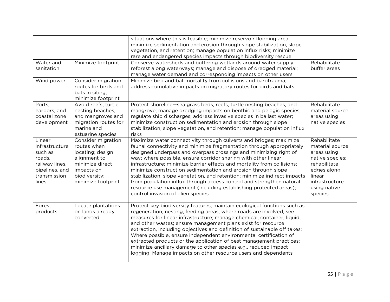|                             |                                           | situations where this is feasible; minimize reservoir flooding area;<br>minimize sedimentation and erosion through slope stabilization, slope |                               |
|-----------------------------|-------------------------------------------|-----------------------------------------------------------------------------------------------------------------------------------------------|-------------------------------|
|                             |                                           | vegetation, and retention; manage population influx risks; minimize                                                                           |                               |
|                             |                                           | rare and endangered species impacts through biodiversity rescue                                                                               |                               |
| Water and                   | Minimize footprint                        | Conserve watersheds and buffering wetlands around water supply;                                                                               | Rehabilitate                  |
| sanitation                  |                                           | reforest along waterways; manage and dispose of dredged material;                                                                             | buffer areas                  |
|                             |                                           | manage water demand and corresponding impacts on other users                                                                                  |                               |
| Wind power                  | Consider migration                        | Minimize bird and bat mortality from collisions and barotrauma;                                                                               |                               |
|                             | routes for birds and                      | address cumulative impacts on migratory routes for birds and bats                                                                             |                               |
|                             | bats in siting;                           |                                                                                                                                               |                               |
|                             | minimize footprint                        |                                                                                                                                               |                               |
| Ports.                      | Avoid reefs, turtle                       | Protect shoreline-sea grass beds, reefs, turtle nesting beaches, and                                                                          | Rehabilitate                  |
| harbors, and                | nesting beaches,                          | mangrove; manage dredging impacts on benthic and pelagic species;                                                                             | material source               |
| coastal zone<br>development | and mangroves and<br>migration routes for | regulate ship discharges; address invasive species in ballast water;<br>minimize construction sedimentation and erosion through slope         | areas using<br>native species |
|                             | marine and                                | stabilization, slope vegetation, and retention; manage population influx                                                                      |                               |
|                             | estuarine species                         | risks                                                                                                                                         |                               |
| Linear                      | Consider migration                        | Maximize water connectivity through culverts and bridges; maximize                                                                            | Rehabilitate                  |
| infrastructure              | routes when                               | faunal connectivity and minimize fragmentation through appropriately                                                                          | material source               |
| such as                     | locating; design                          | designed underpass and overpass crossings and minimizing right of                                                                             | areas using                   |
| roads,                      | alignment to                              | way; where possible, ensure corridor sharing with other linear                                                                                | native species;               |
| railway lines,              | minimize direct                           | infrastructure; minimize barrier effects and mortality from collisions;                                                                       | rehabilitate                  |
| pipelines, and              | impacts on                                | minimize construction sedimentation and erosion through slope                                                                                 | edges along                   |
| transmission                | biodiversity;                             | stabilization, slope vegetation, and retention; minimize indirect impacts                                                                     | linear                        |
| lines                       | minimize footprint                        | from population influx through access control and strengthen natural                                                                          | infrastructure                |
|                             |                                           | resource use management (including establishing protected areas);                                                                             | using native                  |
|                             |                                           | control invasion of alien species                                                                                                             | species                       |
| Forest                      | Locate plantations                        | Protect key biodiversity features; maintain ecological functions such as                                                                      |                               |
| products                    | on lands already                          | regeneration, nesting, feeding areas; where roads are involved, see                                                                           |                               |
|                             | converted                                 | measures for linear infrastructure; manage chemical, container, liquid,                                                                       |                               |
|                             |                                           | and other wastes; ensure management plans exist for resource                                                                                  |                               |
|                             |                                           | extraction, including objectives and definition of sustainable off takes;                                                                     |                               |
|                             |                                           | Where possible, ensure independent environmental certification of                                                                             |                               |
|                             |                                           | extracted products or the application of best management practices;                                                                           |                               |
|                             |                                           | minimize ancillary damage to other species e.g., reduced impact                                                                               |                               |
|                             |                                           | logging; Manage impacts on other resource users and dependents                                                                                |                               |
|                             |                                           |                                                                                                                                               |                               |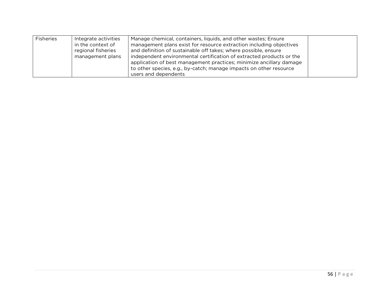| Fisheries | Integrate activities<br>in the context of<br>regional fisheries<br>management plans | Manage chemical, containers, liquids, and other wastes; Ensure<br>management plans exist for resource extraction including objectives<br>and definition of sustainable off takes; where possible, ensure<br>independent environmental certification of extracted products or the<br>application of best management practices; minimize ancillary damage<br>to other species, e.g., by-catch; manage impacts on other resource |  |
|-----------|-------------------------------------------------------------------------------------|-------------------------------------------------------------------------------------------------------------------------------------------------------------------------------------------------------------------------------------------------------------------------------------------------------------------------------------------------------------------------------------------------------------------------------|--|
|           |                                                                                     | users and dependents                                                                                                                                                                                                                                                                                                                                                                                                          |  |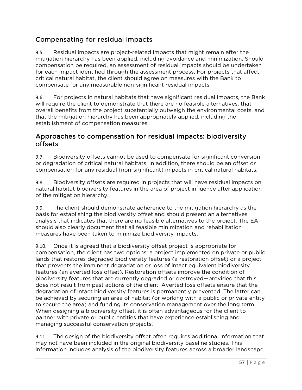# Compensating for residual impacts

9.5. Residual impacts are project-related impacts that might remain after the mitigation hierarchy has been applied, including avoidance and minimization. Should compensation be required, an assessment of residual impacts should be undertaken for each impact identified through the assessment process. For projects that affect critical natural habitat, the client should agree on measures with the Bank to compensate for any measurable non-significant residual impacts.

9.6. For projects in natural habitats that have significant residual impacts, the Bank will require the client to demonstrate that there are no feasible alternatives, that overall benefits from the project substantially outweigh the environmental costs, and that the mitigation hierarchy has been appropriately applied, including the establishment of compensation measures.

## Approaches to compensation for residual impacts: biodiversity offsets

9.7. Biodiversity offsets cannot be used to compensate for significant conversion or degradation of critical natural habitats. In addition, there should be an offset or compensation for any residual (non-significant) impacts in critical natural habitats.

9.8. Biodiversity offsets are required in projects that will have residual impacts on natural habitat biodiversity features in the area of project influence after application of the mitigation hierarchy.

9.9. The client should demonstrate adherence to the mitigation hierarchy as the basis for establishing the biodiversity offset and should present an alternatives analysis that indicates that there are no feasible alternatives to the project. The EA should also clearly document that all feasible minimization and rehabilitation measures have been taken to minimize biodiversity impacts.

9.10. Once it is agreed that a biodiversity offset project is appropriate for compensation, the client has two options: a project implemented on private or public lands that restores degraded biodiversity features (a restoration offset) or a project that prevents the imminent degradation or loss of intact equivalent biodiversity features (an averted loss offset). Restoration offsets improve the condition of biodiversity features that are currently degraded or destroyed—provided that this does not result from past actions of the client. Averted loss offsets ensure that the degradation of intact biodiversity features is permanently prevented. The latter can be achieved by securing an area of habitat (or working with a public or private entity to secure the area) and funding its conservation management over the long term. When designing a biodiversity offset, it is often advantageous for the client to partner with private or public entities that have experience establishing and managing successful conservation projects.

9.11. The design of the biodiversity offset often requires additional information that may not have been included in the original biodiversity baseline studies. This information includes analysis of the biodiversity features across a broader landscape,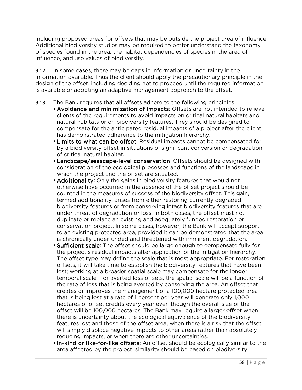including proposed areas for offsets that may be outside the project area of influence. Additional biodiversity studies may be required to better understand the taxonomy of species found in the area, the habitat dependencies of species in the area of influence, and use values of biodiversity.

9.12. In some cases, there may be gaps in information or uncertainty in the information available. Thus the client should apply the precautionary principle in the design of the offset, including deciding not to proceed until the required information is available or adopting an adaptive management approach to the offset.

#### 9.13. The Bank requires that all offsets adhere to the following principles:

- **Avoidance and minimization of impacts: Offsets are not intended to relieve** clients of the requirements to avoid impacts on critical natural habitats and natural habitats or on biodiversity features. They should be designed to compensate for the anticipated residual impacts of a project after the client has demonstrated adherence to the mitigation hierarchy.
- **Limits to what can be offset:** Residual impacts cannot be compensated for by a biodiversity offset in situations of significant conversion or degradation of critical natural habitat.
- Landscape/seascape-level conservation: Offsets should be designed with consideration of the ecological processes and functions of the landscape in which the project and the offset are situated.
- Additionality: Only the gains in biodiversity features that would not otherwise have occurred in the absence of the offset project should be counted in the measures of success of the biodiversity offset. This gain, termed additionality, arises from either restoring currently degraded biodiversity features or from conserving intact biodiversity features that are under threat of degradation or loss. In both cases, the offset must not duplicate or replace an existing and adequately funded restoration or conservation project. In some cases, however, the Bank will accept support to an existing protected area, provided it can be demonstrated that the area is chronically underfunded and threatened with imminent degradation.
- **Sufficient scale:** The offset should be large enough to compensate fully for the project's residual impacts after application of the mitigation hierarchy. The offset type may define the scale that is most appropriate. For restoration offsets, it will take time to establish the biodiversity features that have been lost; working at a broader spatial scale may compensate for the longer temporal scale. For averted loss offsets, the spatial scale will be a function of the rate of loss that is being averted by conserving the area. An offset that creates or improves the management of a 100,000 hectare protected area that is being lost at a rate of 1 percent per year will generate only 1,000 hectares of offset credits every year even though the overall size of the offset will be 100,000 hectares. The Bank may require a larger offset when there is uncertainty about the ecological equivalence of the biodiversity features lost and those of the offset area, when there is a risk that the offset will simply displace negative impacts to other areas rather than absolutely reducing impacts, or when there are other uncertainties.
- In-kind or like-for-like offsets: An offset should be ecologically similar to the area affected by the project; similarity should be based on biodiversity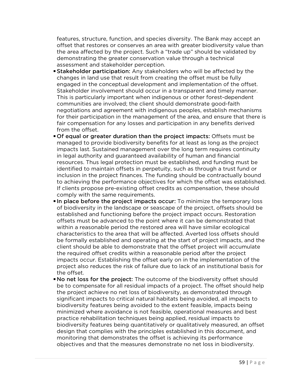features, structure, function, and species diversity. The Bank may accept an offset that restores or conserves an area with greater biodiversity value than the area affected by the project. Such a "trade up" should be validated by demonstrating the greater conservation value through a technical assessment and stakeholder perception.

- **Stakeholder participation:** Any stakeholders who will be affected by the changes in land use that result from creating the offset must be fully engaged in the conceptual development and implementation of the offset. Stakeholder involvement should occur in a transparent and timely manner. This is particularly important when indigenous or other forest-dependent communities are involved; the client should demonstrate good-faith negotiations and agreement with indigenous peoples, establish mechanisms for their participation in the management of the area, and ensure that there is fair compensation for any losses and participation in any benefits derived from the offset.
- Of equal or greater duration than the project impacts: Offsets must be managed to provide biodiversity benefits for at least as long as the project impacts last. Sustained management over the long term requires continuity in legal authority and guaranteed availability of human and financial resources. Thus legal protection must be established, and funding must be identified to maintain offsets in perpetuity, such as through a trust fund or inclusion in the project finances. The funding should be contractually bound to achieving the performance objectives for which the offset was established. If clients propose pre-existing offset credits as compensation, these should comply with the same requirements.
- In place before the project impacts occur: To minimize the temporary loss of biodiversity in the landscape or seascape of the project, offsets should be established and functioning before the project impact occurs. Restoration offsets must be advanced to the point where it can be demonstrated that within a reasonable period the restored area will have similar ecological characteristics to the area that will be affected. Averted loss offsets should be formally established and operating at the start of project impacts, and the client should be able to demonstrate that the offset project will accumulate the required offset credits within a reasonable period after the project impacts occur. Establishing the offset early on in the implementation of the project also reduces the risk of failure due to lack of an institutional basis for the offset.
- No net loss for the project: The outcome of the biodiversity offset should be to compensate for all residual impacts of a project. The offset should help the project achieve no net loss of biodiversity, as demonstrated through significant impacts to critical natural habitats being avoided, all impacts to biodiversity features being avoided to the extent feasible, impacts being minimized where avoidance is not feasible, operational measures and best practice rehabilitation techniques being applied, residual impacts to biodiversity features being quantitatively or qualitatively measured, an offset design that complies with the principles established in this document, and monitoring that demonstrates the offset is achieving its performance objectives and that the measures demonstrate no net loss in biodiversity.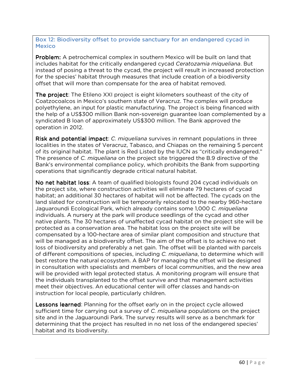Box 12: Biodiversity offset to provide sanctuary for an endangered cycad in **Mexico** 

Problem: A petrochemical complex in southern Mexico will be built on land that includes habitat for the critically endangered cycad *Ceratozamia miqueliana*. But instead of posing a threat to the cycad, the project will result in increased protection for the species' habitat through measures that include creation of a biodiversity offset that will more than compensate for the area of habitat removed.

The project: The Etileno XXI project is eight kilometers southeast of the city of Coatzocoalcos in Mexico's southern state of Veracruz. The complex will produce polyethylene, an input for plastic manufacturing. The project is being financed with the help of a US\$300 million Bank non-sovereign guarantee loan complemented by a syndicated B loan of approximately US\$300 million. The Bank approved the operation in 2012.

**Risk and potential impact**: *C. miqueliana* survives in remnant populations in three localities in the states of Veracruz, Tabasco, and Chiapas on the remaining 5 percent of its original habitat. The plant is Red Listed by the IUCN as "critically endangered." The presence of *C. miqueliana* on the project site triggered the B.9 directive of the Bank's environmental compliance policy, which prohibits the Bank from supporting operations that significantly degrade critical natural habitat.

No net habitat loss: A team of qualified biologists found 204 cycad individuals on the project site, where construction activities will eliminate 79 hectares of cycad habitat; an additional 30 hectares of habitat will not be affected. The cycads on the land slated for construction will be temporarily relocated to the nearby 960-hectare Jaguaroundi Ecological Park, which already contains some 1,000 *C. miqueliana* individuals. A nursery at the park will produce seedlings of the cycad and other native plants. The 30 hectares of unaffected cycad habitat on the project site will be protected as a conservation area. The habitat loss on the project site will be compensated by a 100-hectare area of similar plant composition and structure that will be managed as a biodiversity offset. The aim of the offset is to achieve no net loss of biodiversity and preferably a net gain. The offset will be planted with parcels of different compositions of species, including *C. miqueliana*, to determine which will best restore the natural ecosystem. A BAP for managing the offset will be designed in consultation with specialists and members of local communities, and the new area will be provided with legal protected status. A monitoring program will ensure that the individuals transplanted to the offset survive and that management activities meet their objectives. An educational center will offer classes and hands-on instruction for local people, particularly children.

Lessons learned: Planning for the offset early on in the project cycle allowed sufficient time for carrying out a survey of *C. miqueliana* populations on the project site and in the Jaguaroundi Park. The survey results will serve as a benchmark for determining that the project has resulted in no net loss of the endangered species' habitat and its biodiversity.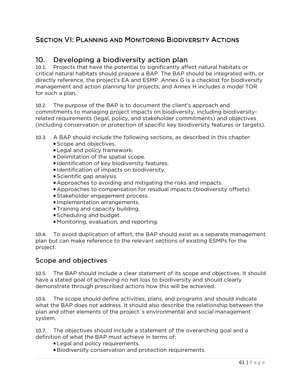# SECTION VI: PLANNING AND MONITORING BIODIVERSITY ACTIONS

# 10. Developing a biodiversity action plan

10.1. Projects that have the potential to significantly affect natural habitats or critical natural habitats should prepare a BAP. The BAP should be integrated with, or directly reference, the project's EA and ESMP. Annex G is a checklist for biodiversity management and action planning for projects, and Annex H includes a model TOR for such a plan.

10.2. The purpose of the BAP is to document the client's approach and commitments to managing project impacts on biodiversity, including biodiversityrelated requirements (legal, policy, and stakeholder commitments) and objectives (including conservation or protection of specific key biodiversity features or targets).

- 10.3. A BAP should include the following sections, as described in this chapter:
	- **Scope and objectives.**
	- **Legal and policy framework.**
	- Delimitation of the spatial scope.
	- **Identification of key biodiversity features.**
	- **Identification of impacts on biodiversity.**
	- Scientific gap analysis.
	- Approaches to avoiding and mitigating the risks and impacts.
	- Approaches to compensation for residual impacts (biodiversity offsets).
	- Stakeholder engagement process.
	- **Implementation arrangements.**
	- **Training and capacity building.**
	- Scheduling and budget.
	- Monitoring, evaluation, and reporting.

10.4. To avoid duplication of effort, the BAP should exist as a separate management plan but can make reference to the relevant sections of existing ESMPs for the project.

### Scope and objectives

10.5. The BAP should include a clear statement of its scope and objectives. It should have a stated goal of achieving no net loss to biodiversity and should clearly demonstrate through prescribed actions how this will be achieved.

10.6. The scope should define activities, plans, and programs and should indicate what the BAP does not address. It should also describe the relationship between the plan and other elements of the project´s environmental and social management system.

10.7. The objectives should include a statement of the overarching goal and a definition of what the BAP must achieve in terms of:

- **Legal and policy requirements.**
- Biodiversity conservation and protection requirements.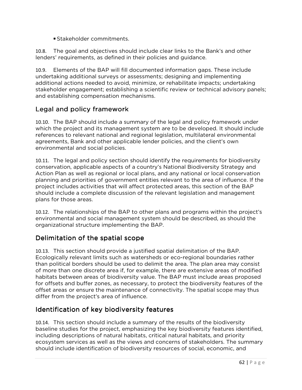Stakeholder commitments.

10.8. The goal and objectives should include clear links to the Bank's and other lenders' requirements, as defined in their policies and guidance.

10.9. Elements of the BAP will fill documented information gaps. These include undertaking additional surveys or assessments; designing and implementing additional actions needed to avoid, minimize, or rehabilitate impacts; undertaking stakeholder engagement; establishing a scientific review or technical advisory panels; and establishing compensation mechanisms.

# Legal and policy framework

10.10. The BAP should include a summary of the legal and policy framework under which the project and its management system are to be developed. It should include references to relevant national and regional legislation, multilateral environmental agreements, Bank and other applicable lender policies, and the client's own environmental and social policies.

10.11. The legal and policy section should identify the requirements for biodiversity conservation, applicable aspects of a country's National Biodiversity Strategy and Action Plan as well as regional or local plans, and any national or local conservation planning and priorities of government entities relevant to the area of influence. If the project includes activities that will affect protected areas, this section of the BAP should include a complete discussion of the relevant legislation and management plans for those areas.

10.12. The relationships of the BAP to other plans and programs within the project's environmental and social management system should be described, as should the organizational structure implementing the BAP.

# Delimitation of the spatial scope

10.13. This section should provide a justified spatial delimitation of the BAP. Ecologically relevant limits such as watersheds or eco-regional boundaries rather than political borders should be used to delimit the area. The plan area may consist of more than one discrete area if, for example, there are extensive areas of modified habitats between areas of biodiversity value. The BAP must include areas proposed for offsets and buffer zones, as necessary, to protect the biodiversity features of the offset areas or ensure the maintenance of connectivity. The spatial scope may thus differ from the project's area of influence.

# Identification of key biodiversity features

10.14. This section should include a summary of the results of the biodiversity baseline studies for the project, emphasizing the key biodiversity features identified, including descriptions of natural habitats, critical natural habitats, and priority ecosystem services as well as the views and concerns of stakeholders. The summary should include identification of biodiversity resources of social, economic, and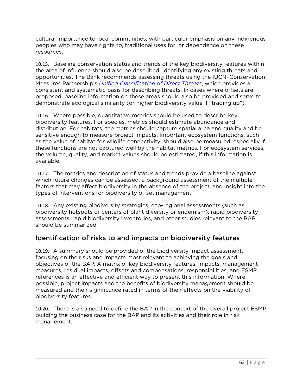cultural importance to local communities, with particular emphasis on any indigenous peoples who may have rights to, traditional uses for, or dependence on these resources.

10.15. Baseline conservation status and trends of the key biodiversity features within the area of influence should also be described, identifying any existing threats and opportunities. The Bank recommends assessing threats using the IUCN–Conservation Measures Partnership's *Unified Classification of Direct Threats*, which provides a consistent and systematic basis for describing threats. In cases where offsets are proposed, baseline information on these areas should also be provided and serve to demonstrate ecological similarity (or higher biodiversity value if "trading up").

10.16. Where possible, quantitative metrics should be used to describe key biodiversity features. For species, metrics should estimate abundance and distribution. For habitats, the metrics should capture spatial area and quality and be sensitive enough to measure project impacts. Important ecosystem functions, such as the value of habitat for wildlife connectivity, should also be measured, especially if these functions are not captured well by the habitat metrics. For ecosystem services, the volume, quality, and market values should be estimated, if this information is available.

10.17. The metrics and description of status and trends provide a baseline against which future changes can be assessed, a background assessment of the multiple factors that may affect biodiversity in the absence of the project, and insight into the types of interventions for biodiversity offset management.

10.18. Any existing biodiversity strategies, eco-regional assessments (such as biodiversity hotspots or centers of plant diversity or endemism), rapid biodiversity assessments, rapid biodiversity inventories, and other studies relevant to the BAP should be summarized.

# Identification of risks to and impacts on biodiversity features

10.19. A summary should be provided of the biodiversity impact assessment, focusing on the risks and impacts most relevant to achieving the goals and objectives of the BAP. A matrix of key biodiversity features, impacts, management measures, residual impacts, offsets and compensations, responsibilities, and ESMP references is an effective and efficient way to present this information. Where possible, project impacts and the benefits of biodiversity management should be measured and their significance rated in terms of their effects on the viability of biodiversity features.

10.20. There is also need to define the BAP in the context of the overall project ESMP, building the business case for the BAP and its activities and their role in risk management.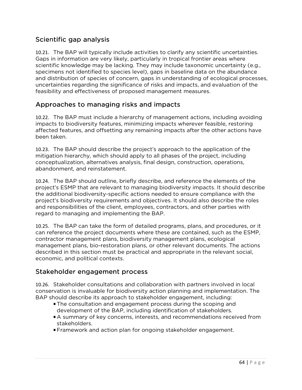## Scientific gap analysis

10.21. The BAP will typically include activities to clarify any scientific uncertainties. Gaps in information are very likely, particularly in tropical frontier areas where scientific knowledge may be lacking. They may include taxonomic uncertainty (e.g., specimens not identified to species level), gaps in baseline data on the abundance and distribution of species of concern, gaps in understanding of ecological processes, uncertainties regarding the significance of risks and impacts, and evaluation of the feasibility and effectiveness of proposed management measures.

## Approaches to managing risks and impacts

10.22. The BAP must include a hierarchy of management actions, including avoiding impacts to biodiversity features, minimizing impacts wherever feasible, restoring affected features, and offsetting any remaining impacts after the other actions have been taken.

10.23. The BAP should describe the project's approach to the application of the mitigation hierarchy, which should apply to all phases of the project, including conceptualization, alternatives analysis, final design, construction, operations, abandonment, and reinstatement.

10.24. The BAP should outline, briefly describe, and reference the elements of the project's ESMP that are relevant to managing biodiversity impacts. It should describe the additional biodiversity-specific actions needed to ensure compliance with the project's biodiversity requirements and objectives. It should also describe the roles and responsibilities of the client, employees, contractors, and other parties with regard to managing and implementing the BAP.

10.25. The BAP can take the form of detailed programs, plans, and procedures, or it can reference the project documents where these are contained, such as the ESMP, contractor management plans, biodiversity management plans, ecological management plans, bio-restoration plans, or other relevant documents. The actions described in this section must be practical and appropriate in the relevant social, economic, and political contexts.

## Stakeholder engagement process

10.26. Stakeholder consultations and collaboration with partners involved in local conservation is invaluable for biodiversity action planning and implementation. The BAP should describe its approach to stakeholder engagement, including:

- The consultation and engagement process during the scoping and development of the BAP, including identification of stakeholders.
- A summary of key concerns, interests, and recommendations received from stakeholders.
- Framework and action plan for ongoing stakeholder engagement.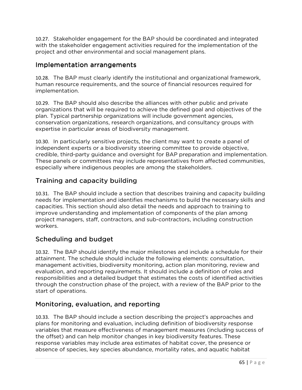10.27. Stakeholder engagement for the BAP should be coordinated and integrated with the stakeholder engagement activities required for the implementation of the project and other environmental and social management plans.

## Implementation arrangements

10.28. The BAP must clearly identify the institutional and organizational framework, human resource requirements, and the source of financial resources required for implementation.

10.29. The BAP should also describe the alliances with other public and private organizations that will be required to achieve the defined goal and objectives of the plan. Typical partnership organizations will include government agencies, conservation organizations, research organizations, and consultancy groups with expertise in particular areas of biodiversity management.

10.30. In particularly sensitive projects, the client may want to create a panel of independent experts or a biodiversity steering committee to provide objective, credible, third-party guidance and oversight for BAP preparation and implementation. These panels or committees may include representatives from affected communities, especially where indigenous peoples are among the stakeholders.

# Training and capacity building

10.31. The BAP should include a section that describes training and capacity building needs for implementation and identifies mechanisms to build the necessary skills and capacities. This section should also detail the needs and approach to training to improve understanding and implementation of components of the plan among project managers, staff, contractors, and sub-contractors, including construction workers.

# Scheduling and budget

10.32. The BAP should identify the major milestones and include a schedule for their attainment. The schedule should include the following elements: consultation, management activities, biodiversity monitoring, action plan monitoring, review and evaluation, and reporting requirements. It should include a definition of roles and responsibilities and a detailed budget that estimates the costs of identified activities through the construction phase of the project, with a review of the BAP prior to the start of operations.

# Monitoring, evaluation, and reporting

10.33. The BAP should include a section describing the project's approaches and plans for monitoring and evaluation, including definition of biodiversity response variables that measure effectiveness of management measures (including success of the offset) and can help monitor changes in key biodiversity features. These response variables may include area estimates of habitat cover, the presence or absence of species, key species abundance, mortality rates, and aquatic habitat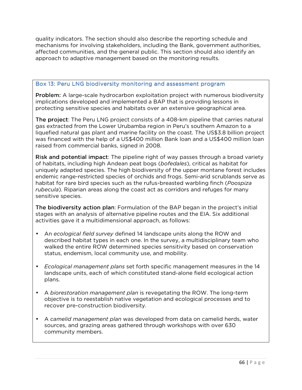quality indicators. The section should also describe the reporting schedule and mechanisms for involving stakeholders, including the Bank, government authorities, affected communities, and the general public. This section should also identify an approach to adaptive management based on the monitoring results.

#### Box 13: Peru LNG biodiversity monitoring and assessment program

**Problem:** A large-scale hydrocarbon exploitation project with numerous biodiversity implications developed and implemented a BAP that is providing lessons in protecting sensitive species and habitats over an extensive geographical area.

The project: The Peru LNG project consists of a 408-km pipeline that carries natural gas extracted from the Lower Urubamba region in Peru's southern Amazon to a liquefied natural gas plant and marine facility on the coast. The US\$3.8 billion project was financed with the help of a US\$400 million Bank loan and a US\$400 million loan raised from commercial banks, signed in 2008.

Risk and potential impact: The pipeline right of way passes through a broad variety of habitats, including high Andean peat bogs (*bofedales*), critical as habitat for uniquely adapted species. The high biodiversity of the upper montane forest includes endemic range-restricted species of orchids and frogs. Semi-arid scrublands serve as habitat for rare bird species such as the rufus-breasted warbling finch (*Poospiza rubecula*). Riparian areas along the coast act as corridors and refuges for many sensitive species.

The biodiversity action plan: Formulation of the BAP began in the project's initial stages with an analysis of alternative pipeline routes and the EIA. Six additional activities gave it a multidimensional approach, as follows:

- An *ecological field survey* defined 14 landscape units along the ROW and described habitat types in each one. In the survey, a multidisciplinary team who walked the entire ROW determined species sensitivity based on conservation status, endemism, local community use, and mobility.
- *Ecological management plans* set forth specific management measures in the 14 landscape units, each of which constituted stand-alone field ecological action plans.
- A *biorestoration management plan* is revegetating the ROW. The long-term objective is to reestablish native vegetation and ecological processes and to recover pre-construction biodiversity.
- A *camelid management plan* was developed from data on camelid herds, water sources, and grazing areas gathered through workshops with over 630 community members.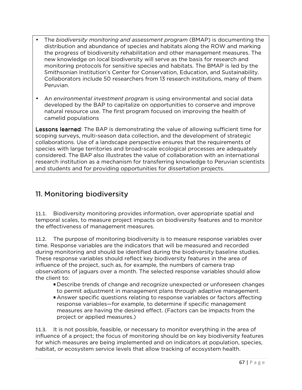- The *biodiversity monitoring and assessment program* (BMAP) is documenting the distribution and abundance of species and habitats along the ROW and marking the progress of biodiversity rehabilitation and other management measures. The new knowledge on local biodiversity will serve as the basis for research and monitoring protocols for sensitive species and habitats. The BMAP is led by the Smithsonian Institution's Center for Conservation, Education, and Sustainability. Collaborators include 50 researchers from 13 research institutions, many of them Peruvian.
- An *environmental investment program* is using environmental and social data developed by the BAP to capitalize on opportunities to conserve and improve natural resource use. The first program focused on improving the health of camelid populations

**Lessons learned:** The BAP is demonstrating the value of allowing sufficient time for scoping surveys, multi-season data collection, and the development of strategic collaborations. Use of a landscape perspective ensures that the requirements of species with large territories and broad-scale ecological processes are adequately considered. The BAP also illustrates the value of collaboration with an international research institution as a mechanism for transferring knowledge to Peruvian scientists and students and for providing opportunities for dissertation projects.

# 11. Monitoring biodiversity

11.1. Biodiversity monitoring provides information, over appropriate spatial and temporal scales, to measure project impacts on biodiversity features and to monitor the effectiveness of management measures.

11.2. The purpose of monitoring biodiversity is to measure response variables over time. Response variables are the indicators that will be measured and recorded during monitoring and should be identified during the biodiversity baseline studies. These response variables should reflect key biodiversity features in the area of influence of the project, such as, for example, the numbers of camera trap observations of jaguars over a month. The selected response variables should allow the client to:

- Describe trends of change and recognize unexpected or unforeseen changes to permit adjustment in management plans through adaptive management.
- Answer specific questions relating to response variables or factors affecting response variables—for example, to determine if specific management measures are having the desired effect. (Factors can be impacts from the project or applied measures.)

11.3. It is not possible, feasible, or necessary to monitor everything in the area of influence of a project; the focus of monitoring should be on key biodiversity features for which measures are being implemented and on indicators at population, species, habitat, or ecosystem service levels that allow tracking of ecosystem health.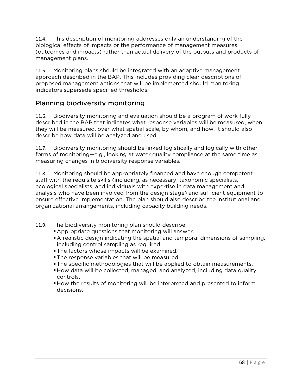11.4. This description of monitoring addresses only an understanding of the biological effects of impacts or the performance of management measures (outcomes and impacts) rather than actual delivery of the outputs and products of management plans.

11.5. Monitoring plans should be integrated with an adaptive management approach described in the BAP. This includes providing clear descriptions of proposed management actions that will be implemented should monitoring indicators supersede specified thresholds.

# Planning biodiversity monitoring

11.6. Biodiversity monitoring and evaluation should be a program of work fully described in the BAP that indicates what response variables will be measured, when they will be measured, over what spatial scale, by whom, and how. It should also describe how data will be analyzed and used.

11.7. Biodiversity monitoring should be linked logistically and logically with other forms of monitoring—e.g., looking at water quality compliance at the same time as measuring changes in biodiversity response variables.

11.8. Monitoring should be appropriately financed and have enough competent staff with the requisite skills (including, as necessary, taxonomic specialists, ecological specialists, and individuals with expertise in data management and analysis who have been involved from the design stage) and sufficient equipment to ensure effective implementation. The plan should also describe the institutional and organizational arrangements, including capacity building needs.

- 11.9. The biodiversity monitoring plan should describe:
	- Appropriate questions that monitoring will answer.
	- A realistic design indicating the spatial and temporal dimensions of sampling, including control sampling as required.
	- **The factors whose impacts will be examined.**
	- **The response variables that will be measured.**
	- The specific methodologies that will be applied to obtain measurements.
	- How data will be collected, managed, and analyzed, including data quality controls.
	- How the results of monitoring will be interpreted and presented to inform decisions.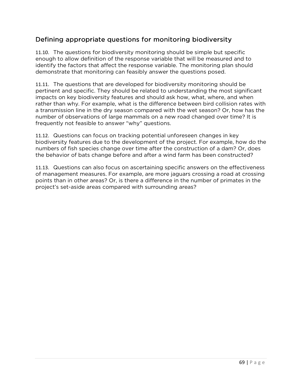## Defining appropriate questions for monitoring biodiversity

11.10. The questions for biodiversity monitoring should be simple but specific enough to allow definition of the response variable that will be measured and to identify the factors that affect the response variable. The monitoring plan should demonstrate that monitoring can feasibly answer the questions posed.

11.11. The questions that are developed for biodiversity monitoring should be pertinent and specific. They should be related to understanding the most significant impacts on key biodiversity features and should ask how, what, where, and when rather than why. For example, what is the difference between bird collision rates with a transmission line in the dry season compared with the wet season? Or, how has the number of observations of large mammals on a new road changed over time? It is frequently not feasible to answer "why" questions.

11.12. Questions can focus on tracking potential unforeseen changes in key biodiversity features due to the development of the project. For example, how do the numbers of fish species change over time after the construction of a dam? Or, does the behavior of bats change before and after a wind farm has been constructed?

11.13. Questions can also focus on ascertaining specific answers on the effectiveness of management measures. For example, are more jaguars crossing a road at crossing points than in other areas? Or, is there a difference in the number of primates in the project's set-aside areas compared with surrounding areas?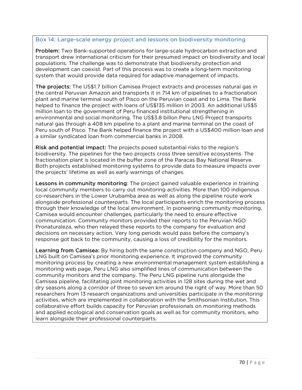#### Box 14: Large-scale energy project and lessons on biodiversity monitoring

Problem: Two Bank-supported operations for large-scale hydrocarbon extraction and transport drew international criticism for their presumed impact on biodiversity and local populations. The challenge was to demonstrate that biodiversity protection and development can coexist. Part of this process was to create a long-term monitoring system that would provide data required for adaptive management of impacts.

The projects: The US\$1.7 billion Camisea Project extracts and processes natural gas in the central Peruvian Amazon and transports it in 714 km of pipelines to a fractionation plant and marine terminal south of Pisco on the Peruvian coast and to Lima. The Bank helped to finance the project with loans of US\$135 million in 2003. An additional US\$5 million loan to the government of Peru financed institutional strengthening in environmental and social monitoring. The US\$3.8 billon Peru LNG Project transports natural gas through a 408 km pipeline to a plant and marine terminal on the coast of Peru south of Pisco. The Bank helped finance the project with a US\$400 million loan and a similar syndicated loan from commercial banks in 2008.

Risk and potential impact: The projects posed substantial risks to the region's biodiversity. The pipelines for the two projects cross three sensitive ecosystems. The fractionation plant is located in the buffer zone of the Paracas Bay National Reserve. Both projects established monitoring systems to provide data to measure impacts over the projects' lifetime as well as early warnings of changes.

Lessons in community monitoring: The project gained valuable experience in training local community members to carry out monitoring activities. More than 100 indigenous co-researchers in the Lower Urubamba area as well as along the pipeline route work alongside professional counterparts. The local participants enrich the monitoring process through their knowledge of the local environment. In pioneering community monitoring, Camisea would encounter challenges, particularly the need to ensure effective communication. Community monitors provided their reports to the Peruvian NGO Pronaturaleza, who then relayed these reports to the company for evaluation and decisions on necessary action. Very long periods would pass before the company's response got back to the community, causing a loss of credibility for the monitors.

Learning from Camisea: By hiring both the same construction company and NGO, Peru LNG built on Camisea's prior monitoring experience. It improved the community monitoring process by creating a new environmental management system establishing a monitoring web page. Peru LNG also simplified lines of communication between the community monitors and the company. The Peru LNG pipeline runs alongside the Camisea pipeline, facilitating joint monitoring activities in 128 sites during the wet and dry seasons along a corridor of three to seven km around the right of way. More than 50 researchers from 13 research organizations and universities participate in the monitoring activities, which are implemented in collaboration with the Smithsonian Institution. This collaborative effort builds capacity for Peruvian professionals on monitoring methods and applied ecological and conservation goals as well as for community monitors, who learn alongside their professional counterparts.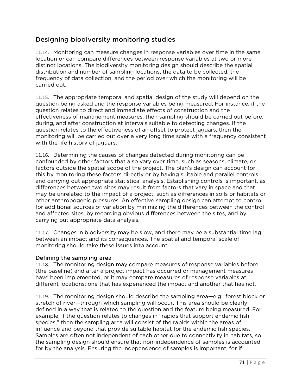# Designing biodiversity monitoring studies

11.14. Monitoring can measure changes in response variables over time in the same location or can compare differences between response variables at two or more distinct locations. The biodiversity monitoring design should describe the spatial distribution and number of sampling locations, the data to be collected, the frequency of data collection, and the period over which the monitoring will be carried out.

11.15. The appropriate temporal and spatial design of the study will depend on the question being asked and the response variables being measured. For instance, if the question relates to direct and immediate effects of construction and the effectiveness of management measures, then sampling should be carried out before, during, and after construction at intervals suitable to detecting changes. If the question relates to the effectiveness of an offset to protect jaguars, then the monitoring will be carried out over a very long time scale with a frequency consistent with the life history of jaguars.

11.16. Determining the causes of changes detected during monitoring can be confounded by other factors that also vary over time, such as seasons, climate, or factors outside the spatial scope of the project. The plan's design can account for this by monitoring these factors directly or by having suitable and parallel controls and carrying out appropriate statistical analysis. Establishing controls is important, as differences between two sites may result from factors that vary in space and that may be unrelated to the impact of a project, such as differences in soils or habitats or other anthropogenic pressures. An effective sampling design can attempt to control for additional sources of variation by minimizing the differences between the control and affected sites, by recording obvious differences between the sites, and by carrying out appropriate data analysis.

11.17. Changes in biodiversity may be slow, and there may be a substantial time lag between an impact and its consequences. The spatial and temporal scale of monitoring should take these issues into account.

### Defining the sampling area

11.18. The monitoring design may compare measures of response variables before (the baseline) and after a project impact has occurred or management measures have been implemented, or it may compare measures of response variables at different locations: one that has experienced the impact and another that has not.

11.19. The monitoring design should describe the sampling area—e.g., forest block or stretch of river—through which sampling will occur. This area should be clearly defined in a way that is related to the question and the feature being measured. For example, if the question relates to changes in "rapids that support endemic fish species," then the sampling area will consist of the rapids within the areas of influence and beyond that provide suitable habitat for the endemic fish species. Samples are often not independent of each other due to connectivity in habitats, so the sampling design should ensure that non-independence of samples is accounted for by the analysis. Ensuring the independence of samples is important, for if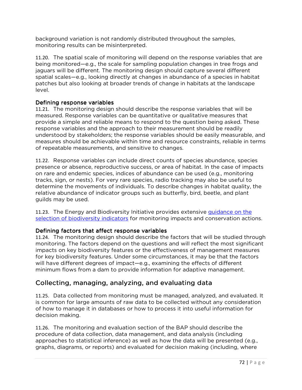background variation is not randomly distributed throughout the samples, monitoring results can be misinterpreted.

11.20. The spatial scale of monitoring will depend on the response variables that are being monitored—e.g., the scale for sampling population changes in tree frogs and jaguars will be different. The monitoring design should capture several different spatial scales—e.g., looking directly at changes in abundance of a species in habitat patches but also looking at broader trends of change in habitats at the landscape level.

### Defining response variables

11.21. The monitoring design should describe the response variables that will be measured. Response variables can be quantitative or qualitative measures that provide a simple and reliable means to respond to the question being asked. These response variables and the approach to their measurement should be readily understood by stakeholders; the response variables should be easily measurable, and measures should be achievable within time and resource constraints, reliable in terms of repeatable measurements, and sensitive to changes.

11.22. Response variables can include direct counts of species abundance, species presence or absence, reproductive success, or area of habitat. In the case of impacts on rare and endemic species, indices of abundance can be used (e.g., monitoring tracks, sign, or nests). For very rare species, radio tracking may also be useful to determine the movements of individuals. To describe changes in habitat quality, the relative abundance of indicator groups such as butterfly, bird, beetle, and plant guilds may be used.

11.23. The Energy and Biodiversity Initiative provides extensive guidance on the selection of biodiversity indicators for monitoring impacts and conservation actions.

## Defining factors that affect response variables

11.24. The monitoring design should describe the factors that will be studied through monitoring. The factors depend on the questions and will reflect the most significant impacts on key biodiversity features or the effectiveness of management measures for key biodiversity features. Under some circumstances, it may be that the factors will have different degrees of impact—e.g., examining the effects of different minimum flows from a dam to provide information for adaptive management.

## Collecting, managing, analyzing, and evaluating data

11.25. Data collected from monitoring must be managed, analyzed, and evaluated. It is common for large amounts of raw data to be collected without any consideration of how to manage it in databases or how to process it into useful information for decision making.

11.26. The monitoring and evaluation section of the BAP should describe the procedure of data collection, data management, and data analysis (including approaches to statistical inference) as well as how the data will be presented (e.g., graphs, diagrams, or reports) and evaluated for decision making (including, where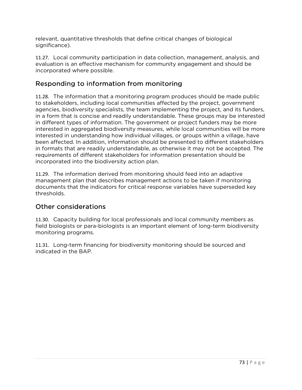relevant, quantitative thresholds that define critical changes of biological significance).

11.27. Local community participation in data collection, management, analysis, and evaluation is an effective mechanism for community engagement and should be incorporated where possible.

# Responding to information from monitoring

11.28. The information that a monitoring program produces should be made public to stakeholders, including local communities affected by the project, government agencies, biodiversity specialists, the team implementing the project, and its funders, in a form that is concise and readily understandable. These groups may be interested in different types of information. The government or project funders may be more interested in aggregated biodiversity measures, while local communities will be more interested in understanding how individual villages, or groups within a village, have been affected. In addition, information should be presented to different stakeholders in formats that are readily understandable, as otherwise it may not be accepted. The requirements of different stakeholders for information presentation should be incorporated into the biodiversity action plan.

11.29. The information derived from monitoring should feed into an adaptive management plan that describes management actions to be taken if monitoring documents that the indicators for critical response variables have superseded key thresholds.

# Other considerations

11.30. Capacity building for local professionals and local community members as field biologists or para-biologists is an important element of long-term biodiversity monitoring programs.

11.31. Long-term financing for biodiversity monitoring should be sourced and indicated in the BAP.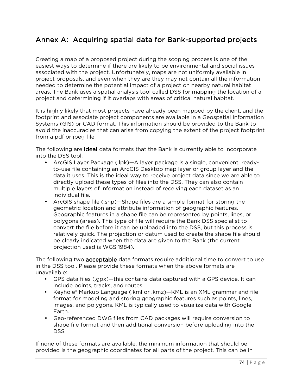# Annex A: Acquiring spatial data for Bank-supported projects

Creating a map of a proposed project during the scoping process is one of the easiest ways to determine if there are likely to be environmental and social issues associated with the project. Unfortunately, maps are not uniformly available in project proposals, and even when they are they may not contain all the information needed to determine the potential impact of a project on nearby natural habitat areas. The Bank uses a spatial analysis tool called DSS for mapping the location of a project and determining if it overlaps with areas of critical natural habitat.

It is highly likely that most projects have already been mapped by the client, and the footprint and associate project components are available in a Geospatial Information Systems (GIS) or CAD format. This information should be provided to the Bank to avoid the inaccuracies that can arise from copying the extent of the project footprint from a pdf or jpeg file.

The following are **ideal** data formats that the Bank is currently able to incorporate into the DSS tool:

- ArcGIS Layer Package (.lpk)—A layer package is a single, convenient, readyto-use file containing an ArcGIS Desktop map layer or group layer and the data it uses. This is the ideal way to receive project data since we are able to directly upload these types of files into the DSS. They can also contain multiple layers of information instead of receiving each dataset as an individual file.
- ArcGIS shape file (.shp)—Shape files are a simple format for storing the geometric location and attribute information of geographic features. Geographic features in a shape file can be represented by points, lines, or polygons (areas). This type of file will require the Bank DSS specialist to convert the file before it can be uploaded into the DSS, but this process is relatively quick. The projection or datum used to create the shape file should be clearly indicated when the data are given to the Bank (the current projection used is WGS 1984).

The following two **acceptable** data formats require additional time to convert to use in the DSS tool. Please provide these formats when the above formats are unavailable:

- GPS data files (.gpx)—this contains data captured with a GPS device. It can include points, tracks, and routes.
- Keyhole® Markup Language (.kml or .kmz)—KML is an XML grammar and file format for modeling and storing geographic features such as points, lines, images, and polygons. KML is typically used to visualize data with Google Earth.
- Geo-referenced DWG files from CAD packages will require conversion to shape file format and then additional conversion before uploading into the DSS.

If none of these formats are available, the minimum information that should be provided is the geographic coordinates for all parts of the project. This can be in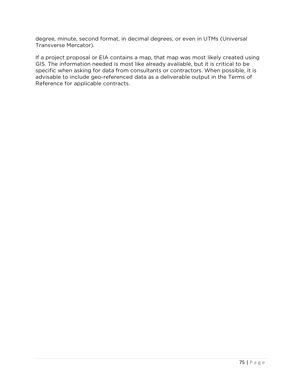degree, minute, second format, in decimal degrees, or even in UTMs (Universal Transverse Mercator).

If a project proposal or EIA contains a map, that map was most likely created using GIS. The information needed is most like already available, but it is critical to be specific when asking for data from consultants or contractors. When possible, it is advisable to include geo-referenced data as a deliverable output in the Terms of Reference for applicable contracts.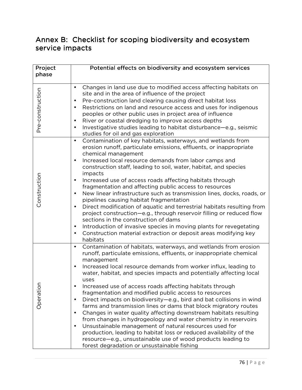# Annex B: Checklist for scoping biodiversity and ecosystem service impacts

| Project          | Potential effects on biodiversity and ecosystem services                                                                                                                                                                                                                                                                                                                                                                                                                                                                                                                                                                                                                                                                                                                                                                                                                                                                                                                               |  |  |  |  |  |  |
|------------------|----------------------------------------------------------------------------------------------------------------------------------------------------------------------------------------------------------------------------------------------------------------------------------------------------------------------------------------------------------------------------------------------------------------------------------------------------------------------------------------------------------------------------------------------------------------------------------------------------------------------------------------------------------------------------------------------------------------------------------------------------------------------------------------------------------------------------------------------------------------------------------------------------------------------------------------------------------------------------------------|--|--|--|--|--|--|
| phase            |                                                                                                                                                                                                                                                                                                                                                                                                                                                                                                                                                                                                                                                                                                                                                                                                                                                                                                                                                                                        |  |  |  |  |  |  |
| Pre-construction | Changes in land use due to modified access affecting habitats on<br>$\bullet$<br>site and in the area of influence of the project<br>Pre-construction land clearing causing direct habitat loss<br>٠<br>Restrictions on land and resource access and uses for indigenous<br>$\bullet$<br>peoples or other public uses in project area of influence<br>River or coastal dredging to improve access depths<br>٠<br>Investigative studies leading to habitat disturbance-e.g., seismic<br>$\bullet$<br>studies for oil and gas exploration                                                                                                                                                                                                                                                                                                                                                                                                                                                |  |  |  |  |  |  |
| Construction     | Contamination of key habitats, waterways, and wetlands from<br>$\bullet$<br>erosion runoff, particulate emissions, effluents, or inappropriate<br>chemical management<br>Increased local resource demands from labor camps and<br>$\bullet$<br>construction staff, leading to soil, water, habitat, and species<br>impacts<br>Increased use of access roads affecting habitats through<br>٠<br>fragmentation and affecting public access to resources<br>New linear infrastructure such as transmission lines, docks, roads, or<br>$\bullet$<br>pipelines causing habitat fragmentation<br>Direct modification of aquatic and terrestrial habitats resulting from<br>$\bullet$<br>project construction-e.g., through reservoir filling or reduced flow<br>sections in the construction of dams<br>Introduction of invasive species in moving plants for revegetating<br>$\bullet$<br>Construction material extraction or deposit areas modifying key<br>$\bullet$<br>habitats          |  |  |  |  |  |  |
| Operation        | Contamination of habitats, waterways, and wetlands from erosion<br>runoff, particulate emissions, effluents, or inappropriate chemical<br>management<br>Increased local resource demands from worker influx, leading to<br>water, habitat, and species impacts and potentially affecting local<br>uses<br>Increased use of access roads affecting habitats through<br>fragmentation and modified public access to resources<br>Direct impacts on biodiversity-e.g., bird and bat collisions in wind<br>farms and transmission lines or dams that block migratory routes<br>Changes in water quality affecting downstream habitats resulting<br>$\bullet$<br>from changes in hydrogeology and water chemistry in reservoirs<br>Unsustainable management of natural resources used for<br>$\bullet$<br>production, leading to habitat loss or reduced availability of the<br>resource-e.g., unsustainable use of wood products leading to<br>forest degradation or unsustainable fishing |  |  |  |  |  |  |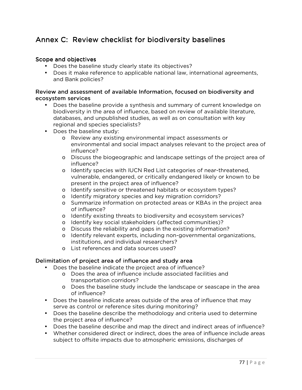# Annex C: Review checklist for biodiversity baselines

#### Scope and objectives

- Does the baseline study clearly state its objectives?
- Does it make reference to applicable national law, international agreements, and Bank policies?

#### Review and assessment of available Information, focused on biodiversity and ecosystem services

- Does the baseline provide a synthesis and summary of current knowledge on biodiversity in the area of influence, based on review of available literature, databases, and unpublished studies, as well as on consultation with key regional and species specialists?
- Does the baseline study:
	- o Review any existing environmental impact assessments or environmental and social impact analyses relevant to the project area of influence?
	- o Discuss the biogeographic and landscape settings of the project area of influence?
	- o Identify species with IUCN Red List categories of near-threatened, vulnerable, endangered, or critically endangered likely or known to be present in the project area of influence?
	- o Identify sensitive or threatened habitats or ecosystem types?
	- o Identify migratory species and key migration corridors?
	- o Summarize information on protected areas or KBAs in the project area of influence?
	- o Identify existing threats to biodiversity and ecosystem services?
	- o Identify key social stakeholders (affected communities)?
	- o Discuss the reliability and gaps in the existing information?
	- o Identify relevant experts, including non-governmental organizations, institutions, and individual researchers?
	- o List references and data sources used?

### Delimitation of project area of influence and study area

- Does the baseline indicate the project area of influence?
	- o Does the area of influence include associated facilities and transportation corridors?
	- o Does the baseline study include the landscape or seascape in the area of influence?
- Does the baseline indicate areas outside of the area of influence that may serve as control or reference sites during monitoring?
- Does the baseline describe the methodology and criteria used to determine the project area of influence?
- Does the baseline describe and map the direct and indirect areas of influence?
- Whether considered direct or indirect, does the area of influence include areas subject to offsite impacts due to atmospheric emissions, discharges of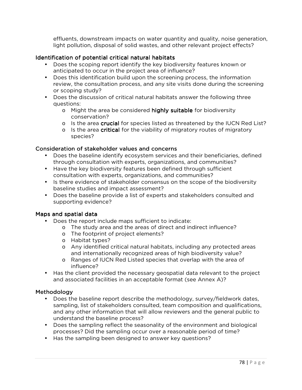effluents, downstream impacts on water quantity and quality, noise generation, light pollution, disposal of solid wastes, and other relevant project effects?

#### Identification of potential critical natural habitats

- Does the scoping report identify the key biodiversity features known or anticipated to occur in the project area of influence?
- Does this identification build upon the screening process, the information review, the consultation process, and any site visits done during the screening or scoping study?
- Does the discussion of critical natural habitats answer the following three questions:
	- o Might the area be considered **highly suitable** for biodiversity conservation?
	- $\circ$  Is the area crucial for species listed as threatened by the IUCN Red List?
	- $\circ$  Is the area **critical** for the viability of migratory routes of migratory species?

#### Consideration of stakeholder values and concerns

- Does the baseline identify ecosystem services and their beneficiaries, defined through consultation with experts, organizations, and communities?
- Have the key biodiversity features been defined through sufficient consultation with experts, organizations, and communities?
- Is there evidence of stakeholder consensus on the scope of the biodiversity baseline studies and impact assessment?
- Does the baseline provide a list of experts and stakeholders consulted and supporting evidence?

#### Maps and spatial data

- Does the report include maps sufficient to indicate:
	- o The study area and the areas of direct and indirect influence?
	- o The footprint of project elements?
	- o Habitat types?
	- o Any identified critical natural habitats, including any protected areas and internationally recognized areas of high biodiversity value?
	- o Ranges of IUCN Red Listed species that overlap with the area of influence?
- Has the client provided the necessary geospatial data relevant to the project and associated facilities in an acceptable format (see Annex A)?

#### Methodology

- Does the baseline report describe the methodology, survey/fieldwork dates, sampling, list of stakeholders consulted, team composition and qualifications, and any other information that will allow reviewers and the general public to understand the baseline process?
- Does the sampling reflect the seasonality of the environment and biological processes? Did the sampling occur over a reasonable period of time?
- Has the sampling been designed to answer key questions?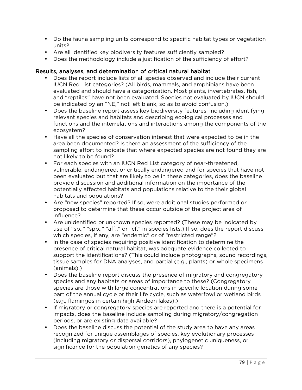- Do the fauna sampling units correspond to specific habitat types or vegetation units?
- Are all identified key biodiversity features sufficiently sampled?
- Does the methodology include a justification of the sufficiency of effort?

### Results, analyses, and determination of critical natural habitat

- Does the report include lists of all species observed and include their current IUCN Red List categories? (All birds, mammals, and amphibians have been evaluated and should have a categorization. Most plants, invertebrates, fish, and "reptiles" have not been evaluated. Species not evaluated by IUCN should be indicated by an "NE," not left blank, so as to avoid confusion.)
- Does the baseline report assess key biodiversity features, including identifying relevant species and habitats and describing ecological processes and functions and the interrelations and interactions among the components of the ecosystem?
- Have all the species of conservation interest that were expected to be in the area been documented? Is there an assessment of the sufficiency of the sampling effort to indicate that where expected species are not found they are not likely to be found?
- For each species with an IUCN Red List category of near-threatened, vulnerable, endangered, or critically endangered and for species that have not been evaluated but that are likely to be in these categories, does the baseline provide discussion and additional information on the importance of the potentially affected habitats and populations relative to the their global habitats and populations?
- Are "new species" reported? If so, were additional studies performed or proposed to determine that these occur outside of the project area of influence?
- Are unidentified or unknown species reported? (These may be indicated by use of "sp.," "spp.," "aff.," or "cf." in species lists.) If so, does the report discuss which species, if any, are "endemic" or of "restricted range"?
- In the case of species requiring positive identification to determine the presence of critical natural habitat, was adequate evidence collected to support the identifications? (This could include photographs, sound recordings, tissue samples for DNA analyses, and partial (e.g., plants) or whole specimens (animals).)
- Does the baseline report discuss the presence of migratory and congregatory species and any habitats or areas of importance to these? (Congregatory species are those with large concentrations in specific location during some part of the annual cycle or their life cycle, such as waterfowl or wetland birds (e.g., flamingos in certain high Andean lakes).)
- If migratory or congregatory species are reported and there is a potential for impacts, does the baseline include sampling during migratory/congregation periods, or are existing data available?
- Does the baseline discuss the potential of the study area to have any areas recognized for unique assemblages of species, key evolutionary processes (including migratory or dispersal corridors), phylogenetic uniqueness, or significance for the population genetics of any species?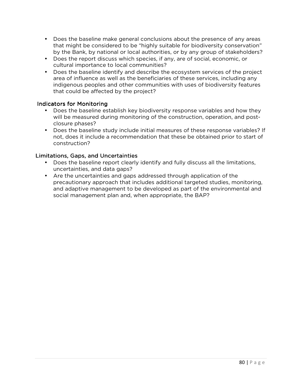- Does the baseline make general conclusions about the presence of any areas that might be considered to be "highly suitable for biodiversity conservation" by the Bank, by national or local authorities, or by any group of stakeholders?
- Does the report discuss which species, if any, are of social, economic, or cultural importance to local communities?
- Does the baseline identify and describe the ecosystem services of the project area of influence as well as the beneficiaries of these services, including any indigenous peoples and other communities with uses of biodiversity features that could be affected by the project?

### Indicators for Monitoring

- Does the baseline establish key biodiversity response variables and how they will be measured during monitoring of the construction, operation, and postclosure phases?
- Does the baseline study include initial measures of these response variables? If not, does it include a recommendation that these be obtained prior to start of construction?

#### Limitations, Gaps, and Uncertainties

- Does the baseline report clearly identify and fully discuss all the limitations, uncertainties, and data gaps?
- Are the uncertainties and gaps addressed through application of the precautionary approach that includes additional targeted studies, monitoring, and adaptive management to be developed as part of the environmental and social management plan and, when appropriate, the BAP?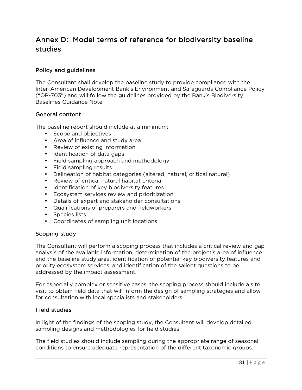# Annex D: Model terms of reference for biodiversity baseline studies

#### Policy and guidelines

The Consultant shall develop the baseline study to provide compliance with the Inter-American Development Bank's Environment and Safeguards Compliance Policy ("OP-703") and will follow the guidelines provided by the Bank's Biodiversity Baselines Guidance Note.

#### General content

The baseline report should include at a minimum:

- Scope and objectives
- Area of influence and study area
- Review of existing information
- Identification of data gaps
- Field sampling approach and methodology
- Field sampling results
- Delineation of habitat categories (altered, natural, critical natural)
- Review of critical natural habitat criteria
- Identification of key biodiversity features
- Ecosystem services review and prioritization
- Details of expert and stakeholder consultations
- Qualifications of preparers and fieldworkers
- Species lists
- Coordinates of sampling unit locations

#### Scoping study

The Consultant will perform a scoping process that includes a critical review and gap analysis of the available information, determination of the project's area of influence and the baseline study area, identification of potential key biodiversity features and priority ecosystem services, and identification of the salient questions to be addressed by the impact assessment.

For especially complex or sensitive cases, the scoping process should include a site visit to obtain field data that will inform the design of sampling strategies and allow for consultation with local specialists and stakeholders.

#### Field studies

In light of the findings of the scoping study, the Consultant will develop detailed sampling designs and methodologies for field studies.

The field studies should include sampling during the appropriate range of seasonal conditions to ensure adequate representation of the different taxonomic groups.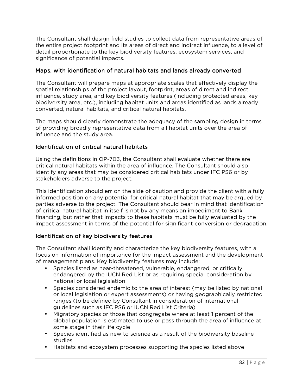The Consultant shall design field studies to collect data from representative areas of the entire project footprint and its areas of direct and indirect influence, to a level of detail proportionate to the key biodiversity features, ecosystem services, and significance of potential impacts.

## Maps, with identification of natural habitats and lands already converted

The Consultant will prepare maps at appropriate scales that effectively display the spatial relationships of the project layout, footprint, areas of direct and indirect influence, study area, and key biodiversity features (including protected areas, key biodiversity area, etc.), including habitat units and areas identified as lands already converted, natural habitats, and critical natural habitats.

The maps should clearly demonstrate the adequacy of the sampling design in terms of providing broadly representative data from all habitat units over the area of influence and the study area.

### Identification of critical natural habitats

Using the definitions in OP-703, the Consultant shall evaluate whether there are critical natural habitats within the area of influence. The Consultant should also identify any areas that may be considered critical habitats under IFC PS6 or by stakeholders adverse to the project.

This identification should err on the side of caution and provide the client with a fully informed position on any potential for critical natural habitat that may be argued by parties adverse to the project. The Consultant should bear in mind that identification of critical natural habitat in itself is not by any means an impediment to Bank financing, but rather that impacts to these habitats must be fully evaluated by the impact assessment in terms of the potential for significant conversion or degradation.

### Identification of key biodiversity features

The Consultant shall identify and characterize the key biodiversity features, with a focus on information of importance for the impact assessment and the development of management plans. Key biodiversity features may include:

- Species listed as near-threatened, vulnerable, endangered, or critically endangered by the IUCN Red List or as requiring special consideration by national or local legislation
- Species considered endemic to the area of interest (may be listed by national or local legislation or expert assessments) or having geographically restricted ranges (to be defined by Consultant in consideration of international guidelines such as IFC PS6 or IUCN Red List Criteria)
- Migratory species or those that congregate where at least 1 percent of the global population is estimated to use or pass through the area of influence at some stage in their life cycle
- Species identified as new to science as a result of the biodiversity baseline studies
- Habitats and ecosystem processes supporting the species listed above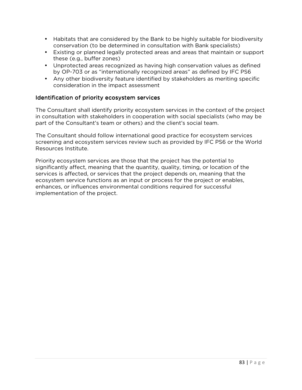- Habitats that are considered by the Bank to be highly suitable for biodiversity conservation (to be determined in consultation with Bank specialists)
- Existing or planned legally protected areas and areas that maintain or support these (e.g., buffer zones)
- Unprotected areas recognized as having high conservation values as defined by OP-703 or as "internationally recognized areas" as defined by IFC PS6
- Any other biodiversity feature identified by stakeholders as meriting specific consideration in the impact assessment

## Identification of priority ecosystem services

The Consultant shall identify priority ecosystem services in the context of the project in consultation with stakeholders in cooperation with social specialists (who may be part of the Consultant's team or others) and the client's social team.

The Consultant should follow international good practice for ecosystem services screening and ecosystem services review such as provided by IFC PS6 or the World Resources Institute.

Priority ecosystem services are those that the project has the potential to significantly affect, meaning that the quantity, quality, timing, or location of the services is affected, or services that the project depends on, meaning that the ecosystem service functions as an input or process for the project or enables, enhances, or influences environmental conditions required for successful implementation of the project.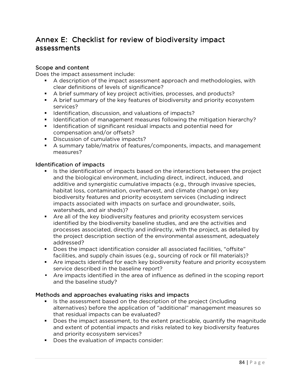# Annex E: Checklist for review of biodiversity impact assessments

### Scope and content

Does the impact assessment include:

- A description of the impact assessment approach and methodologies, with clear definitions of levels of significance?
- A brief summary of key project activities, processes, and products?
- A brief summary of the key features of biodiversity and priority ecosystem services?
- **IDENTIFICATO ACTS IS EXET** identification, discussion, and valuations of impacts?
- I dentification of management measures following the mitigation hierarchy?
- **I** Identification of significant residual impacts and potential need for compensation and/or offsets?
- Discussion of cumulative impacts?
- A summary table/matrix of features/components, impacts, and management measures?

#### Identification of impacts

- If Is the identification of impacts based on the interactions between the project and the biological environment, including direct, indirect, induced, and additive and synergistic cumulative impacts (e.g., through invasive species, habitat loss, contamination, overharvest, and climate change) on key biodiversity features and priority ecosystem services (including indirect impacts associated with impacts on surface and groundwater, soils, watersheds, and air sheds)?
- Are all of the key biodiversity features and priority ecosystem services identified by the biodiversity baseline studies, and are the activities and processes associated, directly and indirectly, with the project, as detailed by the project description section of the environmental assessment, adequately addressed?
- Does the impact identification consider all associated facilities, "offsite" facilities, and supply chain issues (e.g., sourcing of rock or fill materials)?
- Are impacts identified for each key biodiversity feature and priority ecosystem service described in the baseline report?
- Are impacts identified in the area of influence as defined in the scoping report and the baseline study?

### Methods and approaches evaluating risks and impacts

- If Is the assessment based on the description of the project (including alternatives) before the application of "additional" management measures so that residual impacts can be evaluated?
- Does the impact assessment, to the extent practicable, quantify the magnitude and extent of potential impacts and risks related to key biodiversity features and priority ecosystem services?
- Does the evaluation of impacts consider: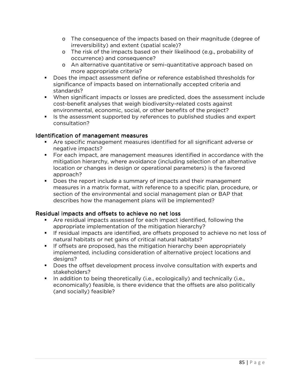- o The consequence of the impacts based on their magnitude (degree of irreversibility) and extent (spatial scale)?
- o The risk of the impacts based on their likelihood (e.g., probability of occurrence) and consequence?
- o An alternative quantitative or semi-quantitative approach based on more appropriate criteria?
- **Does the impact assessment define or reference established thresholds for** significance of impacts based on internationally accepted criteria and standards?
- When significant impacts or losses are predicted, does the assessment include cost-benefit analyses that weigh biodiversity-related costs against environmental, economic, social, or other benefits of the project?
- If Is the assessment supported by references to published studies and expert consultation?

### Identification of management measures

- Are specific management measures identified for all significant adverse or negative impacts?
- For each impact, are management measures identified in accordance with the mitigation hierarchy, where avoidance (including selection of an alternative location or changes in design or operational parameters) is the favored approach?
- **Does the report include a summary of impacts and their management** measures in a matrix format, with reference to a specific plan, procedure, or section of the environmental and social management plan or BAP that describes how the management plans will be implemented?

### Residual impacts and offsets to achieve no net loss

- Are residual impacts assessed for each impact identified, following the appropriate implementation of the mitigation hierarchy?
- If residual impacts are identified, are offsets proposed to achieve no net loss of natural habitats or net gains of critical natural habitats?
- **If offsets are proposed, has the mitigation hierarchy been appropriately** implemented, including consideration of alternative project locations and designs?
- Does the offset development process involve consultation with experts and stakeholders?
- In addition to being theoretically (i.e., ecologically) and technically (i.e., economically) feasible, is there evidence that the offsets are also politically (and socially) feasible?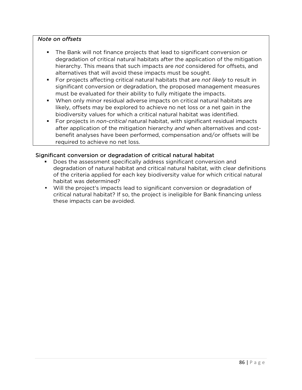#### *Note on offsets*

- The Bank will not finance projects that lead to significant conversion or degradation of critical natural habitats after the application of the mitigation hierarchy. This means that such impacts are *not* considered for offsets, and alternatives that will avoid these impacts must be sought.
- For projects affecting critical natural habitats that are *not likely* to result in significant conversion or degradation, the proposed management measures must be evaluated for their ability to fully mitigate the impacts.
- When only minor residual adverse impacts on critical natural habitats are likely, offsets may be explored to achieve no net loss or a net gain in the biodiversity values for which a critical natural habitat was identified.
- For projects in *non-critical* natural habitat, with significant residual impacts after application of the mitigation hierarchy *and* when alternatives and costbenefit analyses have been performed, compensation and/or offsets will be required to achieve no net loss.

### Significant conversion or degradation of critical natural habitat

- Does the assessment specifically address significant conversion and degradation of natural habitat and critical natural habitat, with clear definitions of the criteria applied for each key biodiversity value for which critical natural habitat was determined?
- Will the project's impacts lead to significant conversion or degradation of critical natural habitat? If so, the project is ineligible for Bank financing unless these impacts can be avoided.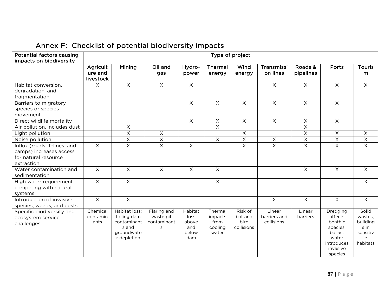| <b>Potential factors causing</b><br>impacts on biodiversity                                  | Type of project                         |                                                                                   |                                              |                                                 |                                                |                                          |                                      |                         |                                                                                                     |                                                                   |
|----------------------------------------------------------------------------------------------|-----------------------------------------|-----------------------------------------------------------------------------------|----------------------------------------------|-------------------------------------------------|------------------------------------------------|------------------------------------------|--------------------------------------|-------------------------|-----------------------------------------------------------------------------------------------------|-------------------------------------------------------------------|
|                                                                                              | <b>Agricult</b><br>ure and<br>livestock | Mining                                                                            | Oil and<br>gas                               | Hydro-<br>power                                 | Thermal<br>energy                              | Wind<br>energy                           | Transmissi<br>on lines               | Roads &<br>pipelines    | Ports                                                                                               | <b>Touris</b><br>m                                                |
| Habitat conversion,<br>degradation, and<br>fragmentation                                     | $\times$                                | $\overline{X}$                                                                    | $\overline{X}$                               | $\overline{X}$                                  |                                                |                                          | $\overline{X}$                       | $\overline{X}$          | $\overline{X}$                                                                                      | $\overline{X}$                                                    |
| Barriers to migratory<br>species or species<br>movement                                      |                                         |                                                                                   |                                              | $\times$                                        | $\times$                                       | $\times$                                 | $\times$                             | $\times$                | $\mathsf X$                                                                                         |                                                                   |
| Direct wildlife mortality                                                                    |                                         |                                                                                   |                                              | $\boldsymbol{\times}$                           | $\mathsf X$                                    | $\times$                                 | $\mathsf X$                          | $\mathsf X$             | $\mathsf X$                                                                                         |                                                                   |
| Air pollution, includes dust                                                                 |                                         | $\boldsymbol{\mathsf{X}}$                                                         |                                              |                                                 | $\overline{X}$                                 |                                          |                                      | $\overline{X}$          |                                                                                                     |                                                                   |
| Light pollution                                                                              |                                         | $\overline{\mathsf{X}}$                                                           | X                                            |                                                 |                                                | $\mathsf X$                              |                                      | $\boldsymbol{\times}$   | $\times$                                                                                            | $\times$                                                          |
| Noise pollution                                                                              |                                         | $\mathsf X$                                                                       | X                                            |                                                 | $\overline{X}$                                 | $\overline{\mathsf{x}}$                  | $\mathsf X$                          | $\overline{X}$          | $\mathsf X$                                                                                         | X                                                                 |
| Influx (roads, T-lines, and<br>camps) increases access<br>for natural resource<br>extraction | $\times$                                | $\overline{X}$                                                                    | $\times$                                     | $\mathsf{X}$                                    |                                                | $\overline{X}$                           | $\overline{\mathsf{x}}$              | $\overline{\mathsf{x}}$ | $\overline{X}$                                                                                      | $\overline{X}$                                                    |
| Water contamination and<br>sedimentation                                                     | $\overline{X}$                          | $\overline{X}$                                                                    | $\boldsymbol{\mathsf{X}}$                    | $\overline{X}$                                  | $\overline{\mathsf{x}}$                        |                                          |                                      | $\overline{X}$          | $\overline{X}$                                                                                      | $\times$                                                          |
| High water requirement<br>competing with natural<br>systems                                  | $\times$                                | $\times$                                                                          |                                              |                                                 | $\mathsf{X}$                                   |                                          |                                      |                         |                                                                                                     | $\times$                                                          |
| Introduction of invasive<br>species, weeds, and pests                                        | $\overline{X}$                          | $\overline{X}$                                                                    |                                              |                                                 |                                                |                                          | $\times$                             | $\overline{X}$          | $\overline{X}$                                                                                      | $\overline{X}$                                                    |
| Specific biodiversity and<br>ecosystem service<br>challenges                                 | Chemical<br>contamin<br>ants            | Habitat loss;<br>tailing dam<br>contaminant<br>s and<br>groundwate<br>r depletion | Flaring and<br>waste pit<br>contaminant<br>S | Habitat<br>loss<br>above<br>and<br>below<br>dam | Thermal<br>impacts<br>from<br>cooling<br>water | Risk of<br>bat and<br>bird<br>collisions | Linear<br>barriers and<br>collisions | Linear<br>barriers      | Dredging<br>affects<br>benthic<br>species;<br>ballast<br>water<br>introduces<br>invasive<br>species | Solid<br>wastes;<br>building<br>s in<br>sensitiv<br>e<br>habitats |

# Annex F: Checklist of potential biodiversity impacts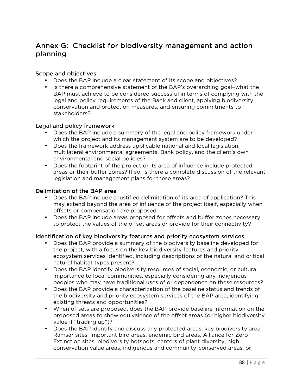# Annex G: Checklist for biodiversity management and action planning

#### Scope and objectives

- Does the BAP include a clear statement of its scope and objectives?
- Is there a comprehensive statement of the BAP's overarching goal–what the BAP must achieve to be considered successful in terms of complying with the legal and policy requirements of the Bank and client, applying biodiversity conservation and protection measures, and ensuring commitments to stakeholders?

#### Legal and policy framework

- Does the BAP include a summary of the legal and policy framework under which the project and its management system are to be developed?
- Does the framework address applicable national and local legislation, multilateral environmental agreements, Bank policy, and the client's own environmental and social policies?
- Does the footprint of the project or its area of influence include protected areas or their buffer zones? If so, is there a complete discussion of the relevant legislation and management plans for these areas?

#### Delimitation of the BAP area

- Does the BAP include a justified delimitation of its area of application? This may extend beyond the area of influence of the project itself, especially when offsets or compensation are proposed.
- Does the BAP include areas proposed for offsets and buffer zones necessary to protect the values of the offset areas or provide for their connectivity?

#### Identification of key biodiversity features and priority ecosystem services

- Does the BAP provide a summary of the biodiversity baseline developed for the project, with a focus on the key biodiversity features and priority ecosystem services identified, including descriptions of the natural and critical natural habitat types present?
- Does the BAP identify biodiversity resources of social, economic, or cultural importance to local communities, especially considering any indigenous peoples who may have traditional uses of or dependence on these resources?
- Does the BAP provide a characterization of the baseline status and trends of the biodiversity and priority ecosystem services of the BAP area, identifying existing threats and opportunities?
- When offsets are proposed, does the BAP provide baseline information on the proposed areas to show equivalence of the offset areas (or higher biodiversity value if "trading up")?
- Does the BAP identify and discuss any protected areas, key biodiversity area, Ramsar sites, important bird areas, endemic bird areas, Alliance for Zero Extinction sites, biodiversity hotspots, centers of plant diversity, high conservation value areas, indigenous and community-conserved areas, or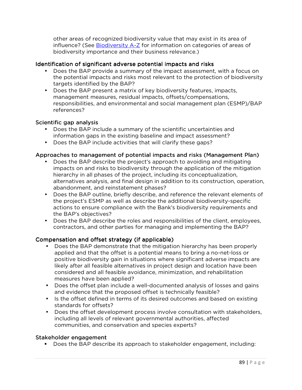other areas of recognized biodiversity value that may exist in its area of influence? (See Biodiversity A-Z for information on categories of areas of biodiversity importance and their business relevance.)

#### Identification of significant adverse potential impacts and risks

- Does the BAP provide a summary of the impact assessment, with a focus on the potential impacts and risks most relevant to the protection of biodiversity targets identified by the BAP?
- Does the BAP present a matrix of key biodiversity features, impacts, management measures, residual impacts, offsets/compensations, responsibilities, and environmental and social management plan (ESMP)/BAP references?

#### Scientific gap analysis

- Does the BAP include a summary of the scientific uncertainties and information gaps in the existing baseline and impact assessment?
- Does the BAP include activities that will clarify these gaps?

#### Approaches to management of potential impacts and risks (Management Plan)

- Does the BAP describe the project's approach to avoiding and mitigating impacts on and risks to biodiversity through the application of the mitigation hierarchy in all phases of the project, including its conceptualization, alternatives analysis, and final design in addition to its construction, operation, abandonment, and reinstatement phases?
- Does the BAP outline, briefly describe, and reference the relevant elements of the project's ESMP as well as describe the additional biodiversity-specific actions to ensure compliance with the Bank's biodiversity requirements and the BAP's objectives?
- Does the BAP describe the roles and responsibilities of the client, employees, contractors, and other parties for managing and implementing the BAP?

#### Compensation and offset strategy (if applicable)

- Does the BAP demonstrate that the mitigation hierarchy has been properly applied and that the offset is a potential means to bring a no-net-loss or positive biodiversity gain in situations where significant adverse impacts are likely after all feasible alternatives in project design and location have been considered and all feasible avoidance, minimization, and rehabilitation measures have been applied?
- Does the offset plan include a well-documented analysis of losses and gains and evidence that the proposed offset is technically feasible?
- Is the offset defined in terms of its desired outcomes and based on existing standards for offsets?
- Does the offset development process involve consultation with stakeholders, including all levels of relevant governmental authorities, affected communities, and conservation and species experts?

#### Stakeholder engagement

Does the BAP describe its approach to stakeholder engagement, including: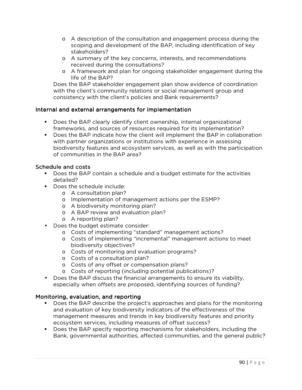- o A description of the consultation and engagement process during the scoping and development of the BAP, including identification of key stakeholders?
- o A summary of the key concerns, interests, and recommendations received during the consultations?
- o A framework and plan for ongoing stakeholder engagement during the life of the BAP?

Does the BAP stakeholder engagement plan show evidence of coordination with the client's community relations or social management group and consistency with the client's policies and Bank requirements?

### Internal and external arrangements for implementation

- Does the BAP clearly identify client ownership, internal organizational frameworks, and sources of resources required for its implementation?
- Does the BAP indicate how the client will implement the BAP in collaboration with partner organizations or institutions with experience in assessing biodiversity features and ecosystem services, as well as with the participation of communities in the BAP area?

## Schedule and costs

- **Does the BAP contain a schedule and a budget estimate for the activities** detailed?
- Does the schedule include:
	- o A consultation plan?
	- o Implementation of management actions per the ESMP?
	- o A biodiversity monitoring plan?
	- o A BAP review and evaluation plan?
	- o A reporting plan?
- Does the budget estimate consider:
	- o Costs of implementing "standard" management actions?
	- o Costs of implementing "incremental" management actions to meet biodiversity objectives?
	- o Costs of monitoring and evaluation programs?
	- o Costs of a consultation plan?
	- o Costs of any offset or compensation plans?
	- o Costs of reporting (including potential publications)?
- Does the BAP discuss the financial arrangements to ensure its viability, especially when offsets are proposed, identifying sources of funding?

### Monitoring, evaluation, and reporting

- Does the BAP describe the project's approaches and plans for the monitoring and evaluation of key biodiversity indicators of the effectiveness of the management measures and trends in key biodiversity features and priority ecosystem services, including measures of offset success?
- Does the BAP specify reporting mechanisms for stakeholders, including the Bank, governmental authorities, affected communities, and the general public?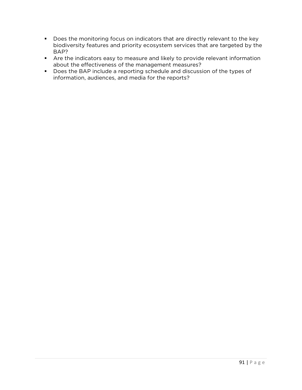- Does the monitoring focus on indicators that are directly relevant to the key biodiversity features and priority ecosystem services that are targeted by the BAP?
- Are the indicators easy to measure and likely to provide relevant information about the effectiveness of the management measures?
- Does the BAP include a reporting schedule and discussion of the types of information, audiences, and media for the reports?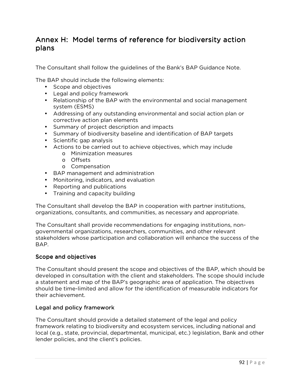# Annex H: Model terms of reference for biodiversity action plans

The Consultant shall follow the guidelines of the Bank's BAP Guidance Note.

The BAP should include the following elements:

- Scope and objectives
- Legal and policy framework
- Relationship of the BAP with the environmental and social management system (ESMS)
- Addressing of any outstanding environmental and social action plan or corrective action plan elements
- Summary of project description and impacts
- Summary of biodiversity baseline and identification of BAP targets
- Scientific gap analysis
- Actions to be carried out to achieve objectives, which may include
	- o Minimization measures
	- o Offsets
	- o Compensation
- BAP management and administration
- Monitoring, indicators, and evaluation
- Reporting and publications
- Training and capacity building

The Consultant shall develop the BAP in cooperation with partner institutions, organizations, consultants, and communities, as necessary and appropriate.

The Consultant shall provide recommendations for engaging institutions, nongovernmental organizations, researchers, communities, and other relevant stakeholders whose participation and collaboration will enhance the success of the BAP.

### Scope and objectives

The Consultant should present the scope and objectives of the BAP, which should be developed in consultation with the client and stakeholders. The scope should include a statement and map of the BAP's geographic area of application. The objectives should be time-limited and allow for the identification of measurable indicators for their achievement.

## Legal and policy framework

The Consultant should provide a detailed statement of the legal and policy framework relating to biodiversity and ecosystem services, including national and local (e.g., state, provincial, departmental, municipal, etc.) legislation, Bank and other lender policies, and the client's policies.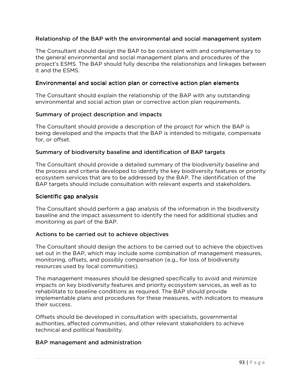#### Relationship of the BAP with the environmental and social management system

The Consultant should design the BAP to be consistent with and complementary to the general environmental and social management plans and procedures of the project's ESMS. The BAP should fully describe the relationships and linkages between it and the ESMS.

#### Environmental and social action plan or corrective action plan elements action plan

The Consultant should explain the relationship of the BAP with any outstanding environmental and social action plan or corrective action plan requirements.

#### Summary of project description and impacts

The Consultant should provide a description of the project for which the BAP is being developed and the impacts that the BAP is intended to mitigate, compensate for, or offset.

#### Summary of biodiversity baseline and identification of BAP targets

The Consultant should provide a detailed summary of the biodiversity baseline and the process and criteria developed to identify the key biodiversity features or priority ecosystem services that are to be addressed by the BAP. The identification of the BAP targets should include consultation with relevant experts and stakeholders.

#### Scientific gap analysis

The Consultant should perform a gap analysis of the information in the biodiversity baseline and the impact assessment to identify the need for additional studies and monitoring as part of the BAP.

#### Actions to be carried out to achieve objectives

The Consultant should design the actions to be carried out to achieve the objectives set out in the BAP, which may include some combination of management measures, monitoring, offsets, and possibly compensation (e.g., for loss of biodiversity resources used by local communities).

The management measures should be designed specifically to avoid and minimize impacts on key biodiversity features and priority ecosystem services, as well as to rehabilitate to baseline conditions as required. The BAP should provide implementable plans and procedures for these measures, with indicators to measure their success.

Offsets should be developed in consultation with specialists, governmental authorities, affected communities, and other relevant stakeholders to achieve technical and political feasibility.

#### BAP management and administration